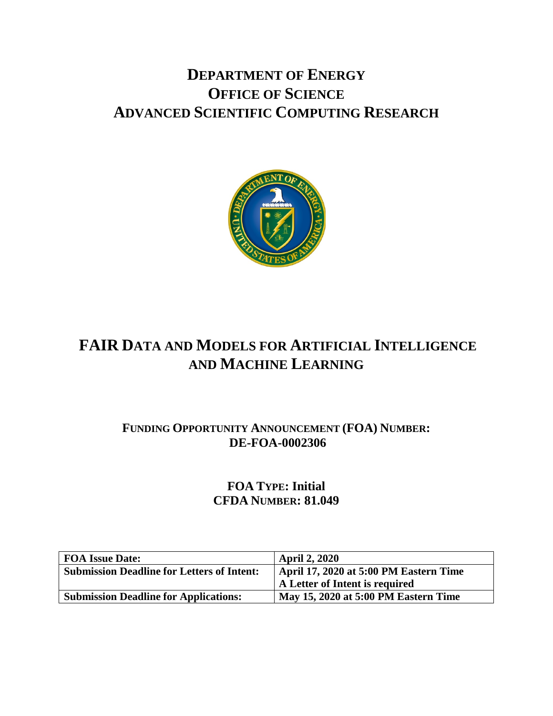# **DEPARTMENT OF ENERGY OFFICE OF SCIENCE ADVANCED SCIENTIFIC COMPUTING RESEARCH**



# **FAIR DATA AND MODELS FOR ARTIFICIAL INTELLIGENCE AND MACHINE LEARNING**

# **FUNDING OPPORTUNITY ANNOUNCEMENT (FOA) NUMBER: DE-FOA-0002306**

**FOA TYPE: Initial CFDA NUMBER: 81.049**

| <b>FOA Issue Date:</b>                            | <b>April 2, 2020</b>                   |
|---------------------------------------------------|----------------------------------------|
| <b>Submission Deadline for Letters of Intent:</b> | April 17, 2020 at 5:00 PM Eastern Time |
|                                                   | A Letter of Intent is required         |
| <b>Submission Deadline for Applications:</b>      | May 15, 2020 at 5:00 PM Eastern Time   |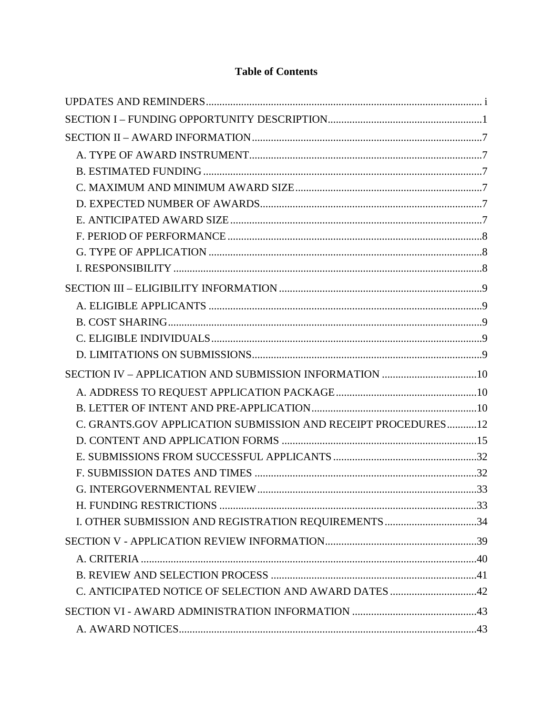## **Table of Contents**

| C. GRANTS.GOV APPLICATION SUBMISSION AND RECEIPT PROCEDURES12 |  |
|---------------------------------------------------------------|--|
|                                                               |  |
|                                                               |  |
|                                                               |  |
|                                                               |  |
|                                                               |  |
| I. OTHER SUBMISSION AND REGISTRATION REQUIREMENTS 34          |  |
|                                                               |  |
|                                                               |  |
|                                                               |  |
| C. ANTICIPATED NOTICE OF SELECTION AND AWARD DATES 42         |  |
|                                                               |  |
|                                                               |  |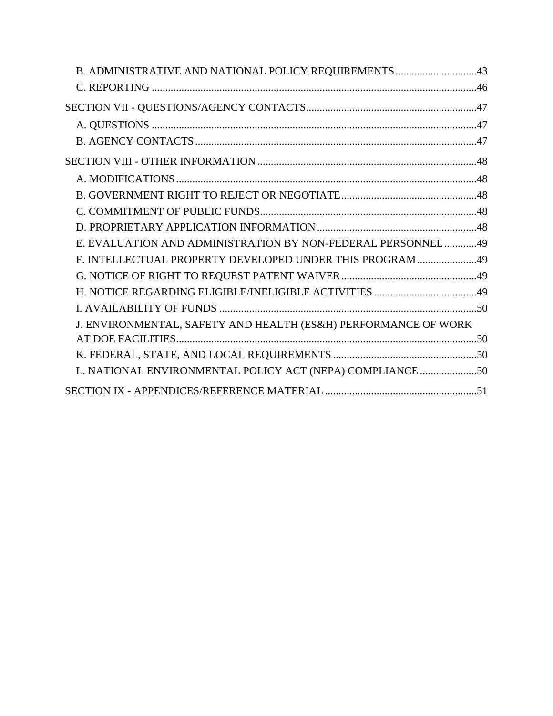| B. ADMINISTRATIVE AND NATIONAL POLICY REQUIREMENTS 43          |  |
|----------------------------------------------------------------|--|
|                                                                |  |
|                                                                |  |
|                                                                |  |
|                                                                |  |
|                                                                |  |
|                                                                |  |
|                                                                |  |
|                                                                |  |
|                                                                |  |
|                                                                |  |
| E. EVALUATION AND ADMINISTRATION BY NON-FEDERAL PERSONNEL49    |  |
| F. INTELLECTUAL PROPERTY DEVELOPED UNDER THIS PROGRAM 49       |  |
|                                                                |  |
|                                                                |  |
|                                                                |  |
| J. ENVIRONMENTAL, SAFETY AND HEALTH (ES&H) PERFORMANCE OF WORK |  |
|                                                                |  |
|                                                                |  |
| L. NATIONAL ENVIRONMENTAL POLICY ACT (NEPA) COMPLIANCE 50      |  |
|                                                                |  |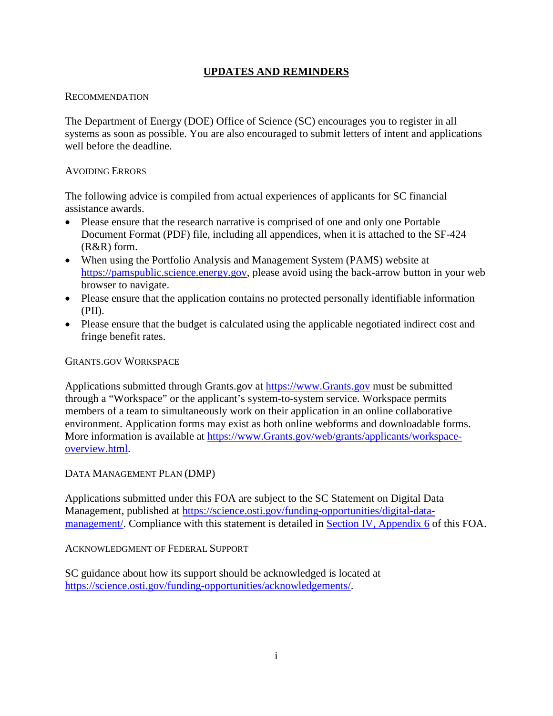### **UPDATES AND REMINDERS**

#### <span id="page-3-0"></span>**RECOMMENDATION**

The Department of Energy (DOE) Office of Science (SC) encourages you to register in all systems as soon as possible. You are also encouraged to submit letters of intent and applications well before the deadline.

#### AVOIDING ERRORS

The following advice is compiled from actual experiences of applicants for SC financial assistance awards.

- Please ensure that the research narrative is comprised of one and only one Portable Document Format (PDF) file, including all appendices, when it is attached to the SF-424 (R&R) form.
- When using the Portfolio Analysis and Management System (PAMS) website at [https://pamspublic.science.energy.gov,](https://pamspublic.science.energy.gov/) please avoid using the back-arrow button in your web browser to navigate.
- Please ensure that the application contains no protected personally identifiable information (PII).
- Please ensure that the budget is calculated using the applicable negotiated indirect cost and fringe benefit rates.

#### GRANTS.GOV WORKSPACE

Applications submitted through Grants.gov at [https://www.Grants.gov](https://www.grants.gov/) must be submitted through a "Workspace" or the applicant's system-to-system service. Workspace permits members of a team to simultaneously work on their application in an online collaborative environment. Application forms may exist as both online webforms and downloadable forms. More information is available at [https://www.Grants.gov/web/grants/applicants/workspace](https://www.grants.gov/web/grants/applicants/workspace-overview.html)[overview.html.](https://www.grants.gov/web/grants/applicants/workspace-overview.html)

#### DATA MANAGEMENT PLAN (DMP)

Applications submitted under this FOA are subject to the SC Statement on Digital Data Management, published at [https://science.osti.gov/funding-opportunities/digital-data](https://science.osti.gov/funding-opportunities/digital-data-management/)[management/.](https://science.osti.gov/funding-opportunities/digital-data-management/) Compliance with this statement is detailed in [Section IV, Appendix 6](#page-29-0) of this FOA.

#### ACKNOWLEDGMENT OF FEDERAL SUPPORT

SC guidance about how its support should be acknowledged is located at [https://science.osti.gov/funding-opportunities/acknowledgements/.](https://science.osti.gov/funding-opportunities/acknowledgements/)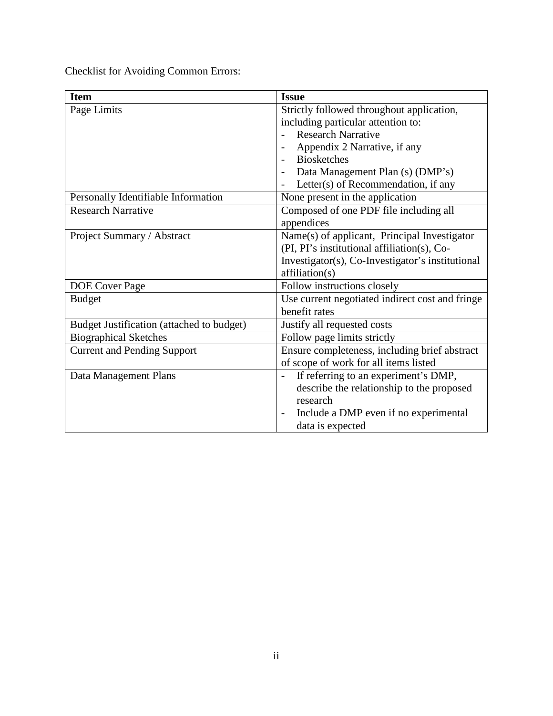Checklist for Avoiding Common Errors:

| <b>Item</b>                               | <b>Issue</b>                                                     |
|-------------------------------------------|------------------------------------------------------------------|
| Page Limits                               | Strictly followed throughout application,                        |
|                                           | including particular attention to:                               |
|                                           | <b>Research Narrative</b>                                        |
|                                           | Appendix 2 Narrative, if any                                     |
|                                           | <b>Biosketches</b>                                               |
|                                           | Data Management Plan (s) (DMP's)                                 |
|                                           | Letter(s) of Recommendation, if any                              |
| Personally Identifiable Information       | None present in the application                                  |
| <b>Research Narrative</b>                 | Composed of one PDF file including all                           |
|                                           | appendices                                                       |
| Project Summary / Abstract                | Name(s) of applicant, Principal Investigator                     |
|                                           | (PI, PI's institutional affiliation(s), Co-                      |
|                                           | Investigator(s), Co-Investigator's institutional                 |
|                                           | affiliation(s)                                                   |
| <b>DOE</b> Cover Page                     | Follow instructions closely                                      |
| <b>Budget</b>                             | Use current negotiated indirect cost and fringe                  |
|                                           | benefit rates                                                    |
| Budget Justification (attached to budget) | Justify all requested costs                                      |
| <b>Biographical Sketches</b>              | Follow page limits strictly                                      |
| <b>Current and Pending Support</b>        | Ensure completeness, including brief abstract                    |
|                                           | of scope of work for all items listed                            |
| Data Management Plans                     | If referring to an experiment's DMP,<br>$\overline{\phantom{a}}$ |
|                                           | describe the relationship to the proposed                        |
|                                           | research                                                         |
|                                           | Include a DMP even if no experimental                            |
|                                           | data is expected                                                 |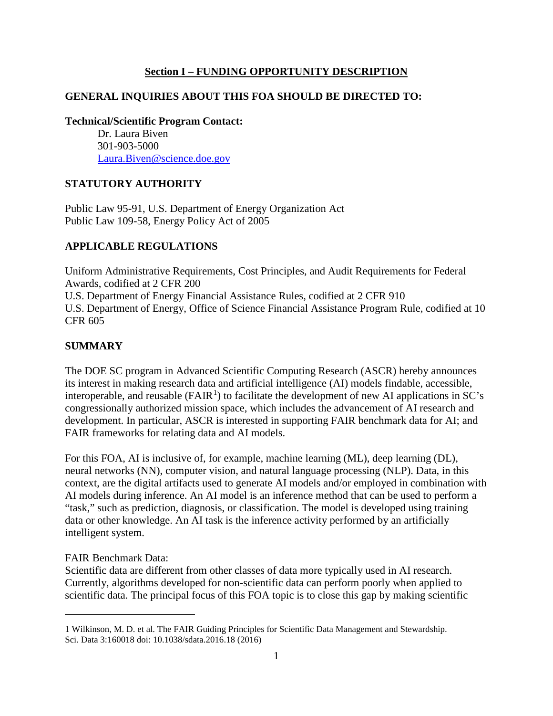#### **Section I – FUNDING OPPORTUNITY DESCRIPTION**

#### <span id="page-5-0"></span>**GENERAL INQUIRIES ABOUT THIS FOA SHOULD BE DIRECTED TO:**

**Technical/Scientific Program Contact:**

Dr. Laura Biven 301-903-5000 [Laura.Biven@science.doe.gov](mailto:laura.biven@science.doe.gov)

#### **STATUTORY AUTHORITY**

Public Law 95-91, U.S. Department of Energy Organization Act Public Law 109-58, Energy Policy Act of 2005

#### **APPLICABLE REGULATIONS**

Uniform Administrative Requirements, Cost Principles, and Audit Requirements for Federal Awards, codified at 2 CFR 200 U.S. Department of Energy Financial Assistance Rules, codified at 2 CFR 910 U.S. Department of Energy, Office of Science Financial Assistance Program Rule, codified at 10 CFR 605

#### **SUMMARY**

The DOE SC program in Advanced Scientific Computing Research (ASCR) hereby announces its interest in making research data and artificial intelligence (AI) models findable, accessible, interoperable, and reusable ( $FAIR<sup>1</sup>$  $FAIR<sup>1</sup>$  $FAIR<sup>1</sup>$ ) to facilitate the development of new AI applications in SC's congressionally authorized mission space, which includes the advancement of AI research and development. In particular, ASCR is interested in supporting FAIR benchmark data for AI; and FAIR frameworks for relating data and AI models.

For this FOA, AI is inclusive of, for example, machine learning (ML), deep learning (DL), neural networks (NN), computer vision, and natural language processing (NLP). Data, in this context, are the digital artifacts used to generate AI models and/or employed in combination with AI models during inference. An AI model is an inference method that can be used to perform a "task," such as prediction, diagnosis, or classification. The model is developed using training data or other knowledge. An AI task is the inference activity performed by an artificially intelligent system.

#### FAIR Benchmark Data:

 $\overline{a}$ 

Scientific data are different from other classes of data more typically used in AI research. Currently, algorithms developed for non-scientific data can perform poorly when applied to scientific data. The principal focus of this FOA topic is to close this gap by making scientific

<span id="page-5-1"></span><sup>1</sup> Wilkinson, M. D. et al. The FAIR Guiding Principles for Scientific Data Management and Stewardship. Sci. Data 3:160018 doi: 10.1038/sdata.2016.18 (2016)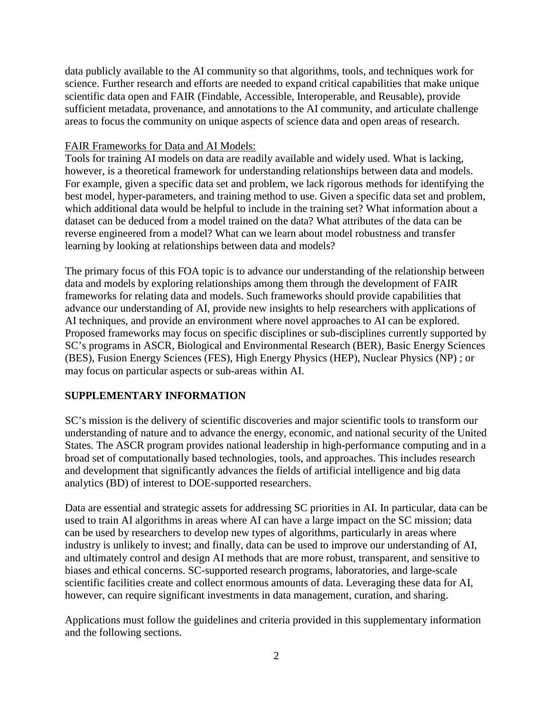data publicly available to the AI community so that algorithms, tools, and techniques work for science. Further research and efforts are needed to expand critical capabilities that make unique scientific data open and FAIR (Findable, Accessible, Interoperable, and Reusable), provide sufficient metadata, provenance, and annotations to the AI community, and articulate challenge areas to focus the community on unique aspects of science data and open areas of research.

#### FAIR Frameworks for Data and AI Models:

Tools for training AI models on data are readily available and widely used. What is lacking, however, is a theoretical framework for understanding relationships between data and models. For example, given a specific data set and problem, we lack rigorous methods for identifying the best model, hyper-parameters, and training method to use. Given a specific data set and problem, which additional data would be helpful to include in the training set? What information about a dataset can be deduced from a model trained on the data? What attributes of the data can be reverse engineered from a model? What can we learn about model robustness and transfer learning by looking at relationships between data and models?

The primary focus of this FOA topic is to advance our understanding of the relationship between data and models by exploring relationships among them through the development of FAIR frameworks for relating data and models. Such frameworks should provide capabilities that advance our understanding of AI, provide new insights to help researchers with applications of AI techniques, and provide an environment where novel approaches to AI can be explored. Proposed frameworks may focus on specific disciplines or sub-disciplines currently supported by SC's programs in ASCR, Biological and Environmental Research (BER), Basic Energy Sciences (BES), Fusion Energy Sciences (FES), High Energy Physics (HEP), Nuclear Physics (NP) ; or may focus on particular aspects or sub-areas within AI.

#### **SUPPLEMENTARY INFORMATION**

SC's mission is the delivery of scientific discoveries and major scientific tools to transform our understanding of nature and to advance the energy, economic, and national security of the United States. The ASCR program provides national leadership in high-performance computing and in a broad set of computationally based technologies, tools, and approaches. This includes research and development that significantly advances the fields of artificial intelligence and big data analytics (BD) of interest to DOE-supported researchers.

Data are essential and strategic assets for addressing SC priorities in AI. In particular, data can be used to train AI algorithms in areas where AI can have a large impact on the SC mission; data can be used by researchers to develop new types of algorithms, particularly in areas where industry is unlikely to invest; and finally, data can be used to improve our understanding of AI, and ultimately control and design AI methods that are more robust, transparent, and sensitive to biases and ethical concerns. SC-supported research programs, laboratories, and large-scale scientific facilities create and collect enormous amounts of data. Leveraging these data for AI, however, can require significant investments in data management, curation, and sharing.

Applications must follow the guidelines and criteria provided in this supplementary information and the following sections.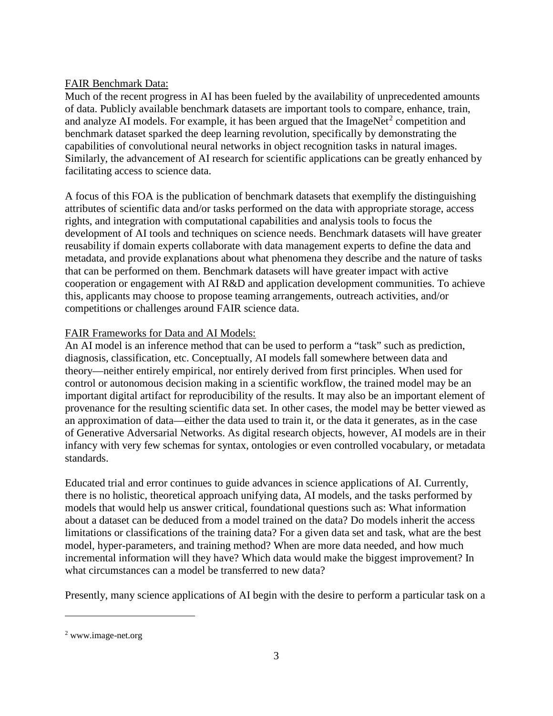#### FAIR Benchmark Data:

Much of the recent progress in AI has been fueled by the availability of unprecedented amounts of data. Publicly available benchmark datasets are important tools to compare, enhance, train, and analyze AI models. For example, it has been argued that the ImageNet<sup>[2](#page-7-0)</sup> competition and benchmark dataset sparked the deep learning revolution, specifically by demonstrating the capabilities of convolutional neural networks in object recognition tasks in natural images. Similarly, the advancement of AI research for scientific applications can be greatly enhanced by facilitating access to science data.

A focus of this FOA is the publication of benchmark datasets that exemplify the distinguishing attributes of scientific data and/or tasks performed on the data with appropriate storage, access rights, and integration with computational capabilities and analysis tools to focus the development of AI tools and techniques on science needs. Benchmark datasets will have greater reusability if domain experts collaborate with data management experts to define the data and metadata, and provide explanations about what phenomena they describe and the nature of tasks that can be performed on them. Benchmark datasets will have greater impact with active cooperation or engagement with AI R&D and application development communities. To achieve this, applicants may choose to propose teaming arrangements, outreach activities, and/or competitions or challenges around FAIR science data.

### FAIR Frameworks for Data and AI Models:

An AI model is an inference method that can be used to perform a "task" such as prediction, diagnosis, classification, etc. Conceptually, AI models fall somewhere between data and theory—neither entirely empirical, nor entirely derived from first principles. When used for control or autonomous decision making in a scientific workflow, the trained model may be an important digital artifact for reproducibility of the results. It may also be an important element of provenance for the resulting scientific data set. In other cases, the model may be better viewed as an approximation of data—either the data used to train it, or the data it generates, as in the case of Generative Adversarial Networks. As digital research objects, however, AI models are in their infancy with very few schemas for syntax, ontologies or even controlled vocabulary, or metadata standards.

Educated trial and error continues to guide advances in science applications of AI. Currently, there is no holistic, theoretical approach unifying data, AI models, and the tasks performed by models that would help us answer critical, foundational questions such as: What information about a dataset can be deduced from a model trained on the data? Do models inherit the access limitations or classifications of the training data? For a given data set and task, what are the best model, hyper-parameters, and training method? When are more data needed, and how much incremental information will they have? Which data would make the biggest improvement? In what circumstances can a model be transferred to new data?

Presently, many science applications of AI begin with the desire to perform a particular task on a

 $\overline{a}$ 

<span id="page-7-0"></span><sup>2</sup> www.image-net.org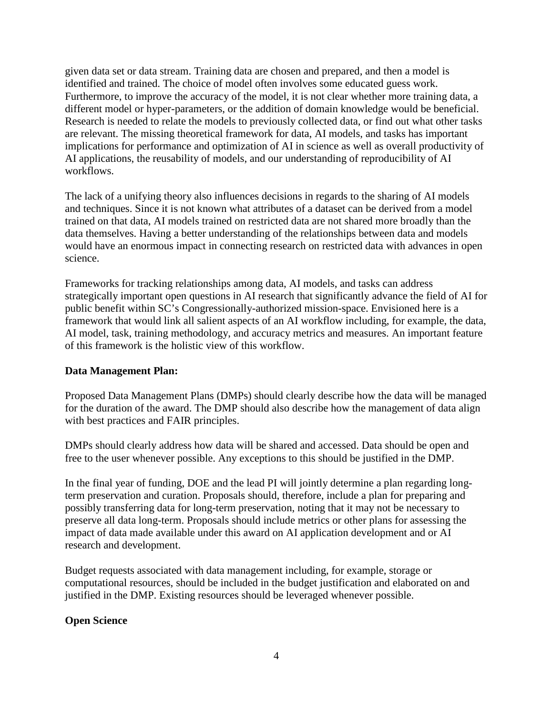given data set or data stream. Training data are chosen and prepared, and then a model is identified and trained. The choice of model often involves some educated guess work. Furthermore, to improve the accuracy of the model, it is not clear whether more training data, a different model or hyper-parameters, or the addition of domain knowledge would be beneficial. Research is needed to relate the models to previously collected data, or find out what other tasks are relevant. The missing theoretical framework for data, AI models, and tasks has important implications for performance and optimization of AI in science as well as overall productivity of AI applications, the reusability of models, and our understanding of reproducibility of AI workflows.

The lack of a unifying theory also influences decisions in regards to the sharing of AI models and techniques. Since it is not known what attributes of a dataset can be derived from a model trained on that data, AI models trained on restricted data are not shared more broadly than the data themselves. Having a better understanding of the relationships between data and models would have an enormous impact in connecting research on restricted data with advances in open science.

Frameworks for tracking relationships among data, AI models, and tasks can address strategically important open questions in AI research that significantly advance the field of AI for public benefit within SC's Congressionally-authorized mission-space. Envisioned here is a framework that would link all salient aspects of an AI workflow including, for example, the data, AI model, task, training methodology, and accuracy metrics and measures. An important feature of this framework is the holistic view of this workflow.

#### **Data Management Plan:**

Proposed Data Management Plans (DMPs) should clearly describe how the data will be managed for the duration of the award. The DMP should also describe how the management of data align with best practices and FAIR principles.

DMPs should clearly address how data will be shared and accessed. Data should be open and free to the user whenever possible. Any exceptions to this should be justified in the DMP.

In the final year of funding, DOE and the lead PI will jointly determine a plan regarding longterm preservation and curation. Proposals should, therefore, include a plan for preparing and possibly transferring data for long-term preservation, noting that it may not be necessary to preserve all data long-term. Proposals should include metrics or other plans for assessing the impact of data made available under this award on AI application development and or AI research and development.

Budget requests associated with data management including, for example, storage or computational resources, should be included in the budget justification and elaborated on and justified in the DMP. Existing resources should be leveraged whenever possible.

### **Open Science**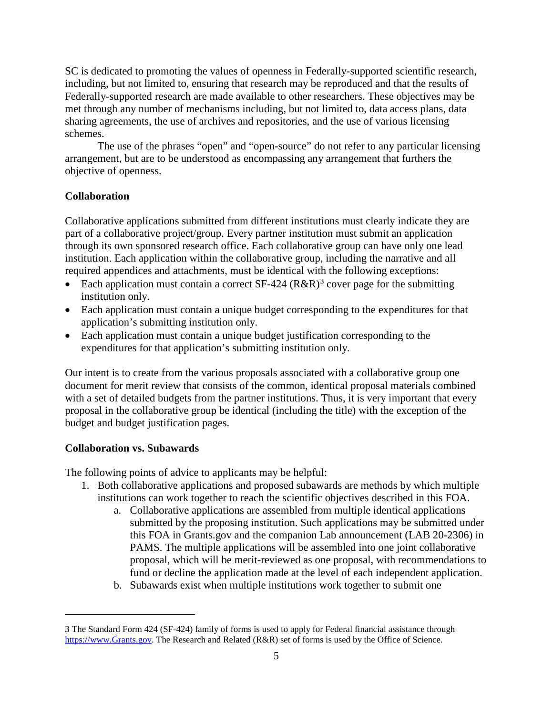SC is dedicated to promoting the values of openness in Federally-supported scientific research, including, but not limited to, ensuring that research may be reproduced and that the results of Federally-supported research are made available to other researchers. These objectives may be met through any number of mechanisms including, but not limited to, data access plans, data sharing agreements, the use of archives and repositories, and the use of various licensing schemes.

The use of the phrases "open" and "open-source" do not refer to any particular licensing arrangement, but are to be understood as encompassing any arrangement that furthers the objective of openness.

#### **Collaboration**

Collaborative applications submitted from different institutions must clearly indicate they are part of a collaborative project/group. Every partner institution must submit an application through its own sponsored research office. Each collaborative group can have only one lead institution. Each application within the collaborative group, including the narrative and all required appendices and attachments, must be identical with the following exceptions:

- Each application must contain a correct SF-424 ( $R\&R$ )<sup>[3](#page-9-0)</sup> cover page for the submitting institution only.
- Each application must contain a unique budget corresponding to the expenditures for that application's submitting institution only.
- Each application must contain a unique budget justification corresponding to the expenditures for that application's submitting institution only.

Our intent is to create from the various proposals associated with a collaborative group one document for merit review that consists of the common, identical proposal materials combined with a set of detailed budgets from the partner institutions. Thus, it is very important that every proposal in the collaborative group be identical (including the title) with the exception of the budget and budget justification pages.

#### **Collaboration vs. Subawards**

 $\overline{a}$ 

The following points of advice to applicants may be helpful:

- 1. Both collaborative applications and proposed subawards are methods by which multiple institutions can work together to reach the scientific objectives described in this FOA.
	- a. Collaborative applications are assembled from multiple identical applications submitted by the proposing institution. Such applications may be submitted under this FOA in Grants.gov and the companion Lab announcement (LAB 20-2306) in PAMS. The multiple applications will be assembled into one joint collaborative proposal, which will be merit-reviewed as one proposal, with recommendations to fund or decline the application made at the level of each independent application.
	- b. Subawards exist when multiple institutions work together to submit one

<span id="page-9-0"></span><sup>3</sup> The Standard Form 424 (SF-424) family of forms is used to apply for Federal financial assistance through [https://www.Grants.gov.](https://www.grants.gov/) The Research and Related (R&R) set of forms is used by the Office of Science.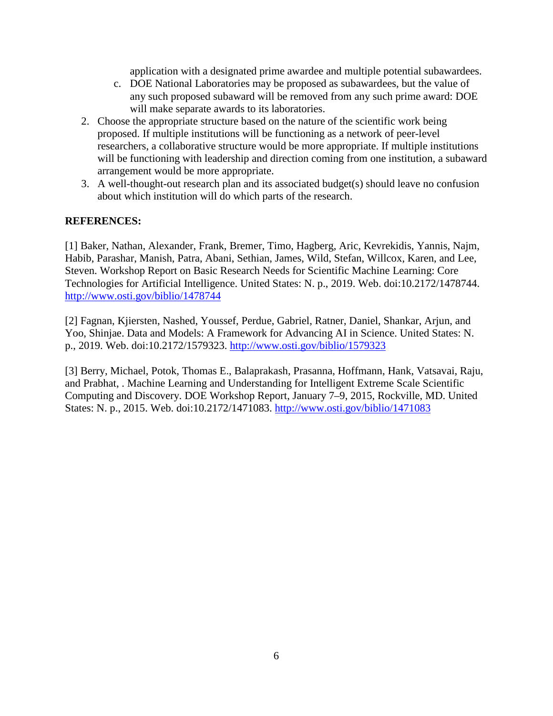application with a designated prime awardee and multiple potential subawardees.

- c. DOE National Laboratories may be proposed as subawardees, but the value of any such proposed subaward will be removed from any such prime award: DOE will make separate awards to its laboratories.
- 2. Choose the appropriate structure based on the nature of the scientific work being proposed. If multiple institutions will be functioning as a network of peer-level researchers, a collaborative structure would be more appropriate. If multiple institutions will be functioning with leadership and direction coming from one institution, a subaward arrangement would be more appropriate.
- 3. A well-thought-out research plan and its associated budget(s) should leave no confusion about which institution will do which parts of the research.

#### **REFERENCES:**

[1] Baker, Nathan, Alexander, Frank, Bremer, Timo, Hagberg, Aric, Kevrekidis, Yannis, Najm, Habib, Parashar, Manish, Patra, Abani, Sethian, James, Wild, Stefan, Willcox, Karen, and Lee, Steven. Workshop Report on Basic Research Needs for Scientific Machine Learning: Core Technologies for Artificial Intelligence. United States: N. p., 2019. Web. doi:10.2172/1478744. <http://www.osti.gov/biblio/1478744>

[2] Fagnan, Kjiersten, Nashed, Youssef, Perdue, Gabriel, Ratner, Daniel, Shankar, Arjun, and Yoo, Shinjae. Data and Models: A Framework for Advancing AI in Science. United States: N. p., 2019. Web. doi:10.2172/1579323. [http://www.osti.gov/biblio/1579323](http://www.osti.gov/biblio/1478744)

[3] Berry, Michael, Potok, Thomas E., Balaprakash, Prasanna, Hoffmann, Hank, Vatsavai, Raju, and Prabhat, . Machine Learning and Understanding for Intelligent Extreme Scale Scientific Computing and Discovery. DOE Workshop Report, January 7–9, 2015, Rockville, MD. United States: N. p., 2015. Web. doi:10.2172/1471083. <http://www.osti.gov/biblio/1471083>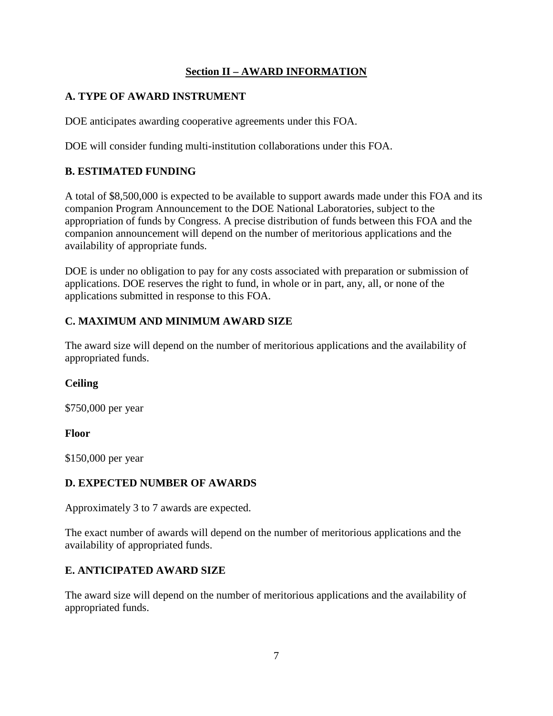### **Section II – AWARD INFORMATION**

### <span id="page-11-1"></span><span id="page-11-0"></span>**A. TYPE OF AWARD INSTRUMENT**

DOE anticipates awarding cooperative agreements under this FOA.

DOE will consider funding multi-institution collaborations under this FOA.

### <span id="page-11-2"></span>**B. ESTIMATED FUNDING**

A total of \$8,500,000 is expected to be available to support awards made under this FOA and its companion Program Announcement to the DOE National Laboratories, subject to the appropriation of funds by Congress. A precise distribution of funds between this FOA and the companion announcement will depend on the number of meritorious applications and the availability of appropriate funds.

DOE is under no obligation to pay for any costs associated with preparation or submission of applications. DOE reserves the right to fund, in whole or in part, any, all, or none of the applications submitted in response to this FOA.

### <span id="page-11-3"></span>**C. MAXIMUM AND MINIMUM AWARD SIZE**

The award size will depend on the number of meritorious applications and the availability of appropriated funds.

### **Ceiling**

\$750,000 per year

### **Floor**

\$150,000 per year

### <span id="page-11-4"></span>**D. EXPECTED NUMBER OF AWARDS**

Approximately 3 to 7 awards are expected.

The exact number of awards will depend on the number of meritorious applications and the availability of appropriated funds.

### <span id="page-11-5"></span>**E. ANTICIPATED AWARD SIZE**

<span id="page-11-6"></span>The award size will depend on the number of meritorious applications and the availability of appropriated funds.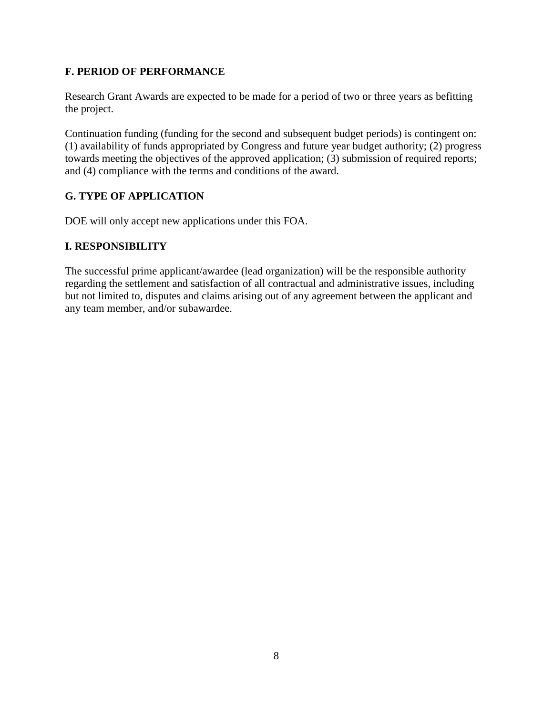### **F. PERIOD OF PERFORMANCE**

Research Grant Awards are expected to be made for a period of two or three years as befitting the project.

Continuation funding (funding for the second and subsequent budget periods) is contingent on: (1) availability of funds appropriated by Congress and future year budget authority; (2) progress towards meeting the objectives of the approved application; (3) submission of required reports; and (4) compliance with the terms and conditions of the award.

### <span id="page-12-0"></span>**G. TYPE OF APPLICATION**

DOE will only accept new applications under this FOA.

### <span id="page-12-1"></span>**I. RESPONSIBILITY**

The successful prime applicant/awardee (lead organization) will be the responsible authority regarding the settlement and satisfaction of all contractual and administrative issues, including but not limited to, disputes and claims arising out of any agreement between the applicant and any team member, and/or subawardee.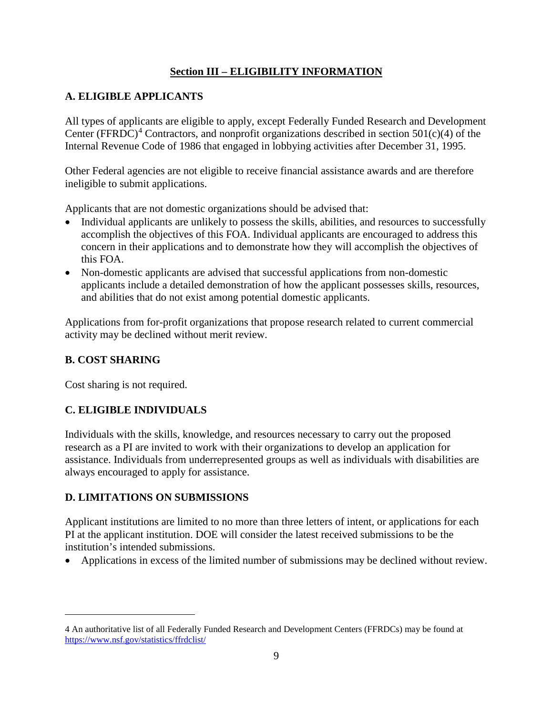### **Section III – ELIGIBILITY INFORMATION**

### <span id="page-13-1"></span><span id="page-13-0"></span>**A. ELIGIBLE APPLICANTS**

All types of applicants are eligible to apply, except Federally Funded Research and Development Center (FFRDC)<sup>[4](#page-13-6)</sup> Contractors, and nonprofit organizations described in section 501(c)(4) of the Internal Revenue Code of 1986 that engaged in lobbying activities after December 31, 1995.

Other Federal agencies are not eligible to receive financial assistance awards and are therefore ineligible to submit applications.

Applicants that are not domestic organizations should be advised that:

- Individual applicants are unlikely to possess the skills, abilities, and resources to successfully accomplish the objectives of this FOA. Individual applicants are encouraged to address this concern in their applications and to demonstrate how they will accomplish the objectives of this FOA.
- Non-domestic applicants are advised that successful applications from non-domestic applicants include a detailed demonstration of how the applicant possesses skills, resources, and abilities that do not exist among potential domestic applicants.

Applications from for-profit organizations that propose research related to current commercial activity may be declined without merit review.

### <span id="page-13-2"></span>**B. COST SHARING**

 $\overline{a}$ 

Cost sharing is not required.

### <span id="page-13-3"></span>**C. ELIGIBLE INDIVIDUALS**

Individuals with the skills, knowledge, and resources necessary to carry out the proposed research as a PI are invited to work with their organizations to develop an application for assistance. Individuals from underrepresented groups as well as individuals with disabilities are always encouraged to apply for assistance.

### <span id="page-13-4"></span>**D. LIMITATIONS ON SUBMISSIONS**

Applicant institutions are limited to no more than three letters of intent, or applications for each PI at the applicant institution. DOE will consider the latest received submissions to be the institution's intended submissions.

<span id="page-13-5"></span>• Applications in excess of the limited number of submissions may be declined without review.

<span id="page-13-6"></span><sup>4</sup> An authoritative list of all Federally Funded Research and Development Centers (FFRDCs) may be found at <https://www.nsf.gov/statistics/ffrdclist/>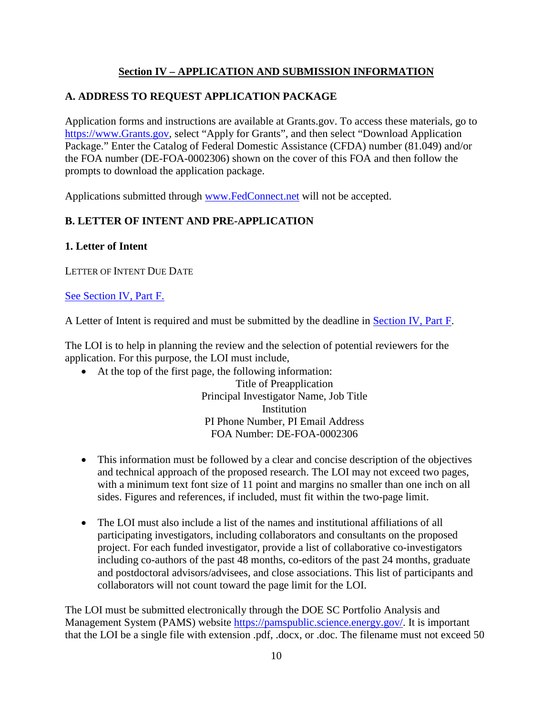### **Section IV – APPLICATION AND SUBMISSION INFORMATION**

### <span id="page-14-0"></span>**A. ADDRESS TO REQUEST APPLICATION PACKAGE**

Application forms and instructions are available at Grants.gov. To access these materials, go to [https://www.Grants.gov,](https://www.grants.gov/) select "Apply for Grants", and then select "Download Application Package." Enter the Catalog of Federal Domestic Assistance (CFDA) number (81.049) and/or the FOA number (DE-FOA-0002306) shown on the cover of this FOA and then follow the prompts to download the application package.

Applications submitted through [www.FedConnect.net](https://www.fedconnect.net/) will not be accepted.

### <span id="page-14-1"></span>**B. LETTER OF INTENT AND PRE-APPLICATION**

#### **1. Letter of Intent**

LETTER OF INTENT DUE DATE

#### [See Section IV, Part F.](#page-36-2)

A Letter of Intent is required and must be submitted by the deadline in [Section IV, Part F.](#page-36-2)

The LOI is to help in planning the review and the selection of potential reviewers for the application. For this purpose, the LOI must include,

• At the top of the first page, the following information:

Title of Preapplication Principal Investigator Name, Job Title **Institution** PI Phone Number, PI Email Address FOA Number: DE-FOA-0002306

- This information must be followed by a clear and concise description of the objectives and technical approach of the proposed research. The LOI may not exceed two pages, with a minimum text font size of 11 point and margins no smaller than one inch on all sides. Figures and references, if included, must fit within the two-page limit.
- The LOI must also include a list of the names and institutional affiliations of all participating investigators, including collaborators and consultants on the proposed project. For each funded investigator, provide a list of collaborative co-investigators including co-authors of the past 48 months, co-editors of the past 24 months, graduate and postdoctoral advisors/advisees, and close associations. This list of participants and collaborators will not count toward the page limit for the LOI.

The LOI must be submitted electronically through the DOE SC Portfolio Analysis and Management System (PAMS) website [https://pamspublic.science.energy.gov/.](https://pamspublic.science.energy.gov/) It is important that the LOI be a single file with extension .pdf, .docx, or .doc. The filename must not exceed 50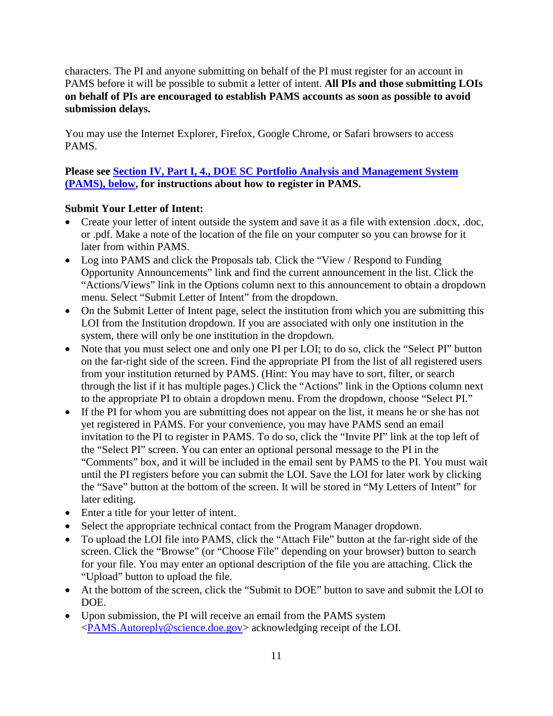characters. The PI and anyone submitting on behalf of the PI must register for an account in PAMS before it will be possible to submit a letter of intent. **All PIs and those submitting LOIs on behalf of PIs are encouraged to establish PAMS accounts as soon as possible to avoid submission delays.**

You may use the Internet Explorer, Firefox, Google Chrome, or Safari browsers to access PAMS.

### **Please see [Section IV, Part I, 4., DOE SC Portfolio Analysis and Management System](#page-39-0)  [\(PAMS\), below,](#page-39-0) for instructions about how to register in PAMS.**

### **Submit Your Letter of Intent:**

- Create your letter of intent outside the system and save it as a file with extension .docx, .doc, or .pdf. Make a note of the location of the file on your computer so you can browse for it later from within PAMS.
- Log into PAMS and click the Proposals tab. Click the "View / Respond to Funding Opportunity Announcements" link and find the current announcement in the list. Click the "Actions/Views" link in the Options column next to this announcement to obtain a dropdown menu. Select "Submit Letter of Intent" from the dropdown.
- On the Submit Letter of Intent page, select the institution from which you are submitting this LOI from the Institution dropdown. If you are associated with only one institution in the system, there will only be one institution in the dropdown.
- Note that you must select one and only one PI per LOI; to do so, click the "Select PI" button on the far-right side of the screen. Find the appropriate PI from the list of all registered users from your institution returned by PAMS. (Hint: You may have to sort, filter, or search through the list if it has multiple pages.) Click the "Actions" link in the Options column next to the appropriate PI to obtain a dropdown menu. From the dropdown, choose "Select PI."
- If the PI for whom you are submitting does not appear on the list, it means he or she has not yet registered in PAMS. For your convenience, you may have PAMS send an email invitation to the PI to register in PAMS. To do so, click the "Invite PI" link at the top left of the "Select PI" screen. You can enter an optional personal message to the PI in the "Comments" box, and it will be included in the email sent by PAMS to the PI. You must wait until the PI registers before you can submit the LOI. Save the LOI for later work by clicking the "Save" button at the bottom of the screen. It will be stored in "My Letters of Intent" for later editing.
- Enter a title for your letter of intent.
- Select the appropriate technical contact from the Program Manager dropdown.
- To upload the LOI file into PAMS, click the "Attach File" button at the far-right side of the screen. Click the "Browse" (or "Choose File" depending on your browser) button to search for your file. You may enter an optional description of the file you are attaching. Click the "Upload" button to upload the file.
- At the bottom of the screen, click the "Submit to DOE" button to save and submit the LOI to DOE.
- Upon submission, the PI will receive an email from the PAMS system [<PAMS.Autoreply@science.doe.gov>](mailto:PAMS.Autoreply@science.doe.gov) acknowledging receipt of the LOI.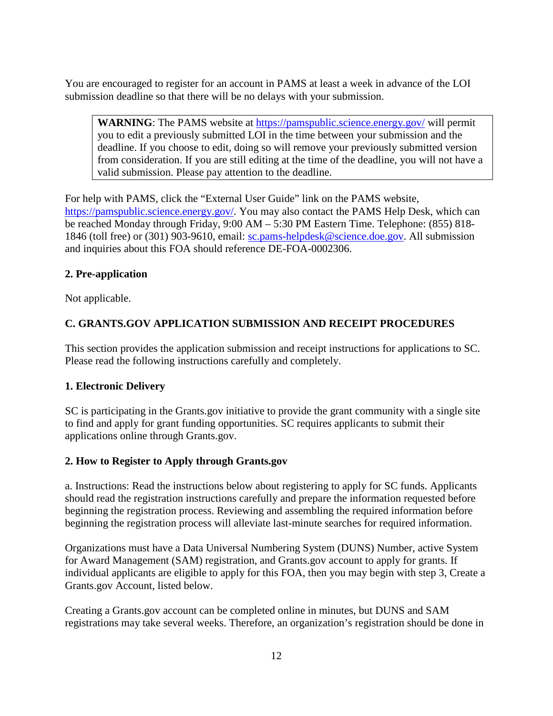You are encouraged to register for an account in PAMS at least a week in advance of the LOI submission deadline so that there will be no delays with your submission.

**WARNING**: The PAMS website at<https://pamspublic.science.energy.gov/> will permit you to edit a previously submitted LOI in the time between your submission and the deadline. If you choose to edit, doing so will remove your previously submitted version from consideration. If you are still editing at the time of the deadline, you will not have a valid submission. Please pay attention to the deadline.

For help with PAMS, click the "External User Guide" link on the PAMS website, [https://pamspublic.science.energy.gov/.](https://pamspublic.science.energy.gov/) You may also contact the PAMS Help Desk, which can be reached Monday through Friday, 9:00 AM – 5:30 PM Eastern Time. Telephone: (855) 818- 1846 (toll free) or (301) 903-9610, email: [sc.pams-helpdesk@science.doe.gov.](mailto:sc.pams-helpdesk@science.doe.gov) All submission and inquiries about this FOA should reference DE-FOA-0002306.

#### **2. Pre-application**

Not applicable.

### <span id="page-16-0"></span>**C. GRANTS.GOV APPLICATION SUBMISSION AND RECEIPT PROCEDURES**

This section provides the application submission and receipt instructions for applications to SC. Please read the following instructions carefully and completely.

#### **1. Electronic Delivery**

SC is participating in the Grants.gov initiative to provide the grant community with a single site to find and apply for grant funding opportunities. SC requires applicants to submit their applications online through Grants.gov.

#### **2. How to Register to Apply through Grants.gov**

a. Instructions: Read the instructions below about registering to apply for SC funds. Applicants should read the registration instructions carefully and prepare the information requested before beginning the registration process. Reviewing and assembling the required information before beginning the registration process will alleviate last-minute searches for required information.

Organizations must have a Data Universal Numbering System (DUNS) Number, active System for Award Management (SAM) registration, and Grants.gov account to apply for grants. If individual applicants are eligible to apply for this FOA, then you may begin with step 3, Create a Grants.gov Account, listed below.

Creating a Grants.gov account can be completed online in minutes, but DUNS and SAM registrations may take several weeks. Therefore, an organization's registration should be done in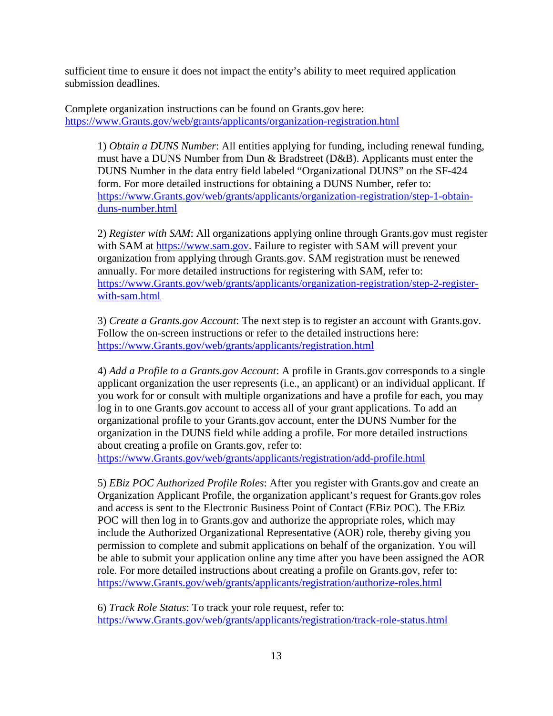sufficient time to ensure it does not impact the entity's ability to meet required application submission deadlines.

Complete organization instructions can be found on Grants.gov here: [https://www.Grants.gov/web/grants/applicants/organization-registration.html](https://www.grants.gov/web/grants/applicants/organization-registration.html)

1) *Obtain a DUNS Number*: All entities applying for funding, including renewal funding, must have a DUNS Number from Dun & Bradstreet (D&B). Applicants must enter the DUNS Number in the data entry field labeled "Organizational DUNS" on the SF-424 form. For more detailed instructions for obtaining a DUNS Number, refer to: [https://www.Grants.gov/web/grants/applicants/organization-registration/step-1-obtain](https://www.grants.gov/web/grants/applicants/organization-registration/step-1-obtain-duns-number.html)[duns-number.html](https://www.grants.gov/web/grants/applicants/organization-registration/step-1-obtain-duns-number.html)

2) *Register with SAM*: All organizations applying online through Grants.gov must register with SAM at [https://www.sam.gov.](https://www.sam.gov/) Failure to register with SAM will prevent your organization from applying through Grants.gov. SAM registration must be renewed annually. For more detailed instructions for registering with SAM, refer to: [https://www.Grants.gov/web/grants/applicants/organization-registration/step-2-register](https://www.grants.gov/web/grants/applicants/organization-registration/step-2-register-with-sam.html)[with-sam.html](https://www.grants.gov/web/grants/applicants/organization-registration/step-2-register-with-sam.html)

3) *Create a Grants.gov Account*: The next step is to register an account with Grants.gov. Follow the on-screen instructions or refer to the detailed instructions here: [https://www.Grants.gov/web/grants/applicants/registration.html](https://www.grants.gov/web/grants/applicants/registration.html)

4) *Add a Profile to a Grants.gov Account*: A profile in Grants.gov corresponds to a single applicant organization the user represents (i.e., an applicant) or an individual applicant. If you work for or consult with multiple organizations and have a profile for each, you may log in to one Grants.gov account to access all of your grant applications. To add an organizational profile to your Grants.gov account, enter the DUNS Number for the organization in the DUNS field while adding a profile. For more detailed instructions about creating a profile on Grants.gov, refer to:

[https://www.Grants.gov/web/grants/applicants/registration/add-profile.html](https://www.grants.gov/web/grants/applicants/registration/add-profile.html)

5) *EBiz POC Authorized Profile Roles*: After you register with Grants.gov and create an Organization Applicant Profile, the organization applicant's request for Grants.gov roles and access is sent to the Electronic Business Point of Contact (EBiz POC). The EBiz POC will then log in to Grants.gov and authorize the appropriate roles, which may include the Authorized Organizational Representative (AOR) role, thereby giving you permission to complete and submit applications on behalf of the organization. You will be able to submit your application online any time after you have been assigned the AOR role. For more detailed instructions about creating a profile on Grants.gov, refer to: [https://www.Grants.gov/web/grants/applicants/registration/authorize-roles.html](https://www.grants.gov/web/grants/applicants/registration/authorize-roles.html)

6) *Track Role Status*: To track your role request, refer to: [https://www.Grants.gov/web/grants/applicants/registration/track-role-status.html](https://www.grants.gov/web/grants/applicants/registration/track-role-status.html)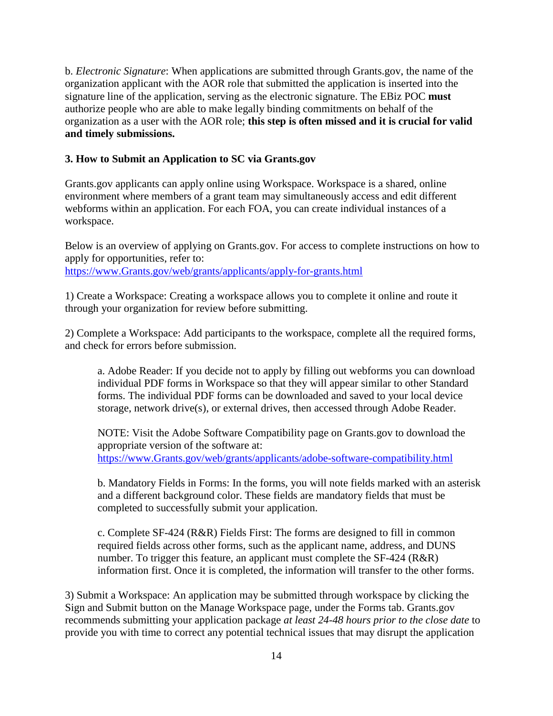b. *Electronic Signature*: When applications are submitted through Grants.gov, the name of the organization applicant with the AOR role that submitted the application is inserted into the signature line of the application, serving as the electronic signature. The EBiz POC **must** authorize people who are able to make legally binding commitments on behalf of the organization as a user with the AOR role; **this step is often missed and it is crucial for valid and timely submissions.**

#### **3. How to Submit an Application to SC via Grants.gov**

Grants.gov applicants can apply online using Workspace. Workspace is a shared, online environment where members of a grant team may simultaneously access and edit different webforms within an application. For each FOA, you can create individual instances of a workspace.

Below is an overview of applying on Grants.gov. For access to complete instructions on how to apply for opportunities, refer to: [https://www.Grants.gov/web/grants/applicants/apply-for-grants.html](https://www.grants.gov/web/grants/applicants/apply-for-grants.html)

1) Create a Workspace: Creating a workspace allows you to complete it online and route it through your organization for review before submitting.

2) Complete a Workspace: Add participants to the workspace, complete all the required forms, and check for errors before submission.

a. Adobe Reader: If you decide not to apply by filling out webforms you can download individual PDF forms in Workspace so that they will appear similar to other Standard forms. The individual PDF forms can be downloaded and saved to your local device storage, network drive(s), or external drives, then accessed through Adobe Reader.

NOTE: Visit the Adobe Software Compatibility page on Grants.gov to download the appropriate version of the software at: [https://www.Grants.gov/web/grants/applicants/adobe-software-compatibility.html](https://www.grants.gov/web/grants/applicants/adobe-software-compatibility.html)

b. Mandatory Fields in Forms: In the forms, you will note fields marked with an asterisk and a different background color. These fields are mandatory fields that must be completed to successfully submit your application.

c. Complete SF-424 (R&R) Fields First: The forms are designed to fill in common required fields across other forms, such as the applicant name, address, and DUNS number. To trigger this feature, an applicant must complete the SF-424 (R&R) information first. Once it is completed, the information will transfer to the other forms.

3) Submit a Workspace: An application may be submitted through workspace by clicking the Sign and Submit button on the Manage Workspace page, under the Forms tab. Grants.gov recommends submitting your application package *at least 24-48 hours prior to the close date* to provide you with time to correct any potential technical issues that may disrupt the application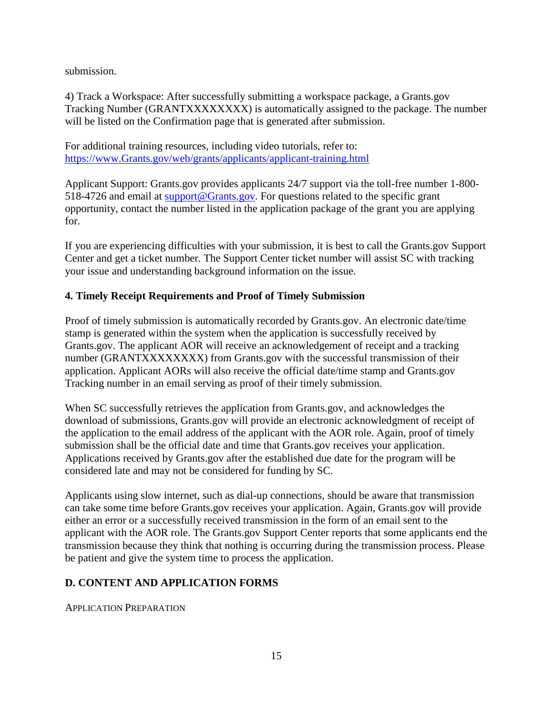submission.

4) Track a Workspace: After successfully submitting a workspace package, a Grants.gov Tracking Number (GRANTXXXXXXXX) is automatically assigned to the package. The number will be listed on the Confirmation page that is generated after submission.

For additional training resources, including video tutorials, refer to: [https://www.Grants.gov/web/grants/applicants/applicant-training.html](https://www.grants.gov/web/grants/applicants/applicant-training.html)

Applicant Support: Grants.gov provides applicants 24/7 support via the toll-free number 1-800- 518-4726 and email at [support@Grants.gov.](mailto:support@Grants.gov) For questions related to the specific grant opportunity, contact the number listed in the application package of the grant you are applying for.

If you are experiencing difficulties with your submission, it is best to call the Grants.gov Support Center and get a ticket number. The Support Center ticket number will assist SC with tracking your issue and understanding background information on the issue.

#### **4. Timely Receipt Requirements and Proof of Timely Submission**

Proof of timely submission is automatically recorded by Grants.gov. An electronic date/time stamp is generated within the system when the application is successfully received by Grants.gov. The applicant AOR will receive an acknowledgement of receipt and a tracking number (GRANTXXXXXXXX) from Grants.gov with the successful transmission of their application. Applicant AORs will also receive the official date/time stamp and Grants.gov Tracking number in an email serving as proof of their timely submission.

When SC successfully retrieves the application from Grants.gov, and acknowledges the download of submissions, Grants.gov will provide an electronic acknowledgment of receipt of the application to the email address of the applicant with the AOR role. Again, proof of timely submission shall be the official date and time that Grants.gov receives your application. Applications received by Grants.gov after the established due date for the program will be considered late and may not be considered for funding by SC.

Applicants using slow internet, such as dial-up connections, should be aware that transmission can take some time before Grants.gov receives your application. Again, Grants.gov will provide either an error or a successfully received transmission in the form of an email sent to the applicant with the AOR role. The Grants.gov Support Center reports that some applicants end the transmission because they think that nothing is occurring during the transmission process. Please be patient and give the system time to process the application.

### <span id="page-19-0"></span>**D. CONTENT AND APPLICATION FORMS**

APPLICATION PREPARATION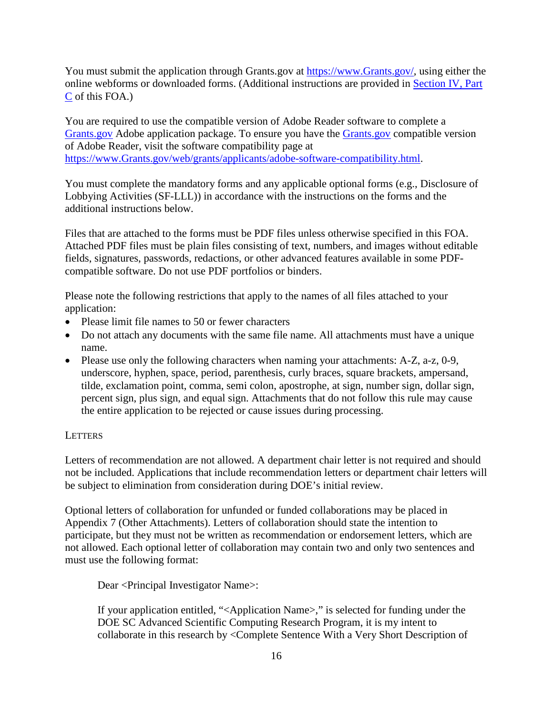You must submit the application through Grants.gov at [https://www.Grants.gov/,](https://www.grants.gov/) using either the online webforms or downloaded forms. (Additional instructions are provided in [Section](#page-16-0) IV, Part [C](#page-16-0) of this FOA.)

You are required to use the compatible version of Adobe Reader software to complete a [Grants.gov](https://www.grants.gov/) Adobe application package. To ensure you have the [Grants.gov](https://www.grants.gov/) compatible version of Adobe Reader, visit the software compatibility page at [https://www.Grants.gov/web/grants/applicants/adobe-software-compatibility.html.](http://www.grants.gov/web/grants/applicants/adobe-software-compatibility.html)

You must complete the mandatory forms and any applicable optional forms (e.g., Disclosure of Lobbying Activities (SF-LLL)) in accordance with the instructions on the forms and the additional instructions below.

Files that are attached to the forms must be PDF files unless otherwise specified in this FOA. Attached PDF files must be plain files consisting of text, numbers, and images without editable fields, signatures, passwords, redactions, or other advanced features available in some PDFcompatible software. Do not use PDF portfolios or binders.

Please note the following restrictions that apply to the names of all files attached to your application:

- Please limit file names to 50 or fewer characters
- Do not attach any documents with the same file name. All attachments must have a unique name.
- Please use only the following characters when naming your attachments: A-Z, a-z, 0-9, underscore, hyphen, space, period, parenthesis, curly braces, square brackets, ampersand, tilde, exclamation point, comma, semi colon, apostrophe, at sign, number sign, dollar sign, percent sign, plus sign, and equal sign. Attachments that do not follow this rule may cause the entire application to be rejected or cause issues during processing.

#### LETTERS

Letters of recommendation are not allowed. A department chair letter is not required and should not be included. Applications that include recommendation letters or department chair letters will be subject to elimination from consideration during DOE's initial review.

Optional letters of collaboration for unfunded or funded collaborations may be placed in Appendix 7 (Other Attachments). Letters of collaboration should state the intention to participate, but they must not be written as recommendation or endorsement letters, which are not allowed. Each optional letter of collaboration may contain two and only two sentences and must use the following format:

Dear <Principal Investigator Name>:

If your application entitled, "<Application Name>," is selected for funding under the DOE SC Advanced Scientific Computing Research Program, it is my intent to collaborate in this research by <Complete Sentence With a Very Short Description of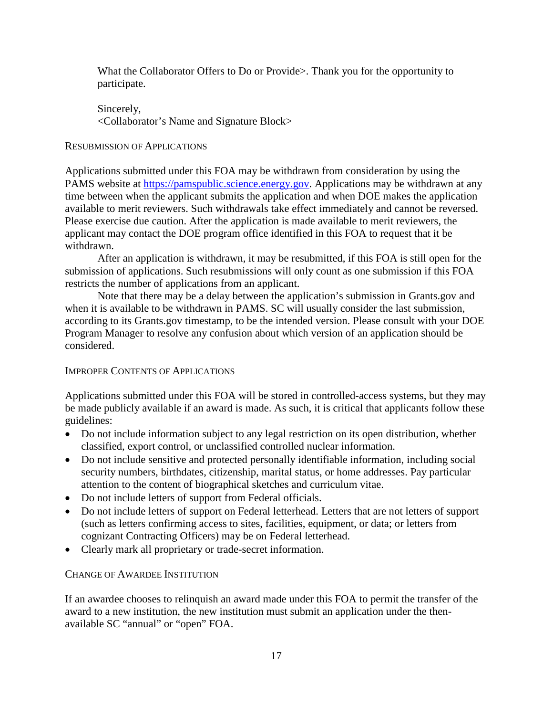What the Collaborator Offers to Do or Provide>. Thank you for the opportunity to participate.

Sincerely, <Collaborator's Name and Signature Block>

#### RESUBMISSION OF APPLICATIONS

Applications submitted under this FOA may be withdrawn from consideration by using the PAMS website at [https://pamspublic.science.energy.gov.](https://pamspublic.science.energy.gov/) Applications may be withdrawn at any time between when the applicant submits the application and when DOE makes the application available to merit reviewers. Such withdrawals take effect immediately and cannot be reversed. Please exercise due caution. After the application is made available to merit reviewers, the applicant may contact the DOE program office identified in this FOA to request that it be withdrawn.

After an application is withdrawn, it may be resubmitted, if this FOA is still open for the submission of applications. Such resubmissions will only count as one submission if this FOA restricts the number of applications from an applicant.

Note that there may be a delay between the application's submission in Grants.gov and when it is available to be withdrawn in PAMS. SC will usually consider the last submission, according to its Grants.gov timestamp, to be the intended version. Please consult with your DOE Program Manager to resolve any confusion about which version of an application should be considered.

#### IMPROPER CONTENTS OF APPLICATIONS

Applications submitted under this FOA will be stored in controlled-access systems, but they may be made publicly available if an award is made. As such, it is critical that applicants follow these guidelines:

- Do not include information subject to any legal restriction on its open distribution, whether classified, export control, or unclassified controlled nuclear information.
- Do not include sensitive and protected personally identifiable information, including social security numbers, birthdates, citizenship, marital status, or home addresses. Pay particular attention to the content of biographical sketches and curriculum vitae.
- Do not include letters of support from Federal officials.
- Do not include letters of support on Federal letterhead. Letters that are not letters of support (such as letters confirming access to sites, facilities, equipment, or data; or letters from cognizant Contracting Officers) may be on Federal letterhead.
- Clearly mark all proprietary or trade-secret information.

#### CHANGE OF AWARDEE INSTITUTION

If an awardee chooses to relinquish an award made under this FOA to permit the transfer of the award to a new institution, the new institution must submit an application under the thenavailable SC "annual" or "open" FOA.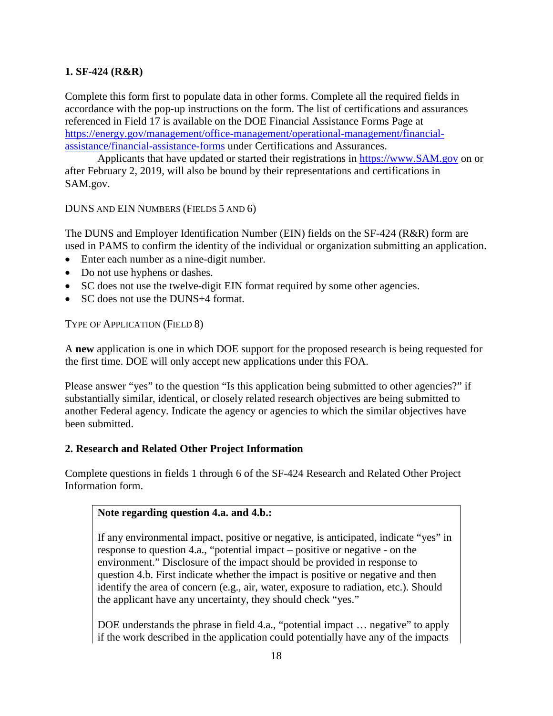#### **1. SF-424 (R&R)**

Complete this form first to populate data in other forms. Complete all the required fields in accordance with the pop-up instructions on the form. The list of certifications and assurances referenced in Field 17 is available on the DOE Financial Assistance Forms Page at [https://energy.gov/management/office-management/operational-management/financial](https://energy.gov/management/office-management/operational-management/financial-assistance/financial-assistance-forms)[assistance/financial-assistance-forms](https://energy.gov/management/office-management/operational-management/financial-assistance/financial-assistance-forms) under Certifications and Assurances.

Applicants that have updated or started their registrations in [https://www.SAM.gov](https://www.sam.gov/) on or after February 2, 2019, will also be bound by their representations and certifications in SAM.gov.

DUNS AND EIN NUMBERS (FIELDS 5 AND 6)

The DUNS and Employer Identification Number (EIN) fields on the SF-424 (R&R) form are used in PAMS to confirm the identity of the individual or organization submitting an application.

- Enter each number as a nine-digit number.
- Do not use hyphens or dashes.
- SC does not use the twelve-digit EIN format required by some other agencies.
- SC does not use the DUNS+4 format.

TYPE OF APPLICATION (FIELD 8)

A **new** application is one in which DOE support for the proposed research is being requested for the first time. DOE will only accept new applications under this FOA.

Please answer "yes" to the question "Is this application being submitted to other agencies?" if substantially similar, identical, or closely related research objectives are being submitted to another Federal agency. Indicate the agency or agencies to which the similar objectives have been submitted.

#### **2. Research and Related Other Project Information**

Complete questions in fields 1 through 6 of the SF-424 Research and Related Other Project Information form.

#### **Note regarding question 4.a. and 4.b.:**

If any environmental impact, positive or negative, is anticipated, indicate "yes" in response to question 4.a., "potential impact – positive or negative - on the environment." Disclosure of the impact should be provided in response to question 4.b. First indicate whether the impact is positive or negative and then identify the area of concern (e.g., air, water, exposure to radiation, etc.). Should the applicant have any uncertainty, they should check "yes."

DOE understands the phrase in field 4.a., "potential impact … negative" to apply if the work described in the application could potentially have any of the impacts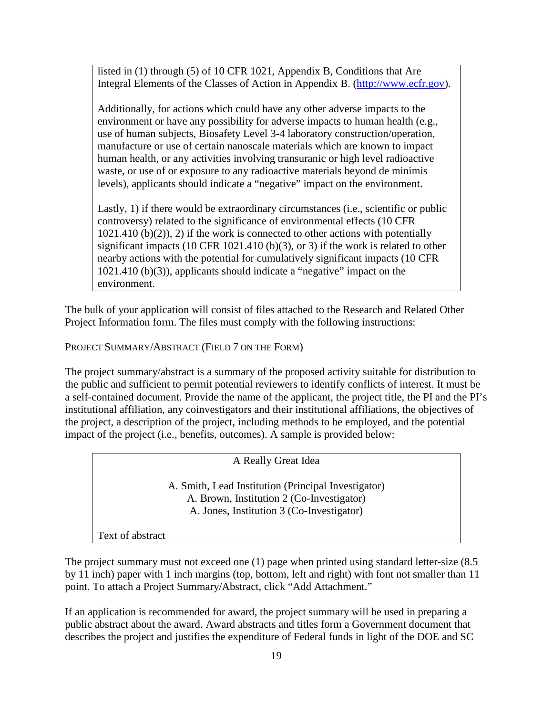listed in (1) through (5) of 10 CFR 1021, Appendix B, Conditions that Are Integral Elements of the Classes of Action in Appendix B. [\(http://www.ecfr.gov\)](http://www.ecfr.gov/).

Additionally, for actions which could have any other adverse impacts to the environment or have any possibility for adverse impacts to human health (e.g., use of human subjects, Biosafety Level 3-4 laboratory construction/operation, manufacture or use of certain nanoscale materials which are known to impact human health, or any activities involving transuranic or high level radioactive waste, or use of or exposure to any radioactive materials beyond de minimis levels), applicants should indicate a "negative" impact on the environment.

Lastly, 1) if there would be extraordinary circumstances (i.e., scientific or public controversy) related to the significance of environmental effects (10 CFR  $1021.410$  (b)(2)), 2) if the work is connected to other actions with potentially significant impacts (10 CFR 1021.410 (b)(3), or 3) if the work is related to other nearby actions with the potential for cumulatively significant impacts (10 CFR 1021.410 (b)(3)), applicants should indicate a "negative" impact on the environment.

The bulk of your application will consist of files attached to the Research and Related Other Project Information form. The files must comply with the following instructions:

PROJECT SUMMARY/ABSTRACT (FIELD 7 ON THE FORM)

The project summary/abstract is a summary of the proposed activity suitable for distribution to the public and sufficient to permit potential reviewers to identify conflicts of interest. It must be a self-contained document. Provide the name of the applicant, the project title, the PI and the PI's institutional affiliation, any coinvestigators and their institutional affiliations, the objectives of the project, a description of the project, including methods to be employed, and the potential impact of the project (i.e., benefits, outcomes). A sample is provided below:

A Really Great Idea

A. Smith, Lead Institution (Principal Investigator) A. Brown, Institution 2 (Co-Investigator) A. Jones, Institution 3 (Co-Investigator)

Text of abstract

The project summary must not exceed one (1) page when printed using standard letter-size (8.5) by 11 inch) paper with 1 inch margins (top, bottom, left and right) with font not smaller than 11 point. To attach a Project Summary/Abstract, click "Add Attachment."

If an application is recommended for award, the project summary will be used in preparing a public abstract about the award. Award abstracts and titles form a Government document that describes the project and justifies the expenditure of Federal funds in light of the DOE and SC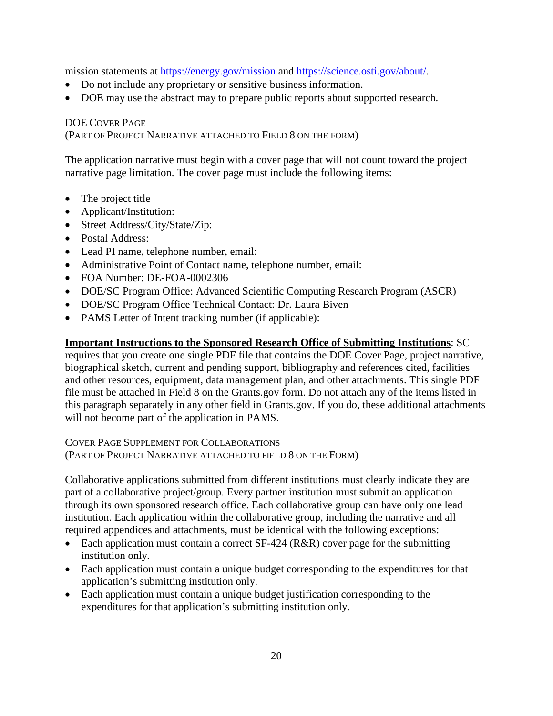mission statements at <https://energy.gov/mission> and [https://science.osti.gov/about/.](https://science.osti.gov/about/)

- Do not include any proprietary or sensitive business information.
- DOE may use the abstract may to prepare public reports about supported research.

### DOE COVER PAGE (PART OF PROJECT NARRATIVE ATTACHED TO FIELD 8 ON THE FORM)

The application narrative must begin with a cover page that will not count toward the project narrative page limitation. The cover page must include the following items:

- The project title
- Applicant/Institution:
- Street Address/City/State/Zip:
- Postal Address:
- Lead PI name, telephone number, email:
- Administrative Point of Contact name, telephone number, email:
- FOA Number: DE-FOA-0002306
- DOE/SC Program Office: Advanced Scientific Computing Research Program (ASCR)
- DOE/SC Program Office Technical Contact: Dr. Laura Biven
- PAMS Letter of Intent tracking number (if applicable):

#### **Important Instructions to the Sponsored Research Office of Submitting Institutions**: SC

requires that you create one single PDF file that contains the DOE Cover Page, project narrative, biographical sketch, current and pending support, bibliography and references cited, facilities and other resources, equipment, data management plan, and other attachments. This single PDF file must be attached in Field 8 on the Grants.gov form. Do not attach any of the items listed in this paragraph separately in any other field in Grants.gov. If you do, these additional attachments will not become part of the application in PAMS.

COVER PAGE SUPPLEMENT FOR COLLABORATIONS (PART OF PROJECT NARRATIVE ATTACHED TO FIELD 8 ON THE FORM)

Collaborative applications submitted from different institutions must clearly indicate they are part of a collaborative project/group. Every partner institution must submit an application through its own sponsored research office. Each collaborative group can have only one lead institution. Each application within the collaborative group, including the narrative and all required appendices and attachments, must be identical with the following exceptions:

- Each application must contain a correct SF-424 (R&R) cover page for the submitting institution only.
- Each application must contain a unique budget corresponding to the expenditures for that application's submitting institution only.
- Each application must contain a unique budget justification corresponding to the expenditures for that application's submitting institution only.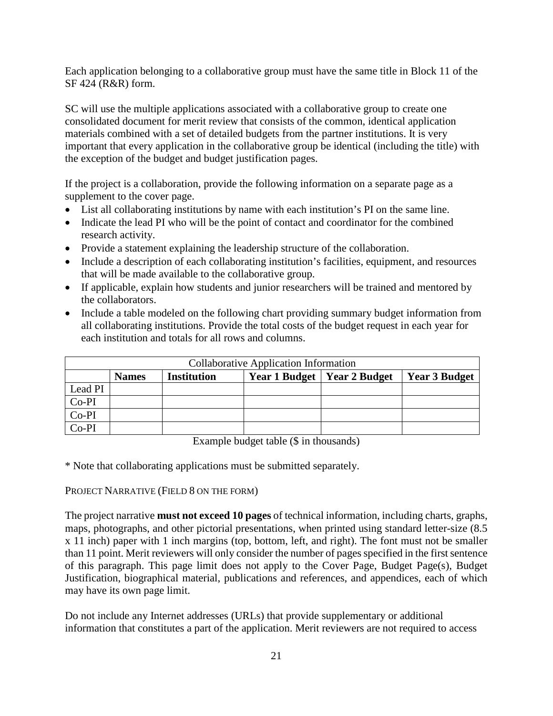Each application belonging to a collaborative group must have the same title in Block 11 of the SF 424 (R&R) form.

SC will use the multiple applications associated with a collaborative group to create one consolidated document for merit review that consists of the common, identical application materials combined with a set of detailed budgets from the partner institutions. It is very important that every application in the collaborative group be identical (including the title) with the exception of the budget and budget justification pages.

If the project is a collaboration, provide the following information on a separate page as a supplement to the cover page.

- List all collaborating institutions by name with each institution's PI on the same line.
- Indicate the lead PI who will be the point of contact and coordinator for the combined research activity.
- Provide a statement explaining the leadership structure of the collaboration.
- Include a description of each collaborating institution's facilities, equipment, and resources that will be made available to the collaborative group.
- If applicable, explain how students and junior researchers will be trained and mentored by the collaborators.
- Include a table modeled on the following chart providing summary budget information from all collaborating institutions. Provide the total costs of the budget request in each year for each institution and totals for all rows and columns.

| <b>Collaborative Application Information</b> |              |                    |  |                                      |                      |
|----------------------------------------------|--------------|--------------------|--|--------------------------------------|----------------------|
|                                              | <b>Names</b> | <b>Institution</b> |  | <b>Year 1 Budget   Year 2 Budget</b> | <b>Year 3 Budget</b> |
| Lead PI                                      |              |                    |  |                                      |                      |
| $Co-PI$                                      |              |                    |  |                                      |                      |
| Co-PI                                        |              |                    |  |                                      |                      |
| Co-PI                                        |              |                    |  |                                      |                      |

Example budget table (\$ in thousands)

\* Note that collaborating applications must be submitted separately.

PROJECT NARRATIVE (FIELD 8 ON THE FORM)

The project narrative **must not exceed 10 pages** of technical information, including charts, graphs, maps, photographs, and other pictorial presentations, when printed using standard letter-size (8.5 x 11 inch) paper with 1 inch margins (top, bottom, left, and right). The font must not be smaller than 11 point. Merit reviewers will only consider the number of pages specified in the first sentence of this paragraph. This page limit does not apply to the Cover Page, Budget Page(s), Budget Justification, biographical material, publications and references, and appendices, each of which may have its own page limit.

Do not include any Internet addresses (URLs) that provide supplementary or additional information that constitutes a part of the application. Merit reviewers are not required to access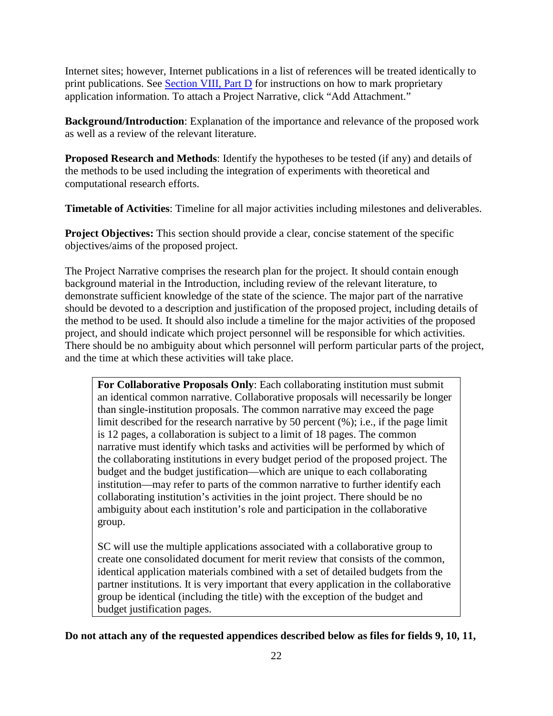Internet sites; however, Internet publications in a list of references will be treated identically to print publications. See Section [VIII, Part D](#page-52-4) for instructions on how to mark proprietary application information. To attach a Project Narrative, click "Add Attachment."

**Background/Introduction**: Explanation of the importance and relevance of the proposed work as well as a review of the relevant literature.

**Proposed Research and Methods**: Identify the hypotheses to be tested (if any) and details of the methods to be used including the integration of experiments with theoretical and computational research efforts.

**Timetable of Activities**: Timeline for all major activities including milestones and deliverables.

**Project Objectives:** This section should provide a clear, concise statement of the specific objectives/aims of the proposed project.

The Project Narrative comprises the research plan for the project. It should contain enough background material in the Introduction, including review of the relevant literature, to demonstrate sufficient knowledge of the state of the science. The major part of the narrative should be devoted to a description and justification of the proposed project, including details of the method to be used. It should also include a timeline for the major activities of the proposed project, and should indicate which project personnel will be responsible for which activities. There should be no ambiguity about which personnel will perform particular parts of the project, and the time at which these activities will take place.

**For Collaborative Proposals Only**: Each collaborating institution must submit an identical common narrative. Collaborative proposals will necessarily be longer than single-institution proposals. The common narrative may exceed the page limit described for the research narrative by 50 percent (%); i.e., if the page limit is 12 pages, a collaboration is subject to a limit of 18 pages. The common narrative must identify which tasks and activities will be performed by which of the collaborating institutions in every budget period of the proposed project. The budget and the budget justification—which are unique to each collaborating institution—may refer to parts of the common narrative to further identify each collaborating institution's activities in the joint project. There should be no ambiguity about each institution's role and participation in the collaborative group.

SC will use the multiple applications associated with a collaborative group to create one consolidated document for merit review that consists of the common, identical application materials combined with a set of detailed budgets from the partner institutions. It is very important that every application in the collaborative group be identical (including the title) with the exception of the budget and budget justification pages.

**Do not attach any of the requested appendices described below as files for fields 9, 10, 11,**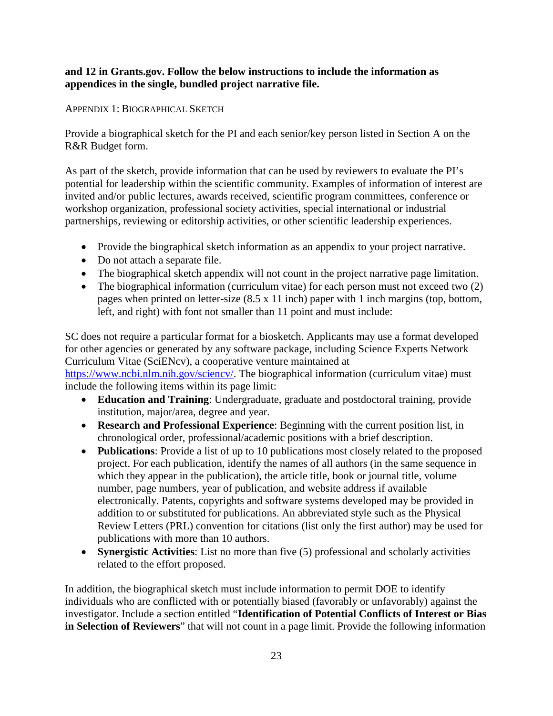#### **and 12 in Grants.gov. Follow the below instructions to include the information as appendices in the single, bundled project narrative file.**

#### APPENDIX 1: BIOGRAPHICAL SKETCH

Provide a biographical sketch for the PI and each senior/key person listed in Section A on the R&R Budget form.

As part of the sketch, provide information that can be used by reviewers to evaluate the PI's potential for leadership within the scientific community. Examples of information of interest are invited and/or public lectures, awards received, scientific program committees, conference or workshop organization, professional society activities, special international or industrial partnerships, reviewing or editorship activities, or other scientific leadership experiences.

- Provide the biographical sketch information as an appendix to your project narrative.
- Do not attach a separate file.
- The biographical sketch appendix will not count in the project narrative page limitation.
- The biographical information (curriculum vitae) for each person must not exceed two (2) pages when printed on letter-size (8.5 x 11 inch) paper with 1 inch margins (top, bottom, left, and right) with font not smaller than 11 point and must include:

SC does not require a particular format for a biosketch. Applicants may use a format developed for other agencies or generated by any software package, including Science Experts Network Curriculum Vitae (SciENcv), a cooperative venture maintained at https://www.ncbi.nlm.nih.gov/sciency/. The biographical information (curriculum vitae) must include the following items within its page limit:

- **Education and Training**: Undergraduate, graduate and postdoctoral training, provide institution, major/area, degree and year.
- **Research and Professional Experience**: Beginning with the current position list, in chronological order, professional/academic positions with a brief description.
- **Publications**: Provide a list of up to 10 publications most closely related to the proposed project. For each publication, identify the names of all authors (in the same sequence in which they appear in the publication), the article title, book or journal title, volume number, page numbers, year of publication, and website address if available electronically. Patents, copyrights and software systems developed may be provided in addition to or substituted for publications. An abbreviated style such as the Physical Review Letters (PRL) convention for citations (list only the first author) may be used for publications with more than 10 authors.
- **Synergistic Activities**: List no more than five (5) professional and scholarly activities related to the effort proposed.

In addition, the biographical sketch must include information to permit DOE to identify individuals who are conflicted with or potentially biased (favorably or unfavorably) against the investigator. Include a section entitled "**Identification of Potential Conflicts of Interest or Bias in Selection of Reviewers**" that will not count in a page limit. Provide the following information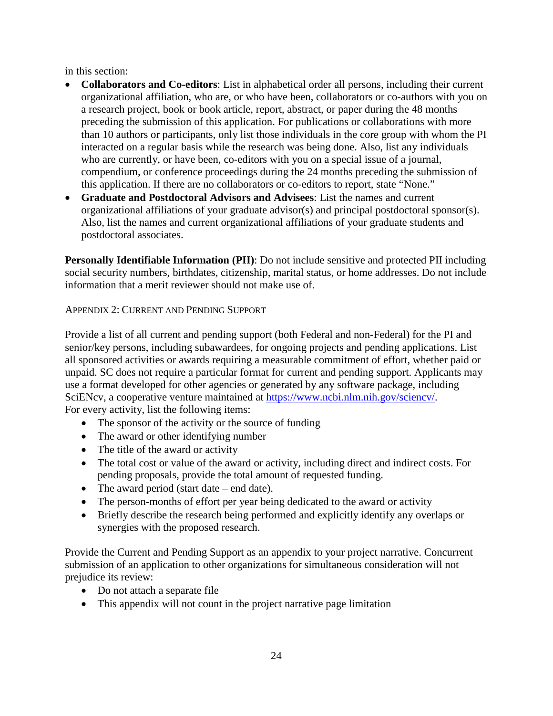in this section:

- **Collaborators and Co-editors**: List in alphabetical order all persons, including their current organizational affiliation, who are, or who have been, collaborators or co-authors with you on a research project, book or book article, report, abstract, or paper during the 48 months preceding the submission of this application. For publications or collaborations with more than 10 authors or participants, only list those individuals in the core group with whom the PI interacted on a regular basis while the research was being done. Also, list any individuals who are currently, or have been, co-editors with you on a special issue of a journal, compendium, or conference proceedings during the 24 months preceding the submission of this application. If there are no collaborators or co-editors to report, state "None."
- **Graduate and Postdoctoral Advisors and Advisees**: List the names and current organizational affiliations of your graduate advisor(s) and principal postdoctoral sponsor(s). Also, list the names and current organizational affiliations of your graduate students and postdoctoral associates.

**Personally Identifiable Information (PII)**: Do not include sensitive and protected PII including social security numbers, birthdates, citizenship, marital status, or home addresses. Do not include information that a merit reviewer should not make use of.

APPENDIX 2: CURRENT AND PENDING SUPPORT

Provide a list of all current and pending support (both Federal and non-Federal) for the PI and senior/key persons, including subawardees, for ongoing projects and pending applications. List all sponsored activities or awards requiring a measurable commitment of effort, whether paid or unpaid. SC does not require a particular format for current and pending support. Applicants may use a format developed for other agencies or generated by any software package, including SciENcv, a cooperative venture maintained at [https://www.ncbi.nlm.nih.gov/sciencv/.](https://www.ncbi.nlm.nih.gov/sciencv/) For every activity, list the following items:

- The sponsor of the activity or the source of funding
- The award or other identifying number
- The title of the award or activity
- The total cost or value of the award or activity, including direct and indirect costs. For pending proposals, provide the total amount of requested funding.
- The award period (start date end date).
- The person-months of effort per year being dedicated to the award or activity
- Briefly describe the research being performed and explicitly identify any overlaps or synergies with the proposed research.

Provide the Current and Pending Support as an appendix to your project narrative. Concurrent submission of an application to other organizations for simultaneous consideration will not prejudice its review:

- Do not attach a separate file
- This appendix will not count in the project narrative page limitation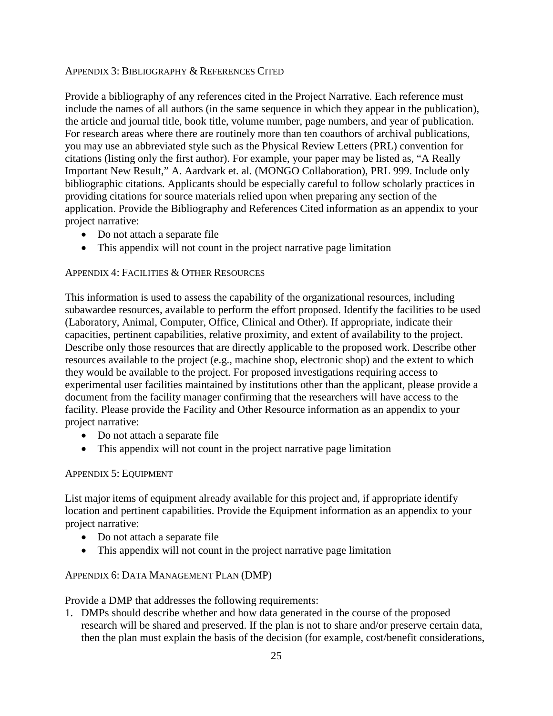#### APPENDIX 3: BIBLIOGRAPHY & REFERENCES CITED

Provide a bibliography of any references cited in the Project Narrative. Each reference must include the names of all authors (in the same sequence in which they appear in the publication), the article and journal title, book title, volume number, page numbers, and year of publication. For research areas where there are routinely more than ten coauthors of archival publications, you may use an abbreviated style such as the Physical Review Letters (PRL) convention for citations (listing only the first author). For example, your paper may be listed as, "A Really Important New Result," A. Aardvark et. al. (MONGO Collaboration), PRL 999. Include only bibliographic citations. Applicants should be especially careful to follow scholarly practices in providing citations for source materials relied upon when preparing any section of the application. Provide the Bibliography and References Cited information as an appendix to your project narrative:

- Do not attach a separate file
- This appendix will not count in the project narrative page limitation

#### APPENDIX 4: FACILITIES & OTHER RESOURCES

This information is used to assess the capability of the organizational resources, including subawardee resources, available to perform the effort proposed. Identify the facilities to be used (Laboratory, Animal, Computer, Office, Clinical and Other). If appropriate, indicate their capacities, pertinent capabilities, relative proximity, and extent of availability to the project. Describe only those resources that are directly applicable to the proposed work. Describe other resources available to the project (e.g., machine shop, electronic shop) and the extent to which they would be available to the project. For proposed investigations requiring access to experimental user facilities maintained by institutions other than the applicant, please provide a document from the facility manager confirming that the researchers will have access to the facility. Please provide the Facility and Other Resource information as an appendix to your project narrative:

- Do not attach a separate file
- This appendix will not count in the project narrative page limitation

#### APPENDIX 5: EQUIPMENT

List major items of equipment already available for this project and, if appropriate identify location and pertinent capabilities. Provide the Equipment information as an appendix to your project narrative:

- Do not attach a separate file
- This appendix will not count in the project narrative page limitation

#### <span id="page-29-0"></span>APPENDIX 6: DATA MANAGEMENT PLAN (DMP)

Provide a DMP that addresses the following requirements:

1. DMPs should describe whether and how data generated in the course of the proposed research will be [shared](https://cms1.sc.osti.gov/funding-opportunities/digital-data-management/#Sharing) and [preserved.](https://cms1.sc.osti.gov/funding-opportunities/digital-data-management/#Preservation) If the plan is not to share and/or preserve certain data, then the plan must explain the basis of the decision (for example, cost/benefit considerations,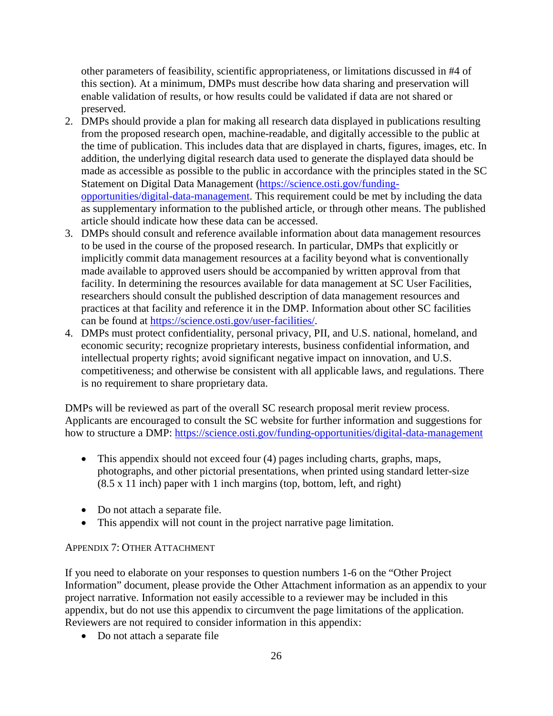other parameters of feasibility, scientific appropriateness, or limitations discussed in #4 of this section). At a minimum, DMPs must describe how data sharing and preservation will enable [validation](https://cms1.sc.osti.gov/funding-opportunities/digital-data-management/#Validate) of results, or how results could be validated if data are not shared or preserved.

- 2. DMPs should provide a plan for making all research data displayed in publications resulting from the proposed research open, machine-readable, and digitally accessible to the public at the time of publication. This includes data that are displayed in charts, figures, images, etc. In addition, the underlying digital research data used to generate the displayed data should be made as accessible as possible to the public in accordance with the principles stated in the SC Statement on Digital Data Management [\(https://science.osti.gov/funding](https://science.osti.gov/funding-opportunities/digital-data-management)[opportunities/digital-data-management.](https://science.osti.gov/funding-opportunities/digital-data-management) This requirement could be met by including the data as supplementary information to the published article, or through other means. The published article should indicate how these data can be accessed.
- 3. DMPs should consult and reference available information about data management resources to be used in the course of the proposed research. In particular, DMPs that explicitly or implicitly commit data management resources at a facility beyond what is conventionally made available to approved users should be accompanied by written approval from that facility. In determining the resources available for data management at SC User Facilities, researchers should consult the published description of data management resources and practices at that facility and reference it in the DMP. Information about other SC facilities can be found at [https://science.osti.gov/user-facilities/.](https://science.osti.gov/user-facilities/)
- 4. DMPs must protect confidentiality, personal privacy, [PII,](https://cms1.sc.osti.gov/funding-opportunities/digital-data-management/faqs/#HSRFAQ) and U.S. national, homeland, and economic security; recognize proprietary interests, business confidential information, and intellectual property rights; avoid significant negative impact on innovation, and U.S. competitiveness; and otherwise be consistent with all applicable laws, and regulations. There is no requirement to share proprietary data.

DMPs will be reviewed as part of the overall SC research proposal merit review process. Applicants are encouraged to consult the SC website for further information and suggestions for how to structure a DMP: <https://science.osti.gov/funding-opportunities/digital-data-management>

- This appendix should not exceed four (4) pages including charts, graphs, maps, photographs, and other pictorial presentations, when printed using standard letter-size (8.5 x 11 inch) paper with 1 inch margins (top, bottom, left, and right)
- Do not attach a separate file.
- This appendix will not count in the project narrative page limitation.

#### APPENDIX 7: OTHER ATTACHMENT

If you need to elaborate on your responses to question numbers 1-6 on the "Other Project Information" document, please provide the Other Attachment information as an appendix to your project narrative. Information not easily accessible to a reviewer may be included in this appendix, but do not use this appendix to circumvent the page limitations of the application. Reviewers are not required to consider information in this appendix:

• Do not attach a separate file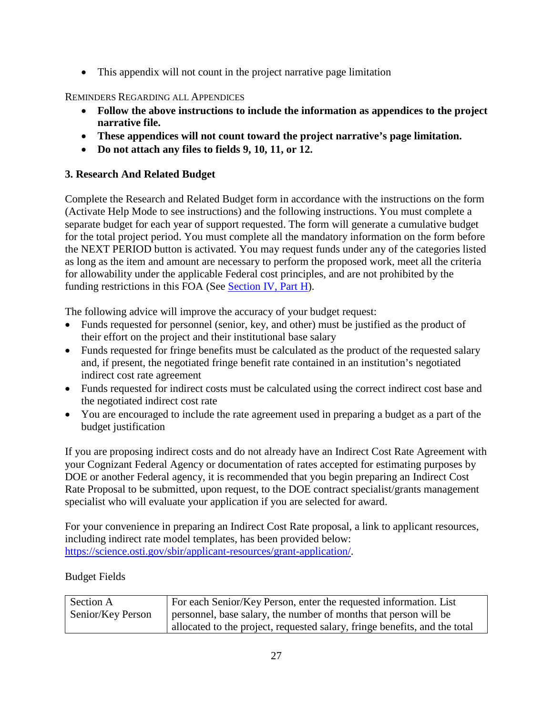• This appendix will not count in the project narrative page limitation

#### REMINDERS REGARDING ALL APPENDICES

- **Follow the above instructions to include the information as appendices to the project narrative file.**
- **These appendices will not count toward the project narrative's page limitation.**
- **Do not attach any files to fields 9, 10, 11, or 12.**

### **3. Research And Related Budget**

Complete the Research and Related Budget form in accordance with the instructions on the form (Activate Help Mode to see instructions) and the following instructions. You must complete a separate budget for each year of support requested. The form will generate a cumulative budget for the total project period. You must complete all the mandatory information on the form before the NEXT PERIOD button is activated. You may request funds under any of the categories listed as long as the item and amount are necessary to perform the proposed work, meet all the criteria for allowability under the applicable Federal cost principles, and are not prohibited by the funding restrictions in this FOA (See [Section IV, Part H\)](#page-37-1).

The following advice will improve the accuracy of your budget request:

- Funds requested for personnel (senior, key, and other) must be justified as the product of their effort on the project and their institutional base salary
- Funds requested for fringe benefits must be calculated as the product of the requested salary and, if present, the negotiated fringe benefit rate contained in an institution's negotiated indirect cost rate agreement
- Funds requested for indirect costs must be calculated using the correct indirect cost base and the negotiated indirect cost rate
- You are encouraged to include the rate agreement used in preparing a budget as a part of the budget justification

If you are proposing indirect costs and do not already have an Indirect Cost Rate Agreement with your Cognizant Federal Agency or documentation of rates accepted for estimating purposes by DOE or another Federal agency, it is recommended that you begin preparing an Indirect Cost Rate Proposal to be submitted, upon request, to the DOE contract specialist/grants management specialist who will evaluate your application if you are selected for award.

For your convenience in preparing an Indirect Cost Rate proposal, a link to applicant resources, including indirect rate model templates, has been provided below: [https://science.osti.gov/sbir/applicant-resources/grant-application/.](https://science.osti.gov/sbir/applicant-resources/grant-application/)

### Budget Fields

| Section A         | For each Senior/Key Person, enter the requested information. List          |
|-------------------|----------------------------------------------------------------------------|
| Senior/Key Person | personnel, base salary, the number of months that person will be           |
|                   | allocated to the project, requested salary, fringe benefits, and the total |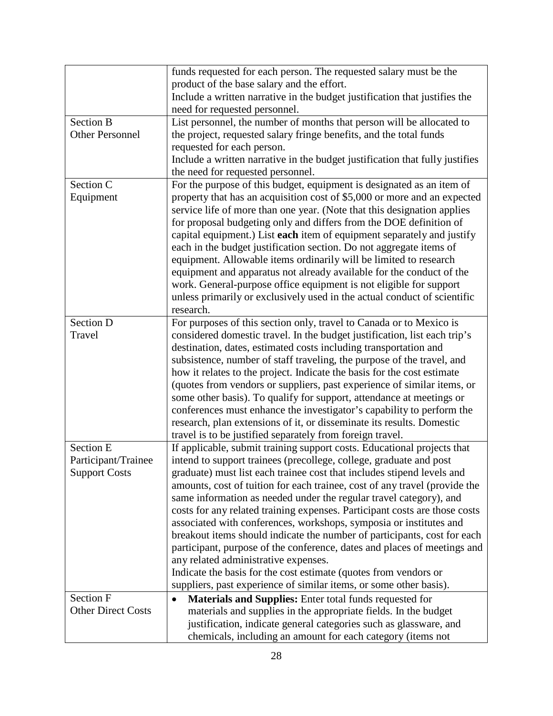|                           | funds requested for each person. The requested salary must be the<br>product of the base salary and the effort. |
|---------------------------|-----------------------------------------------------------------------------------------------------------------|
|                           | Include a written narrative in the budget justification that justifies the                                      |
|                           | need for requested personnel.                                                                                   |
| <b>Section B</b>          | List personnel, the number of months that person will be allocated to                                           |
| <b>Other Personnel</b>    | the project, requested salary fringe benefits, and the total funds                                              |
|                           |                                                                                                                 |
|                           | requested for each person.                                                                                      |
|                           | Include a written narrative in the budget justification that fully justifies                                    |
|                           | the need for requested personnel.                                                                               |
| Section C                 | For the purpose of this budget, equipment is designated as an item of                                           |
| Equipment                 | property that has an acquisition cost of \$5,000 or more and an expected                                        |
|                           | service life of more than one year. (Note that this designation applies                                         |
|                           | for proposal budgeting only and differs from the DOE definition of                                              |
|                           | capital equipment.) List each item of equipment separately and justify                                          |
|                           | each in the budget justification section. Do not aggregate items of                                             |
|                           | equipment. Allowable items ordinarily will be limited to research                                               |
|                           | equipment and apparatus not already available for the conduct of the                                            |
|                           | work. General-purpose office equipment is not eligible for support                                              |
|                           | unless primarily or exclusively used in the actual conduct of scientific                                        |
|                           | research.                                                                                                       |
| <b>Section D</b>          | For purposes of this section only, travel to Canada or to Mexico is                                             |
| Travel                    | considered domestic travel. In the budget justification, list each trip's                                       |
|                           | destination, dates, estimated costs including transportation and                                                |
|                           | subsistence, number of staff traveling, the purpose of the travel, and                                          |
|                           | how it relates to the project. Indicate the basis for the cost estimate                                         |
|                           | (quotes from vendors or suppliers, past experience of similar items, or                                         |
|                           | some other basis). To qualify for support, attendance at meetings or                                            |
|                           | conferences must enhance the investigator's capability to perform the                                           |
|                           | research, plan extensions of it, or disseminate its results. Domestic                                           |
|                           | travel is to be justified separately from foreign travel.                                                       |
| Section E                 | If applicable, submit training support costs. Educational projects that                                         |
| Participant/Trainee       | intend to support trainees (precollege, college, graduate and post                                              |
| <b>Support Costs</b>      | graduate) must list each trainee cost that includes stipend levels and                                          |
|                           | amounts, cost of tuition for each trainee, cost of any travel (provide the                                      |
|                           | same information as needed under the regular travel category), and                                              |
|                           | costs for any related training expenses. Participant costs are those costs                                      |
|                           | associated with conferences, workshops, symposia or institutes and                                              |
|                           | breakout items should indicate the number of participants, cost for each                                        |
|                           | participant, purpose of the conference, dates and places of meetings and                                        |
|                           | any related administrative expenses.                                                                            |
|                           | Indicate the basis for the cost estimate (quotes from vendors or                                                |
|                           | suppliers, past experience of similar items, or some other basis).                                              |
| <b>Section F</b>          | Materials and Supplies: Enter total funds requested for<br>٠                                                    |
| <b>Other Direct Costs</b> | materials and supplies in the appropriate fields. In the budget                                                 |
|                           | justification, indicate general categories such as glassware, and                                               |
|                           | chemicals, including an amount for each category (items not                                                     |
|                           |                                                                                                                 |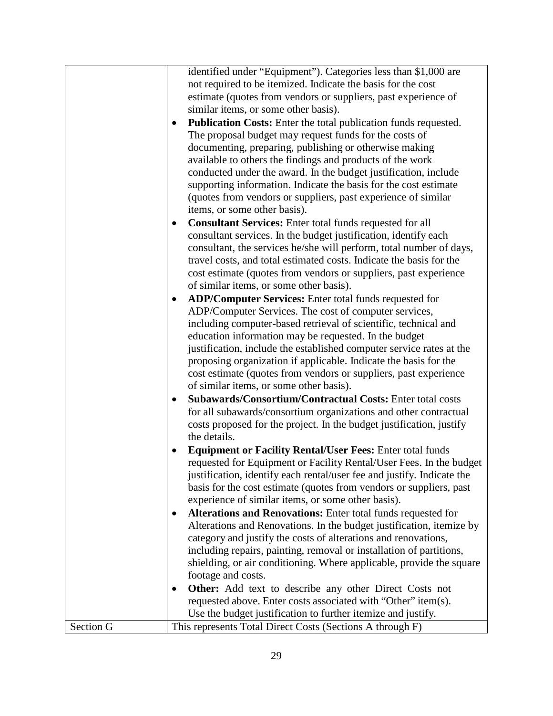|           | identified under "Equipment"). Categories less than \$1,000 are<br>not required to be itemized. Indicate the basis for the cost |
|-----------|---------------------------------------------------------------------------------------------------------------------------------|
|           | estimate (quotes from vendors or suppliers, past experience of                                                                  |
|           | similar items, or some other basis).                                                                                            |
|           | Publication Costs: Enter the total publication funds requested.                                                                 |
|           | The proposal budget may request funds for the costs of                                                                          |
|           | documenting, preparing, publishing or otherwise making                                                                          |
|           | available to others the findings and products of the work                                                                       |
|           | conducted under the award. In the budget justification, include                                                                 |
|           | supporting information. Indicate the basis for the cost estimate                                                                |
|           | (quotes from vendors or suppliers, past experience of similar                                                                   |
|           | items, or some other basis).                                                                                                    |
|           | <b>Consultant Services:</b> Enter total funds requested for all                                                                 |
|           | consultant services. In the budget justification, identify each                                                                 |
|           | consultant, the services he/she will perform, total number of days,                                                             |
|           | travel costs, and total estimated costs. Indicate the basis for the                                                             |
|           | cost estimate (quotes from vendors or suppliers, past experience                                                                |
|           | of similar items, or some other basis).                                                                                         |
|           | <b>ADP/Computer Services:</b> Enter total funds requested for                                                                   |
|           | ADP/Computer Services. The cost of computer services,                                                                           |
|           | including computer-based retrieval of scientific, technical and                                                                 |
|           | education information may be requested. In the budget                                                                           |
|           | justification, include the established computer service rates at the                                                            |
|           | proposing organization if applicable. Indicate the basis for the                                                                |
|           | cost estimate (quotes from vendors or suppliers, past experience                                                                |
|           | of similar items, or some other basis).<br>Subawards/Consortium/Contractual Costs: Enter total costs                            |
|           | for all subawards/consortium organizations and other contractual                                                                |
|           | costs proposed for the project. In the budget justification, justify                                                            |
|           | the details.                                                                                                                    |
|           | <b>Equipment or Facility Rental/User Fees: Enter total funds</b>                                                                |
|           | requested for Equipment or Facility Rental/User Fees. In the budget                                                             |
|           | justification, identify each rental/user fee and justify. Indicate the                                                          |
|           | basis for the cost estimate (quotes from vendors or suppliers, past                                                             |
|           | experience of similar items, or some other basis).                                                                              |
|           | Alterations and Renovations: Enter total funds requested for                                                                    |
|           | Alterations and Renovations. In the budget justification, itemize by                                                            |
|           | category and justify the costs of alterations and renovations,                                                                  |
|           | including repairs, painting, removal or installation of partitions,                                                             |
|           | shielding, or air conditioning. Where applicable, provide the square                                                            |
|           | footage and costs.                                                                                                              |
|           | <b>Other:</b> Add text to describe any other Direct Costs not                                                                   |
|           | requested above. Enter costs associated with "Other" item(s).                                                                   |
|           | Use the budget justification to further itemize and justify.                                                                    |
| Section G | This represents Total Direct Costs (Sections A through F)                                                                       |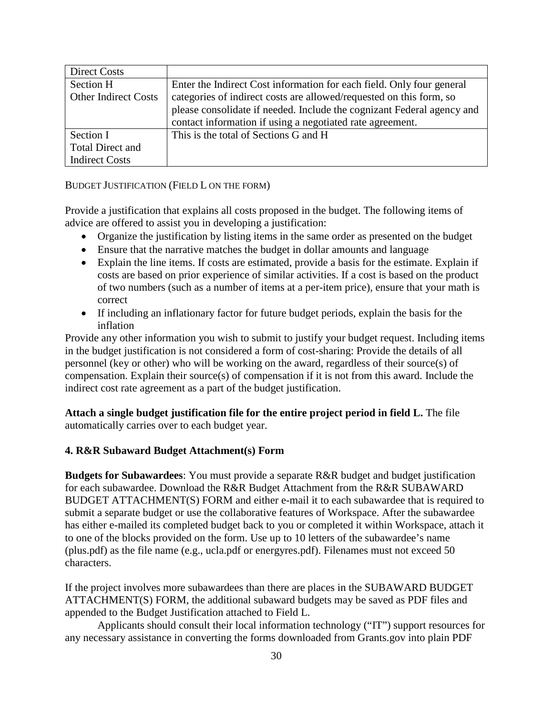| Direct Costs                |                                                                        |
|-----------------------------|------------------------------------------------------------------------|
| Section H                   | Enter the Indirect Cost information for each field. Only four general  |
| <b>Other Indirect Costs</b> | categories of indirect costs are allowed/requested on this form, so    |
|                             | please consolidate if needed. Include the cognizant Federal agency and |
|                             | contact information if using a negotiated rate agreement.              |
| Section I                   | This is the total of Sections G and H                                  |
| <b>Total Direct and</b>     |                                                                        |
| <b>Indirect Costs</b>       |                                                                        |

BUDGET JUSTIFICATION (FIELD L ON THE FORM)

Provide a justification that explains all costs proposed in the budget. The following items of advice are offered to assist you in developing a justification:

- Organize the justification by listing items in the same order as presented on the budget
- Ensure that the narrative matches the budget in dollar amounts and language
- Explain the line items. If costs are estimated, provide a basis for the estimate. Explain if costs are based on prior experience of similar activities. If a cost is based on the product of two numbers (such as a number of items at a per-item price), ensure that your math is correct
- If including an inflationary factor for future budget periods, explain the basis for the inflation

Provide any other information you wish to submit to justify your budget request. Including items in the budget justification is not considered a form of cost-sharing: Provide the details of all personnel (key or other) who will be working on the award, regardless of their source(s) of compensation. Explain their source(s) of compensation if it is not from this award. Include the indirect cost rate agreement as a part of the budget justification.

**Attach a single budget justification file for the entire project period in field L.** The file automatically carries over to each budget year.

#### **4. R&R Subaward Budget Attachment(s) Form**

**Budgets for Subawardees**: You must provide a separate R&R budget and budget justification for each subawardee. Download the R&R Budget Attachment from the R&R SUBAWARD BUDGET ATTACHMENT(S) FORM and either e-mail it to each subawardee that is required to submit a separate budget or use the collaborative features of Workspace. After the subawardee has either e-mailed its completed budget back to you or completed it within Workspace, attach it to one of the blocks provided on the form. Use up to 10 letters of the subawardee's name (plus.pdf) as the file name (e.g., ucla.pdf or energyres.pdf). Filenames must not exceed 50 characters.

If the project involves more subawardees than there are places in the SUBAWARD BUDGET ATTACHMENT(S) FORM, the additional subaward budgets may be saved as PDF files and appended to the Budget Justification attached to Field L.

Applicants should consult their local information technology ("IT") support resources for any necessary assistance in converting the forms downloaded from Grants.gov into plain PDF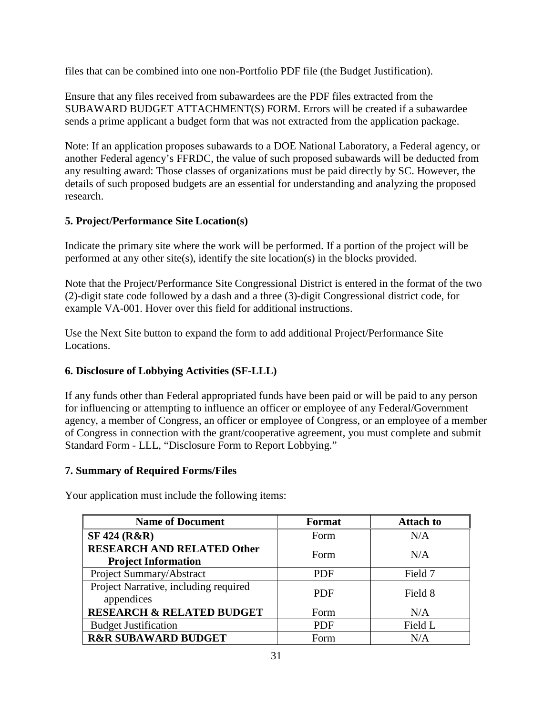files that can be combined into one non-Portfolio PDF file (the Budget Justification).

Ensure that any files received from subawardees are the PDF files extracted from the SUBAWARD BUDGET ATTACHMENT(S) FORM. Errors will be created if a subawardee sends a prime applicant a budget form that was not extracted from the application package.

Note: If an application proposes subawards to a DOE National Laboratory, a Federal agency, or another Federal agency's FFRDC, the value of such proposed subawards will be deducted from any resulting award: Those classes of organizations must be paid directly by SC. However, the details of such proposed budgets are an essential for understanding and analyzing the proposed research.

### **5. Project/Performance Site Location(s)**

Indicate the primary site where the work will be performed. If a portion of the project will be performed at any other site(s), identify the site location(s) in the blocks provided.

Note that the Project/Performance Site Congressional District is entered in the format of the two (2)-digit state code followed by a dash and a three (3)-digit Congressional district code, for example VA-001. Hover over this field for additional instructions.

Use the Next Site button to expand the form to add additional Project/Performance Site Locations.

### **6. Disclosure of Lobbying Activities (SF-LLL)**

If any funds other than Federal appropriated funds have been paid or will be paid to any person for influencing or attempting to influence an officer or employee of any Federal/Government agency, a member of Congress, an officer or employee of Congress, or an employee of a member of Congress in connection with the grant/cooperative agreement, you must complete and submit Standard Form - LLL, "Disclosure Form to Report Lobbying."

### **7. Summary of Required Forms/Files**

| <b>Name of Document</b>                                         | Format     | <b>Attach to</b> |
|-----------------------------------------------------------------|------------|------------------|
| SF 424 (R&R)                                                    | Form       | N/A              |
| <b>RESEARCH AND RELATED Other</b><br><b>Project Information</b> | Form       | N/A              |
| Project Summary/Abstract                                        | <b>PDF</b> | Field 7          |
| Project Narrative, including required<br>appendices             | <b>PDF</b> | Field 8          |
| <b>RESEARCH &amp; RELATED BUDGET</b>                            | Form       | N/A              |
| <b>Budget Justification</b>                                     | <b>PDF</b> | Field L          |
| <b>R&amp;R SUBAWARD BUDGET</b>                                  | Form       | N/A              |

Your application must include the following items: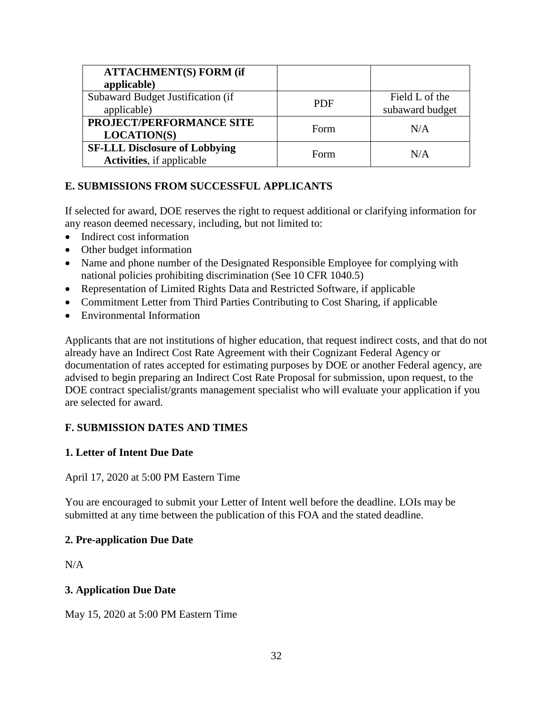| <b>ATTACHMENT(S) FORM (if</b>        |            |                 |
|--------------------------------------|------------|-----------------|
| applicable)                          |            |                 |
| Subaward Budget Justification (if    | <b>PDF</b> | Field L of the  |
| applicable)                          |            | subaward budget |
| PROJECT/PERFORMANCE SITE             | Form       | N/A             |
| <b>LOCATION(S)</b>                   |            |                 |
| <b>SF-LLL Disclosure of Lobbying</b> | Form       | N/A             |
| <b>Activities</b> , if applicable    |            |                 |

### <span id="page-36-0"></span>**E. SUBMISSIONS FROM SUCCESSFUL APPLICANTS**

If selected for award, DOE reserves the right to request additional or clarifying information for any reason deemed necessary, including, but not limited to:

- Indirect cost information
- Other budget information
- Name and phone number of the Designated Responsible Employee for complying with national policies prohibiting discrimination (See 10 CFR 1040.5)
- Representation of Limited Rights Data and Restricted Software, if applicable
- Commitment Letter from Third Parties Contributing to Cost Sharing, if applicable
- Environmental Information

Applicants that are not institutions of higher education, that request indirect costs, and that do not already have an Indirect Cost Rate Agreement with their Cognizant Federal Agency or documentation of rates accepted for estimating purposes by DOE or another Federal agency, are advised to begin preparing an Indirect Cost Rate Proposal for submission, upon request, to the DOE contract specialist/grants management specialist who will evaluate your application if you are selected for award.

### <span id="page-36-2"></span><span id="page-36-1"></span>**F. SUBMISSION DATES AND TIMES**

#### **1. Letter of Intent Due Date**

April 17, 2020 at 5:00 PM Eastern Time

You are encouraged to submit your Letter of Intent well before the deadline. LOIs may be submitted at any time between the publication of this FOA and the stated deadline.

#### **2. Pre-application Due Date**

 $N/A$ 

#### **3. Application Due Date**

May 15, 2020 at 5:00 PM Eastern Time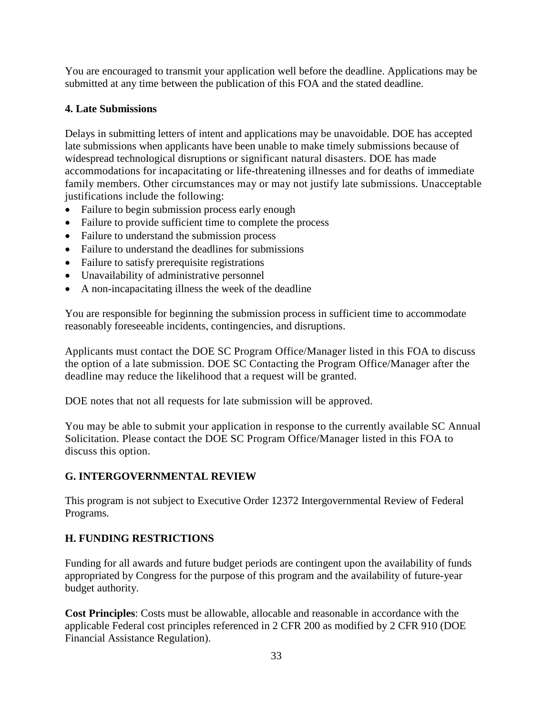You are encouraged to transmit your application well before the deadline. Applications may be submitted at any time between the publication of this FOA and the stated deadline.

#### **4. Late Submissions**

Delays in submitting letters of intent and applications may be unavoidable. DOE has accepted late submissions when applicants have been unable to make timely submissions because of widespread technological disruptions or significant natural disasters. DOE has made accommodations for incapacitating or life-threatening illnesses and for deaths of immediate family members. Other circumstances may or may not justify late submissions. Unacceptable justifications include the following:

- Failure to begin submission process early enough
- Failure to provide sufficient time to complete the process
- Failure to understand the submission process
- Failure to understand the deadlines for submissions
- Failure to satisfy prerequisite registrations
- Unavailability of administrative personnel
- A non-incapacitating illness the week of the deadline

You are responsible for beginning the submission process in sufficient time to accommodate reasonably foreseeable incidents, contingencies, and disruptions.

Applicants must contact the DOE SC Program Office/Manager listed in this FOA to discuss the option of a late submission. DOE SC Contacting the Program Office/Manager after the deadline may reduce the likelihood that a request will be granted.

DOE notes that not all requests for late submission will be approved.

You may be able to submit your application in response to the currently available SC Annual Solicitation. Please contact the DOE SC Program Office/Manager listed in this FOA to discuss this option.

### <span id="page-37-0"></span>**G. INTERGOVERNMENTAL REVIEW**

This program is not subject to Executive Order 12372 Intergovernmental Review of Federal Programs.

### <span id="page-37-1"></span>**H. FUNDING RESTRICTIONS**

Funding for all awards and future budget periods are contingent upon the availability of funds appropriated by Congress for the purpose of this program and the availability of future-year budget authority.

**Cost Principles**: Costs must be allowable, allocable and reasonable in accordance with the applicable Federal cost principles referenced in 2 CFR 200 as modified by 2 CFR 910 (DOE Financial Assistance Regulation).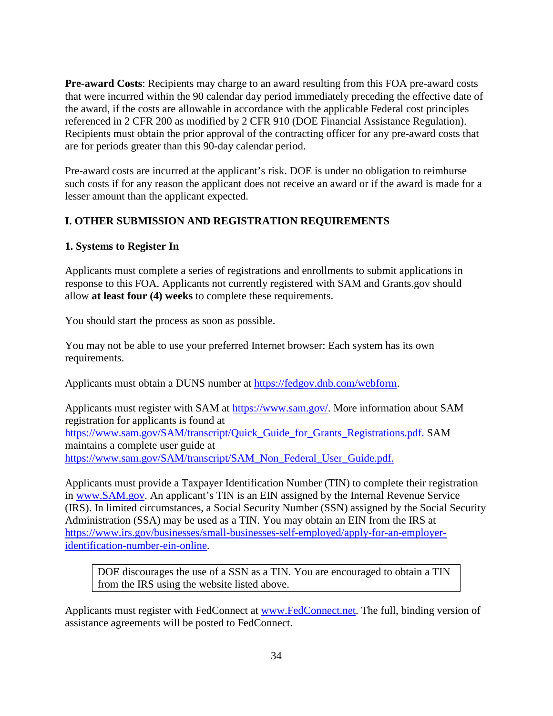**Pre-award Costs**: Recipients may charge to an award resulting from this FOA pre-award costs that were incurred within the 90 calendar day period immediately preceding the effective date of the award, if the costs are allowable in accordance with the applicable Federal cost principles referenced in 2 CFR 200 as modified by 2 CFR 910 (DOE Financial Assistance Regulation). Recipients must obtain the prior approval of the contracting officer for any pre-award costs that are for periods greater than this 90-day calendar period.

Pre-award costs are incurred at the applicant's risk. DOE is under no obligation to reimburse such costs if for any reason the applicant does not receive an award or if the award is made for a lesser amount than the applicant expected.

### <span id="page-38-0"></span>**I. OTHER SUBMISSION AND REGISTRATION REQUIREMENTS**

#### **1. Systems to Register In**

Applicants must complete a series of registrations and enrollments to submit applications in response to this FOA. Applicants not currently registered with SAM and Grants.gov should allow **at least four (4) weeks** to complete these requirements.

You should start the process as soon as possible.

You may not be able to use your preferred Internet browser: Each system has its own requirements.

Applicants must obtain a DUNS number at [https://fedgov.dnb.com/webform.](https://fedgov.dnb.com/webform)

Applicants must register with SAM at [https://www.sam.gov/.](https://www.sam.gov/) More information about SAM registration for applicants is found at [https://www.sam.gov/SAM/transcript/Quick\\_Guide\\_for\\_Grants\\_Registrations.pdf.](https://www.sam.gov/SAM/transcript/Quick_Guide_for_Grants_Registrations.pdf) SAM maintains a complete user guide at [https://www.sam.gov/SAM/transcript/SAM\\_Non\\_Federal\\_User\\_Guide.pdf.](https://www.sam.gov/SAM/transcript/SAM_Non_Federal_User_Guide.pdf)

Applicants must provide a Taxpayer Identification Number (TIN) to complete their registration in [www.SAM.gov.](https://www.sam.gov/) An applicant's TIN is an EIN assigned by the Internal Revenue Service (IRS). In limited circumstances, a Social Security Number (SSN) assigned by the Social Security Administration (SSA) may be used as a TIN. You may obtain an EIN from the IRS at [https://www.irs.gov/businesses/small-businesses-self-employed/apply-for-an-employer](https://www.irs.gov/businesses/small-businesses-self-employed/apply-for-an-employer-identification-number-ein-online)[identification-number-ein-online.](https://www.irs.gov/businesses/small-businesses-self-employed/apply-for-an-employer-identification-number-ein-online)

DOE discourages the use of a SSN as a TIN. You are encouraged to obtain a TIN from the IRS using the website listed above.

Applicants must register with FedConnect at [www.FedConnect.net.](https://www.fedconnect.net/) The full, binding version of assistance agreements will be posted to FedConnect.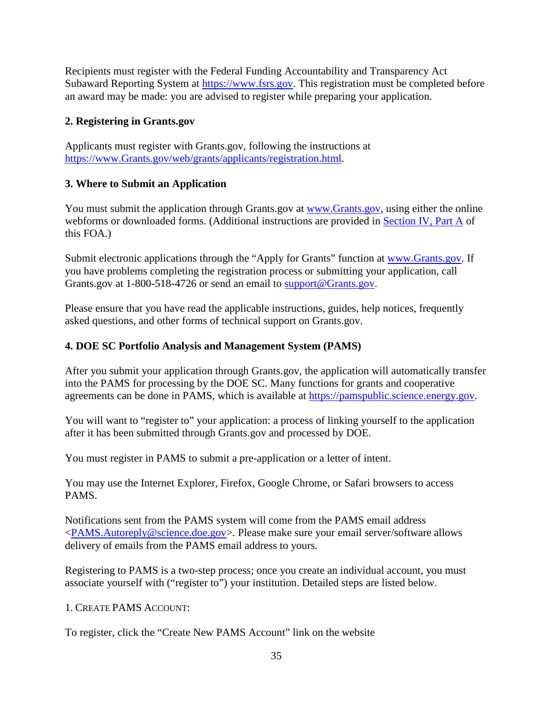Recipients must register with the Federal Funding Accountability and Transparency Act Subaward Reporting System at [https://www.fsrs.gov.](https://www.fsrs.gov/) This registration must be completed before an award may be made: you are advised to register while preparing your application.

### **2. Registering in Grants.gov**

Applicants must register with Grants.gov, following the instructions at [https://www.Grants.gov/web/grants/applicants/registration.html.](https://www.grants.gov/web/grants/applicants/registration.html)

### **3. Where to Submit an Application**

You must submit the application through Grants.gov at [www.Grants.gov,](https://www.grants.gov/) using either the online webforms or downloaded forms. (Additional instructions are provided in [Section IV, Part A](#page-14-0) of this FOA.)

Submit electronic applications through the "Apply for Grants" function at [www.Grants.gov.](https://www.grants.gov/) If you have problems completing the registration process or submitting your application, call Grants.gov at 1-800-518-4726 or send an email to [support@Grants.gov.](mailto:support@grants.gov)

Please ensure that you have read the applicable instructions, guides, help notices, frequently asked questions, and other forms of technical support on Grants.gov.

### <span id="page-39-0"></span>**4. DOE SC Portfolio Analysis and Management System (PAMS)**

After you submit your application through Grants.gov, the application will automatically transfer into the PAMS for processing by the DOE SC. Many functions for grants and cooperative agreements can be done in PAMS, which is available at [https://pamspublic.science.energy.gov.](https://pamspublic.science.energy.gov/)

You will want to "register to" your application: a process of linking yourself to the application after it has been submitted through Grants.gov and processed by DOE.

You must register in PAMS to submit a pre-application or a letter of intent.

You may use the Internet Explorer, Firefox, Google Chrome, or Safari browsers to access PAMS.

Notifications sent from the PAMS system will come from the PAMS email address [<PAMS.Autoreply@science.doe.gov>](mailto:PAMS.Autoreply@science.doe.gov). Please make sure your email server/software allows delivery of emails from the PAMS email address to yours.

Registering to PAMS is a two-step process; once you create an individual account, you must associate yourself with ("register to") your institution. Detailed steps are listed below.

1. CREATE PAMS ACCOUNT:

To register, click the "Create New PAMS Account" link on the website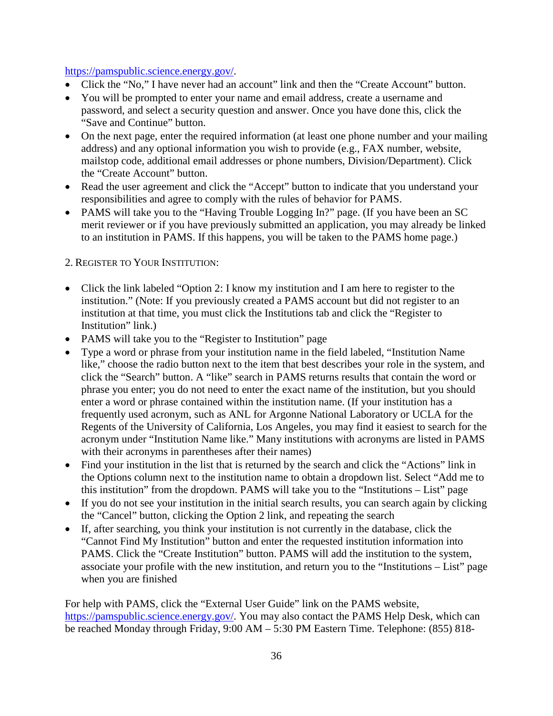#### [https://pamspublic.science.energy.gov/.](https://pamspublic.science.energy.gov/)

- Click the "No," I have never had an account" link and then the "Create Account" button.
- You will be prompted to enter your name and email address, create a username and password, and select a security question and answer. Once you have done this, click the "Save and Continue" button.
- On the next page, enter the required information (at least one phone number and your mailing address) and any optional information you wish to provide (e.g., FAX number, website, mailstop code, additional email addresses or phone numbers, Division/Department). Click the "Create Account" button.
- Read the user agreement and click the "Accept" button to indicate that you understand your responsibilities and agree to comply with the rules of behavior for PAMS.
- PAMS will take you to the "Having Trouble Logging In?" page. (If you have been an SC merit reviewer or if you have previously submitted an application, you may already be linked to an institution in PAMS. If this happens, you will be taken to the PAMS home page.)

2. REGISTER TO YOUR INSTITUTION:

- Click the link labeled "Option 2: I know my institution and I am here to register to the institution." (Note: If you previously created a PAMS account but did not register to an institution at that time, you must click the Institutions tab and click the "Register to Institution" link.)
- PAMS will take you to the "Register to Institution" page
- Type a word or phrase from your institution name in the field labeled, "Institution Name like," choose the radio button next to the item that best describes your role in the system, and click the "Search" button. A "like" search in PAMS returns results that contain the word or phrase you enter; you do not need to enter the exact name of the institution, but you should enter a word or phrase contained within the institution name. (If your institution has a frequently used acronym, such as ANL for Argonne National Laboratory or UCLA for the Regents of the University of California, Los Angeles, you may find it easiest to search for the acronym under "Institution Name like." Many institutions with acronyms are listed in PAMS with their acronyms in parentheses after their names)
- Find your institution in the list that is returned by the search and click the "Actions" link in the Options column next to the institution name to obtain a dropdown list. Select "Add me to this institution" from the dropdown. PAMS will take you to the "Institutions – List" page
- If you do not see your institution in the initial search results, you can search again by clicking the "Cancel" button, clicking the Option 2 link, and repeating the search
- If, after searching, you think your institution is not currently in the database, click the "Cannot Find My Institution" button and enter the requested institution information into PAMS. Click the "Create Institution" button. PAMS will add the institution to the system, associate your profile with the new institution, and return you to the "Institutions – List" page when you are finished

For help with PAMS, click the "External User Guide" link on the PAMS website, [https://pamspublic.science.energy.gov/.](https://pamspublic.science.energy.gov/) You may also contact the PAMS Help Desk, which can be reached Monday through Friday, 9:00 AM – 5:30 PM Eastern Time. Telephone: (855) 818-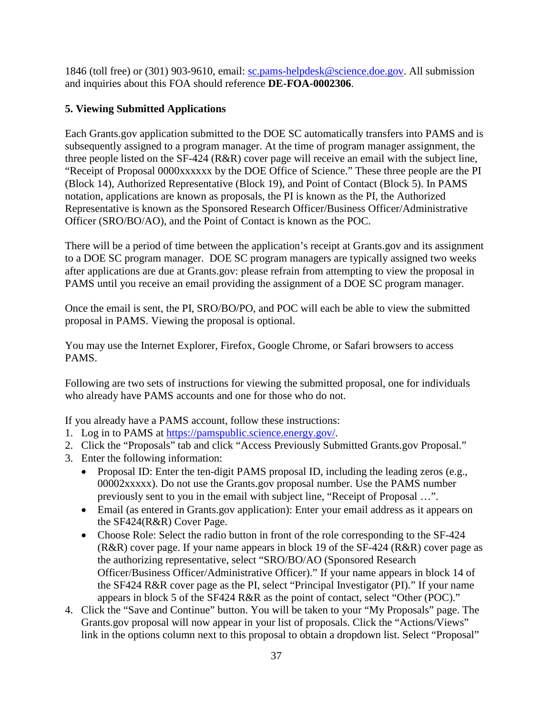1846 (toll free) or (301) 903-9610, email: [sc.pams-helpdesk@science.doe.gov.](mailto:sc.pams-helpdesk@science.doe.gov) All submission and inquiries about this FOA should reference **DE-FOA-0002306**.

### **5. Viewing Submitted Applications**

Each Grants.gov application submitted to the DOE SC automatically transfers into PAMS and is subsequently assigned to a program manager. At the time of program manager assignment, the three people listed on the SF-424 (R&R) cover page will receive an email with the subject line, "Receipt of Proposal 0000xxxxxx by the DOE Office of Science." These three people are the PI (Block 14), Authorized Representative (Block 19), and Point of Contact (Block 5). In PAMS notation, applications are known as proposals, the PI is known as the PI, the Authorized Representative is known as the Sponsored Research Officer/Business Officer/Administrative Officer (SRO/BO/AO), and the Point of Contact is known as the POC.

There will be a period of time between the application's receipt at Grants.gov and its assignment to a DOE SC program manager. DOE SC program managers are typically assigned two weeks after applications are due at Grants.gov: please refrain from attempting to view the proposal in PAMS until you receive an email providing the assignment of a DOE SC program manager.

Once the email is sent, the PI, SRO/BO/PO, and POC will each be able to view the submitted proposal in PAMS. Viewing the proposal is optional.

You may use the Internet Explorer, Firefox, Google Chrome, or Safari browsers to access PAMS.

Following are two sets of instructions for viewing the submitted proposal, one for individuals who already have PAMS accounts and one for those who do not.

If you already have a PAMS account, follow these instructions:

- 1. Log in to PAMS at [https://pamspublic.science.energy.gov/.](https://pamspublic.science.energy.gov/)
- 2. Click the "Proposals" tab and click "Access Previously Submitted Grants.gov Proposal."
- 3. Enter the following information:
	- Proposal ID: Enter the ten-digit PAMS proposal ID, including the leading zeros (e.g., 00002xxxxx). Do not use the Grants.gov proposal number. Use the PAMS number previously sent to you in the email with subject line, "Receipt of Proposal …".
	- Email (as entered in Grants.gov application): Enter your email address as it appears on the SF424(R&R) Cover Page.
	- Choose Role: Select the radio button in front of the role corresponding to the SF-424 (R&R) cover page. If your name appears in block 19 of the SF-424 (R&R) cover page as the authorizing representative, select "SRO/BO/AO (Sponsored Research Officer/Business Officer/Administrative Officer)." If your name appears in block 14 of the SF424 R&R cover page as the PI, select "Principal Investigator (PI)." If your name appears in block 5 of the SF424 R&R as the point of contact, select "Other (POC)."
- 4. Click the "Save and Continue" button. You will be taken to your "My Proposals" page. The Grants.gov proposal will now appear in your list of proposals. Click the "Actions/Views" link in the options column next to this proposal to obtain a dropdown list. Select "Proposal"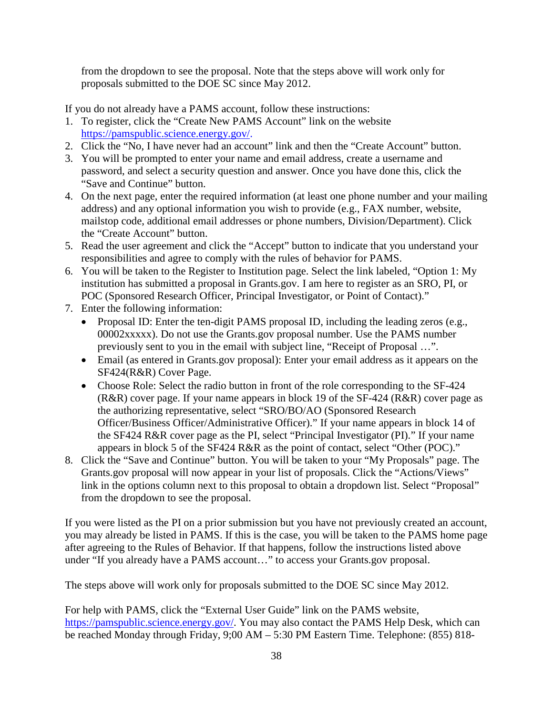from the dropdown to see the proposal. Note that the steps above will work only for proposals submitted to the DOE SC since May 2012.

If you do not already have a PAMS account, follow these instructions:

- 1. To register, click the "Create New PAMS Account" link on the website [https://pamspublic.science.energy.gov/.](https://pamspublic.science.energy.gov/)
- 2. Click the "No, I have never had an account" link and then the "Create Account" button.
- 3. You will be prompted to enter your name and email address, create a username and password, and select a security question and answer. Once you have done this, click the "Save and Continue" button.
- 4. On the next page, enter the required information (at least one phone number and your mailing address) and any optional information you wish to provide (e.g., FAX number, website, mailstop code, additional email addresses or phone numbers, Division/Department). Click the "Create Account" button.
- 5. Read the user agreement and click the "Accept" button to indicate that you understand your responsibilities and agree to comply with the rules of behavior for PAMS.
- 6. You will be taken to the Register to Institution page. Select the link labeled, "Option 1: My institution has submitted a proposal in Grants.gov. I am here to register as an SRO, PI, or POC (Sponsored Research Officer, Principal Investigator, or Point of Contact)."
- 7. Enter the following information:
	- Proposal ID: Enter the ten-digit PAMS proposal ID, including the leading zeros (e.g., 00002xxxxx). Do not use the Grants.gov proposal number. Use the PAMS number previously sent to you in the email with subject line, "Receipt of Proposal …".
	- Email (as entered in Grants.gov proposal): Enter your email address as it appears on the SF424(R&R) Cover Page.
	- Choose Role: Select the radio button in front of the role corresponding to the SF-424 (R&R) cover page. If your name appears in block 19 of the SF-424 (R&R) cover page as the authorizing representative, select "SRO/BO/AO (Sponsored Research Officer/Business Officer/Administrative Officer)." If your name appears in block 14 of the SF424 R&R cover page as the PI, select "Principal Investigator (PI)." If your name appears in block 5 of the SF424 R&R as the point of contact, select "Other (POC)."
- 8. Click the "Save and Continue" button. You will be taken to your "My Proposals" page. The Grants.gov proposal will now appear in your list of proposals. Click the "Actions/Views" link in the options column next to this proposal to obtain a dropdown list. Select "Proposal" from the dropdown to see the proposal.

If you were listed as the PI on a prior submission but you have not previously created an account, you may already be listed in PAMS. If this is the case, you will be taken to the PAMS home page after agreeing to the Rules of Behavior. If that happens, follow the instructions listed above under "If you already have a PAMS account…" to access your Grants.gov proposal.

The steps above will work only for proposals submitted to the DOE SC since May 2012.

For help with PAMS, click the "External User Guide" link on the PAMS website, [https://pamspublic.science.energy.gov/.](https://pamspublic.science.energy.gov/) You may also contact the PAMS Help Desk, which can be reached Monday through Friday, 9;00 AM – 5:30 PM Eastern Time. Telephone: (855) 818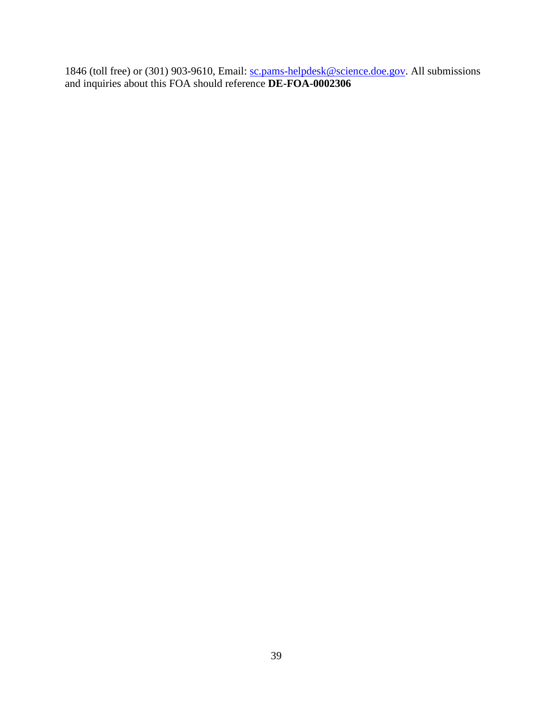<span id="page-43-0"></span>1846 (toll free) or (301) 903-9610, Email: [sc.pams-helpdesk@science.doe.gov.](mailto:sc.pams-helpdesk@science.doe.gov) All submissions and inquiries about this FOA should reference **DE-FOA-0002306**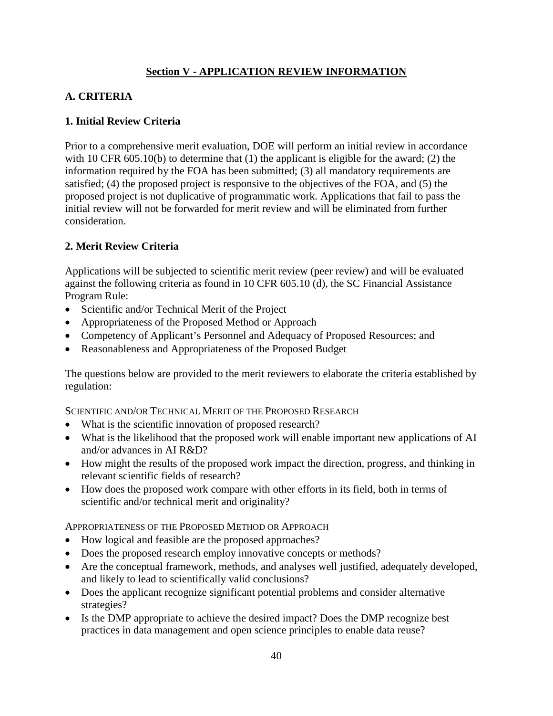### **Section V - APPLICATION REVIEW INFORMATION**

### <span id="page-44-0"></span>**A. CRITERIA**

#### **1. Initial Review Criteria**

Prior to a comprehensive merit evaluation, DOE will perform an initial review in accordance with 10 CFR 605.10(b) to determine that (1) the applicant is eligible for the award; (2) the information required by the FOA has been submitted; (3) all mandatory requirements are satisfied; (4) the proposed project is responsive to the objectives of the FOA, and (5) the proposed project is not duplicative of programmatic work. Applications that fail to pass the initial review will not be forwarded for merit review and will be eliminated from further consideration.

### **2. Merit Review Criteria**

Applications will be subjected to scientific merit review (peer review) and will be evaluated against the following criteria as found in 10 CFR 605.10 (d), the SC Financial Assistance Program Rule:

- Scientific and/or Technical Merit of the Project
- Appropriateness of the Proposed Method or Approach
- Competency of Applicant's Personnel and Adequacy of Proposed Resources; and
- Reasonableness and Appropriateness of the Proposed Budget

The questions below are provided to the merit reviewers to elaborate the criteria established by regulation:

SCIENTIFIC AND/OR TECHNICAL MERIT OF THE PROPOSED RESEARCH

- What is the scientific innovation of proposed research?
- What is the likelihood that the proposed work will enable important new applications of AI and/or advances in AI R&D?
- How might the results of the proposed work impact the direction, progress, and thinking in relevant scientific fields of research?
- How does the proposed work compare with other efforts in its field, both in terms of scientific and/or technical merit and originality?

APPROPRIATENESS OF THE PROPOSED METHOD OR APPROACH

- How logical and feasible are the proposed approaches?
- Does the proposed research employ innovative concepts or methods?
- Are the conceptual framework, methods, and analyses well justified, adequately developed, and likely to lead to scientifically valid conclusions?
- Does the applicant recognize significant potential problems and consider alternative strategies?
- Is the DMP appropriate to achieve the desired impact? Does the DMP recognize best practices in data management and open science principles to enable data reuse?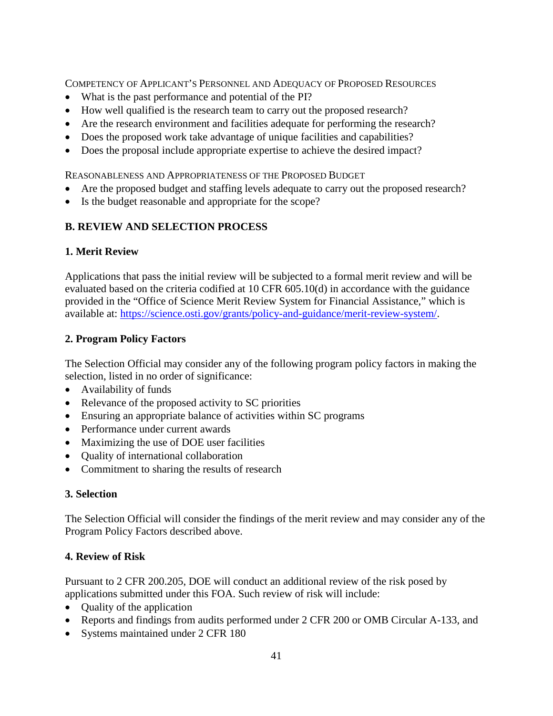COMPETENCY OF APPLICANT'S PERSONNEL AND ADEQUACY OF PROPOSED RESOURCES

- What is the past performance and potential of the PI?
- How well qualified is the research team to carry out the proposed research?
- Are the research environment and facilities adequate for performing the research?
- Does the proposed work take advantage of unique facilities and capabilities?
- Does the proposal include appropriate expertise to achieve the desired impact?

REASONABLENESS AND APPROPRIATENESS OF THE PROPOSED BUDGET

- Are the proposed budget and staffing levels adequate to carry out the proposed research?
- Is the budget reasonable and appropriate for the scope?

### <span id="page-45-0"></span>**B. REVIEW AND SELECTION PROCESS**

#### **1. Merit Review**

Applications that pass the initial review will be subjected to a formal merit review and will be evaluated based on the criteria codified at 10 CFR 605.10(d) in accordance with the guidance provided in the "Office of Science Merit Review System for Financial Assistance," which is available at: [https://science.osti.gov/grants/policy-and-guidance/merit-review-system/.](https://science.osti.gov/grants/policy-and-guidance/merit-review-system/)

### **2. Program Policy Factors**

The Selection Official may consider any of the following program policy factors in making the selection, listed in no order of significance:

- Availability of funds
- Relevance of the proposed activity to SC priorities
- Ensuring an appropriate balance of activities within SC programs
- Performance under current awards
- Maximizing the use of DOE user facilities
- Quality of international collaboration
- Commitment to sharing the results of research

### **3. Selection**

The Selection Official will consider the findings of the merit review and may consider any of the Program Policy Factors described above.

#### **4. Review of Risk**

Pursuant to 2 CFR 200.205, DOE will conduct an additional review of the risk posed by applications submitted under this FOA. Such review of risk will include:

- Quality of the application
- Reports and findings from audits performed under 2 CFR 200 or OMB Circular A-133, and
- Systems maintained under 2 CFR 180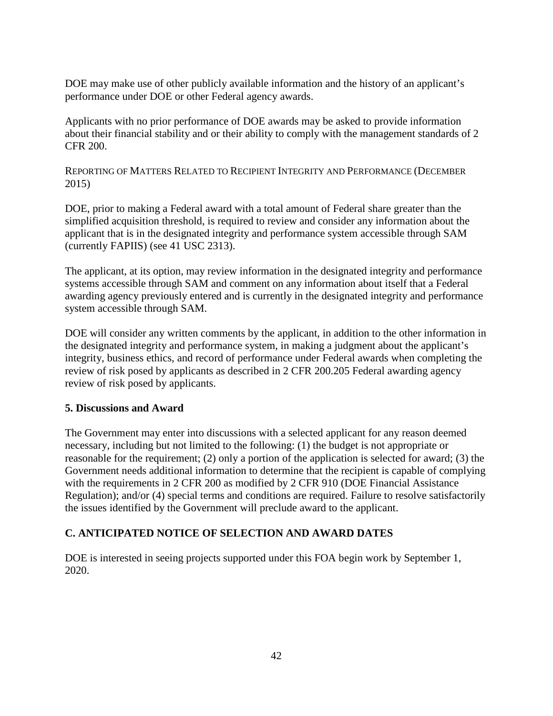DOE may make use of other publicly available information and the history of an applicant's performance under DOE or other Federal agency awards.

Applicants with no prior performance of DOE awards may be asked to provide information about their financial stability and or their ability to comply with the management standards of 2 CFR 200.

REPORTING OF MATTERS RELATED TO RECIPIENT INTEGRITY AND PERFORMANCE (DECEMBER 2015)

DOE, prior to making a Federal award with a total amount of Federal share greater than the simplified acquisition threshold, is required to review and consider any information about the applicant that is in the designated integrity and performance system accessible through SAM (currently FAPIIS) (see 41 USC 2313).

The applicant, at its option, may review information in the designated integrity and performance systems accessible through SAM and comment on any information about itself that a Federal awarding agency previously entered and is currently in the designated integrity and performance system accessible through SAM.

DOE will consider any written comments by the applicant, in addition to the other information in the designated integrity and performance system, in making a judgment about the applicant's integrity, business ethics, and record of performance under Federal awards when completing the review of risk posed by applicants as described in 2 CFR 200.205 Federal awarding agency review of risk posed by applicants.

#### **5. Discussions and Award**

The Government may enter into discussions with a selected applicant for any reason deemed necessary, including but not limited to the following: (1) the budget is not appropriate or reasonable for the requirement; (2) only a portion of the application is selected for award; (3) the Government needs additional information to determine that the recipient is capable of complying with the requirements in 2 CFR 200 as modified by 2 CFR 910 (DOE Financial Assistance Regulation); and/or (4) special terms and conditions are required. Failure to resolve satisfactorily the issues identified by the Government will preclude award to the applicant.

### <span id="page-46-0"></span>**C. ANTICIPATED NOTICE OF SELECTION AND AWARD DATES**

DOE is interested in seeing projects supported under this FOA begin work by September 1, 2020.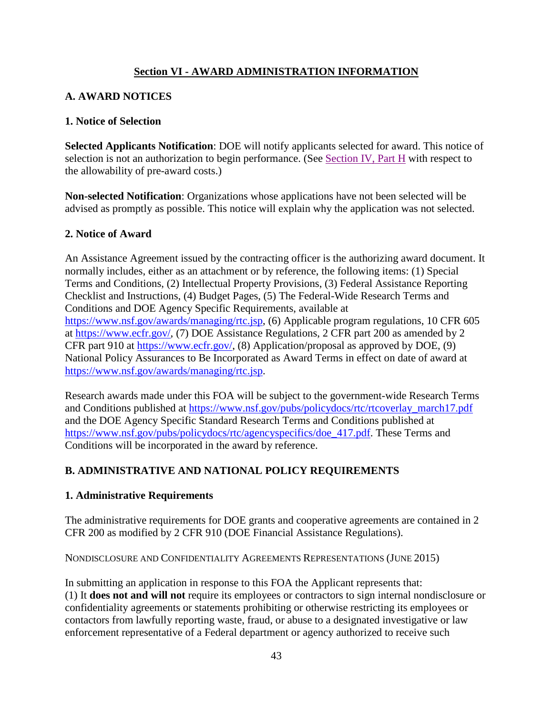### **Section VI - AWARD ADMINISTRATION INFORMATION**

### <span id="page-47-1"></span><span id="page-47-0"></span>**A. AWARD NOTICES**

#### **1. Notice of Selection**

**Selected Applicants Notification**: DOE will notify applicants selected for award. This notice of selection is not an authorization to begin performance. (See [Section IV, Part H](#page-37-1) with respect to the allowability of pre-award costs.)

**Non-selected Notification**: Organizations whose applications have not been selected will be advised as promptly as possible. This notice will explain why the application was not selected.

#### **2. Notice of Award**

An Assistance Agreement issued by the contracting officer is the authorizing award document. It normally includes, either as an attachment or by reference, the following items: (1) Special Terms and Conditions, (2) Intellectual Property Provisions, (3) Federal Assistance Reporting Checklist and Instructions, (4) Budget Pages, (5) The Federal-Wide Research Terms and Conditions and DOE Agency Specific Requirements, available at [https://www.nsf.gov/awards/managing/rtc.jsp,](https://www.nsf.gov/awards/managing/rtc.jsp) (6) Applicable program regulations, 10 CFR 605 at [https://www.ecfr.gov/,](https://www.ecfr.gov/) (7) DOE Assistance Regulations, 2 CFR part 200 as amended by 2 CFR part 910 at [https://www.ecfr.gov/,](https://www.ecfr.gov/) (8) Application/proposal as approved by DOE, (9) National Policy Assurances to Be Incorporated as Award Terms in effect on date of award at [https://www.nsf.gov/awards/managing/rtc.jsp.](https://www.nsf.gov/awards/managing/rtc.jsp)

Research awards made under this FOA will be subject to the government-wide Research Terms and Conditions published at [https://www.nsf.gov/pubs/policydocs/rtc/rtcoverlay\\_march17.pdf](https://www.nsf.gov/pubs/policydocs/rtc/rtcoverlay_march17.pdf) and the DOE Agency Specific Standard Research Terms and Conditions published at [https://www.nsf.gov/pubs/policydocs/rtc/agencyspecifics/doe\\_417.pdf.](https://www.nsf.gov/pubs/policydocs/rtc/agencyspecifics/doe_417.pdf) These Terms and Conditions will be incorporated in the award by reference.

### <span id="page-47-2"></span>**B. ADMINISTRATIVE AND NATIONAL POLICY REQUIREMENTS**

#### **1. Administrative Requirements**

The administrative requirements for DOE grants and cooperative agreements are contained in 2 CFR 200 as modified by 2 CFR 910 (DOE Financial Assistance Regulations).

NONDISCLOSURE AND CONFIDENTIALITY AGREEMENTS REPRESENTATIONS (JUNE 2015)

In submitting an application in response to this FOA the Applicant represents that: (1) It **does not and will not** require its employees or contractors to sign internal nondisclosure or confidentiality agreements or statements prohibiting or otherwise restricting its employees or contactors from lawfully reporting waste, fraud, or abuse to a designated investigative or law enforcement representative of a Federal department or agency authorized to receive such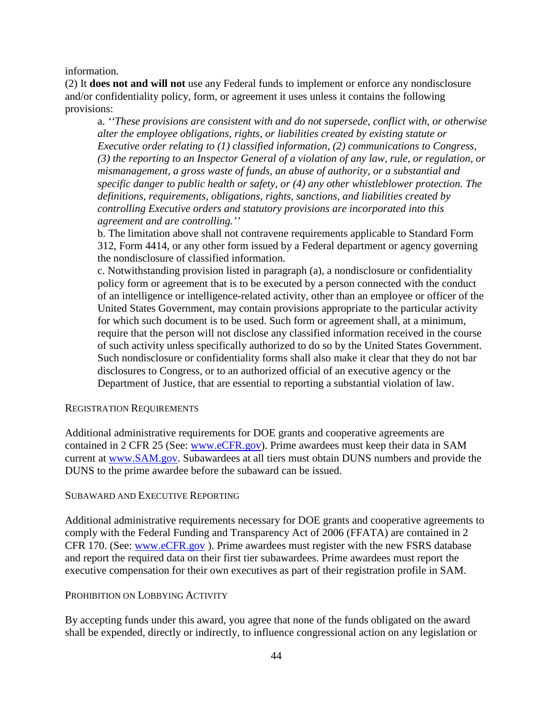information.

(2) It **does not and will not** use any Federal funds to implement or enforce any nondisclosure and/or confidentiality policy, form, or agreement it uses unless it contains the following provisions:

a. *''These provisions are consistent with and do not supersede, conflict with, or otherwise alter the employee obligations, rights, or liabilities created by existing statute or Executive order relating to (1) classified information, (2) communications to Congress, (3) the reporting to an Inspector General of a violation of any law, rule, or regulation, or mismanagement, a gross waste of funds, an abuse of authority, or a substantial and specific danger to public health or safety, or (4) any other whistleblower protection. The definitions, requirements, obligations, rights, sanctions, and liabilities created by controlling Executive orders and statutory provisions are incorporated into this agreement and are controlling.''*

b. The limitation above shall not contravene requirements applicable to Standard Form 312, Form 4414, or any other form issued by a Federal department or agency governing the nondisclosure of classified information.

c. Notwithstanding provision listed in paragraph (a), a nondisclosure or confidentiality policy form or agreement that is to be executed by a person connected with the conduct of an intelligence or intelligence-related activity, other than an employee or officer of the United States Government, may contain provisions appropriate to the particular activity for which such document is to be used. Such form or agreement shall, at a minimum, require that the person will not disclose any classified information received in the course of such activity unless specifically authorized to do so by the United States Government. Such nondisclosure or confidentiality forms shall also make it clear that they do not bar disclosures to Congress, or to an authorized official of an executive agency or the Department of Justice, that are essential to reporting a substantial violation of law.

#### REGISTRATION REQUIREMENTS

Additional administrative requirements for DOE grants and cooperative agreements are contained in 2 CFR 25 (See: [www.eCFR.gov\)](https://www.ecfr.gov/). Prime awardees must keep their data in SAM current at [www.SAM.gov.](https://www.sam.gov/) Subawardees at all tiers must obtain DUNS numbers and provide the DUNS to the prime awardee before the subaward can be issued.

#### SUBAWARD AND EXECUTIVE REPORTING

Additional administrative requirements necessary for DOE grants and cooperative agreements to comply with the Federal Funding and Transparency Act of 2006 (FFATA) are contained in 2 CFR 170. (See: [www.eCFR.gov](https://www.ecfr.gov/) ). Prime awardees must register with the new FSRS database and report the required data on their first tier subawardees. Prime awardees must report the executive compensation for their own executives as part of their registration profile in SAM.

#### PROHIBITION ON LOBBYING ACTIVITY

By accepting funds under this award, you agree that none of the funds obligated on the award shall be expended, directly or indirectly, to influence congressional action on any legislation or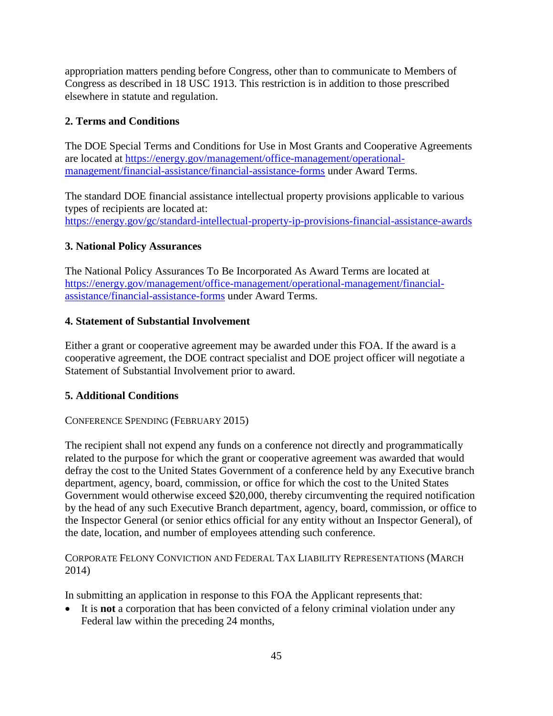appropriation matters pending before Congress, other than to communicate to Members of Congress as described in 18 USC 1913. This restriction is in addition to those prescribed elsewhere in statute and regulation.

### **2. Terms and Conditions**

The DOE Special Terms and Conditions for Use in Most Grants and Cooperative Agreements are located at [https://energy.gov/management/office-management/operational](https://energy.gov/management/office-management/operational-management/financial-assistance/financial-assistance-forms)[management/financial-assistance/financial-assistance-forms](https://energy.gov/management/office-management/operational-management/financial-assistance/financial-assistance-forms) under Award Terms.

The standard DOE financial assistance intellectual property provisions applicable to various types of recipients are located at: <https://energy.gov/gc/standard-intellectual-property-ip-provisions-financial-assistance-awards>

### **3. National Policy Assurances**

The National Policy Assurances To Be Incorporated As Award Terms are located at [https://energy.gov/management/office-management/operational-management/financial](https://energy.gov/management/office-management/operational-management/financial-assistance/financial-assistance-forms)[assistance/financial-assistance-forms](https://energy.gov/management/office-management/operational-management/financial-assistance/financial-assistance-forms) under Award Terms.

### **4. Statement of Substantial Involvement**

Either a grant or cooperative agreement may be awarded under this FOA. If the award is a cooperative agreement, the DOE contract specialist and DOE project officer will negotiate a Statement of Substantial Involvement prior to award.

### **5. Additional Conditions**

### CONFERENCE SPENDING (FEBRUARY 2015)

The recipient shall not expend any funds on a conference not directly and programmatically related to the purpose for which the grant or cooperative agreement was awarded that would defray the cost to the United States Government of a conference held by any Executive branch department, agency, board, commission, or office for which the cost to the United States Government would otherwise exceed \$20,000, thereby circumventing the required notification by the head of any such Executive Branch department, agency, board, commission, or office to the Inspector General (or senior ethics official for any entity without an Inspector General), of the date, location, and number of employees attending such conference.

CORPORATE FELONY CONVICTION AND FEDERAL TAX LIABILITY REPRESENTATIONS (MARCH 2014)

In submitting an application in response to this FOA the Applicant represents that:

It is **not** a corporation that has been convicted of a felony criminal violation under any Federal law within the preceding 24 months,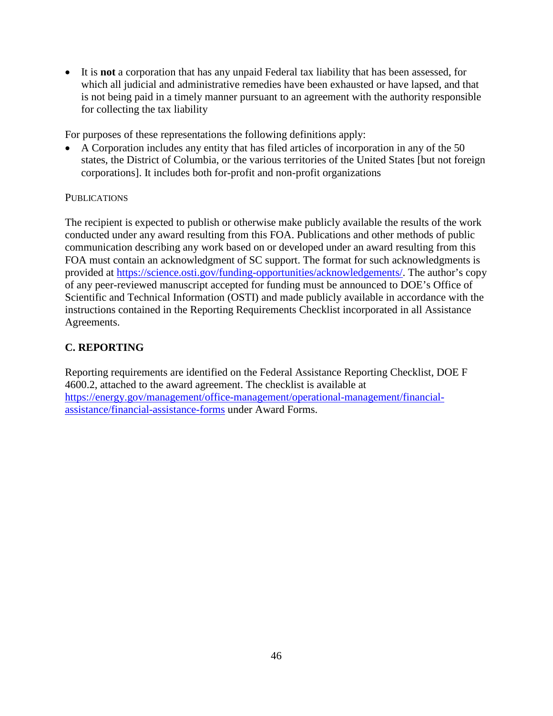• It is **not** a corporation that has any unpaid Federal tax liability that has been assessed, for which all judicial and administrative remedies have been exhausted or have lapsed, and that is not being paid in a timely manner pursuant to an agreement with the authority responsible for collecting the tax liability

For purposes of these representations the following definitions apply:

• A Corporation includes any entity that has filed articles of incorporation in any of the 50 states, the District of Columbia, or the various territories of the United States [but not foreign corporations]. It includes both for-profit and non-profit organizations

#### **PUBLICATIONS**

The recipient is expected to publish or otherwise make publicly available the results of the work conducted under any award resulting from this FOA. Publications and other methods of public communication describing any work based on or developed under an award resulting from this FOA must contain an acknowledgment of SC support. The format for such acknowledgments is provided at [https://science.osti.gov/funding-opportunities/acknowledgements/.](https://science.osti.gov/funding-opportunities/acknowledgements/) The author's copy of any peer-reviewed manuscript accepted for funding must be announced to DOE's Office of Scientific and Technical Information (OSTI) and made publicly available in accordance with the instructions contained in the Reporting Requirements Checklist incorporated in all Assistance Agreements.

### <span id="page-50-0"></span>**C. REPORTING**

Reporting requirements are identified on the Federal Assistance Reporting Checklist, DOE F 4600.2, attached to the award agreement. The checklist is available at [https://energy.gov/management/office-management/operational-management/financial](https://energy.gov/management/office-management/operational-management/financial-assistance/financial-assistance-forms)[assistance/financial-assistance-forms](https://energy.gov/management/office-management/operational-management/financial-assistance/financial-assistance-forms) under Award Forms.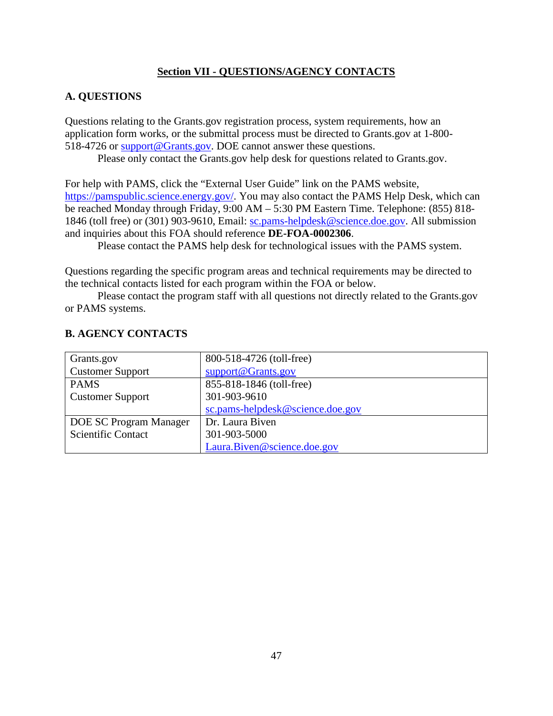### **Section VII - QUESTIONS/AGENCY CONTACTS**

#### <span id="page-51-1"></span><span id="page-51-0"></span>**A. QUESTIONS**

Questions relating to the Grants.gov registration process, system requirements, how an application form works, or the submittal process must be directed to Grants.gov at 1-800- 518-4726 or [support@Grants.gov.](mailto:support@grants.gov) DOE cannot answer these questions.

Please only contact the Grants.gov help desk for questions related to Grants.gov.

For help with PAMS, click the "External User Guide" link on the PAMS website, [https://pamspublic.science.energy.gov/.](https://pamspublic.science.energy.gov/) You may also contact the PAMS Help Desk, which can be reached Monday through Friday, 9:00 AM – 5:30 PM Eastern Time. Telephone: (855) 818- 1846 (toll free) or (301) 903-9610, Email: [sc.pams-helpdesk@science.doe.gov.](mailto:sc.pams-helpdesk@science.doe.gov) All submission and inquiries about this FOA should reference **DE-FOA-0002306**.

Please contact the PAMS help desk for technological issues with the PAMS system.

Questions regarding the specific program areas and technical requirements may be directed to the technical contacts listed for each program within the FOA or below.

Please contact the program staff with all questions not directly related to the Grants.gov or PAMS systems.

| Grants.gov                | 800-518-4726 (toll-free)         |
|---------------------------|----------------------------------|
| <b>Customer Support</b>   | support@Grants.gov               |
| <b>PAMS</b>               | 855-818-1846 (toll-free)         |
| <b>Customer Support</b>   | 301-903-9610                     |
|                           | sc.pams-helpdesk@science.doe.gov |
| DOE SC Program Manager    | Dr. Laura Biven                  |
| <b>Scientific Contact</b> | 301-903-5000                     |
|                           | Laura.Biven@science.doe.gov      |

### <span id="page-51-2"></span>**B. AGENCY CONTACTS**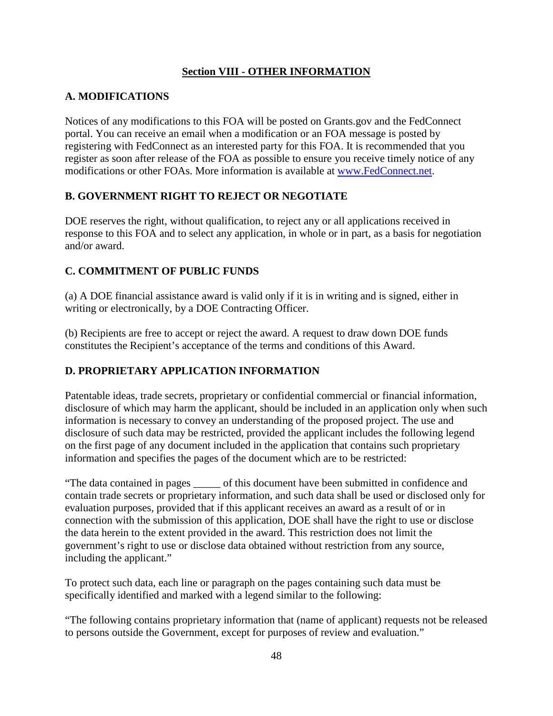### **Section VIII - OTHER INFORMATION**

### <span id="page-52-1"></span><span id="page-52-0"></span>**A. MODIFICATIONS**

Notices of any modifications to this FOA will be posted on Grants.gov and the FedConnect portal. You can receive an email when a modification or an FOA message is posted by registering with FedConnect as an interested party for this FOA. It is recommended that you register as soon after release of the FOA as possible to ensure you receive timely notice of any modifications or other FOAs. More information is available at [www.FedConnect.net.](https://www.fedconnect.net/)

### <span id="page-52-2"></span>**B. GOVERNMENT RIGHT TO REJECT OR NEGOTIATE**

DOE reserves the right, without qualification, to reject any or all applications received in response to this FOA and to select any application, in whole or in part, as a basis for negotiation and/or award.

### <span id="page-52-3"></span>**C. COMMITMENT OF PUBLIC FUNDS**

(a) A DOE financial assistance award is valid only if it is in writing and is signed, either in writing or electronically, by a DOE Contracting Officer.

(b) Recipients are free to accept or reject the award. A request to draw down DOE funds constitutes the Recipient's acceptance of the terms and conditions of this Award.

### <span id="page-52-4"></span>**D. PROPRIETARY APPLICATION INFORMATION**

Patentable ideas, trade secrets, proprietary or confidential commercial or financial information, disclosure of which may harm the applicant, should be included in an application only when such information is necessary to convey an understanding of the proposed project. The use and disclosure of such data may be restricted, provided the applicant includes the following legend on the first page of any document included in the application that contains such proprietary information and specifies the pages of the document which are to be restricted:

"The data contained in pages \_\_\_\_\_ of this document have been submitted in confidence and contain trade secrets or proprietary information, and such data shall be used or disclosed only for evaluation purposes, provided that if this applicant receives an award as a result of or in connection with the submission of this application, DOE shall have the right to use or disclose the data herein to the extent provided in the award. This restriction does not limit the government's right to use or disclose data obtained without restriction from any source, including the applicant."

To protect such data, each line or paragraph on the pages containing such data must be specifically identified and marked with a legend similar to the following:

"The following contains proprietary information that (name of applicant) requests not be released to persons outside the Government, except for purposes of review and evaluation."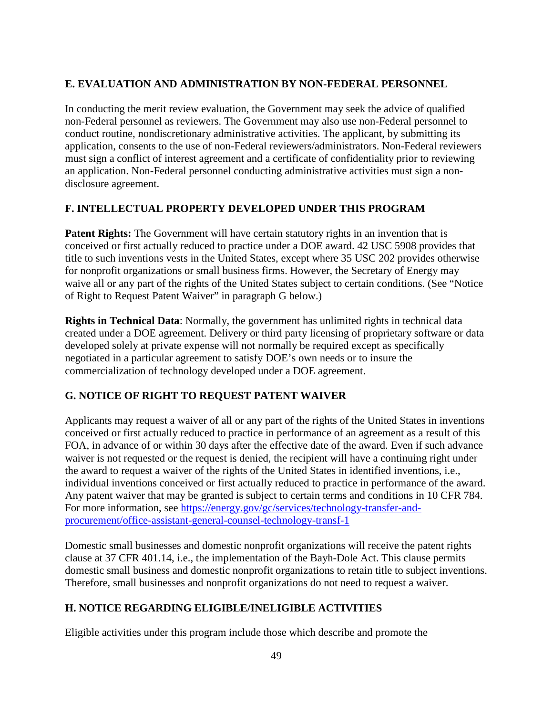### <span id="page-53-0"></span>**E. EVALUATION AND ADMINISTRATION BY NON-FEDERAL PERSONNEL**

In conducting the merit review evaluation, the Government may seek the advice of qualified non-Federal personnel as reviewers. The Government may also use non-Federal personnel to conduct routine, nondiscretionary administrative activities. The applicant, by submitting its application, consents to the use of non-Federal reviewers/administrators. Non-Federal reviewers must sign a conflict of interest agreement and a certificate of confidentiality prior to reviewing an application. Non-Federal personnel conducting administrative activities must sign a nondisclosure agreement.

### <span id="page-53-1"></span>**F. INTELLECTUAL PROPERTY DEVELOPED UNDER THIS PROGRAM**

**Patent Rights:** The Government will have certain statutory rights in an invention that is conceived or first actually reduced to practice under a DOE award. 42 USC 5908 provides that title to such inventions vests in the United States, except where 35 USC 202 provides otherwise for nonprofit organizations or small business firms. However, the Secretary of Energy may waive all or any part of the rights of the United States subject to certain conditions. (See "Notice of Right to Request Patent Waiver" in paragraph G below.)

**Rights in Technical Data**: Normally, the government has unlimited rights in technical data created under a DOE agreement. Delivery or third party licensing of proprietary software or data developed solely at private expense will not normally be required except as specifically negotiated in a particular agreement to satisfy DOE's own needs or to insure the commercialization of technology developed under a DOE agreement.

### <span id="page-53-2"></span>**G. NOTICE OF RIGHT TO REQUEST PATENT WAIVER**

Applicants may request a waiver of all or any part of the rights of the United States in inventions conceived or first actually reduced to practice in performance of an agreement as a result of this FOA, in advance of or within 30 days after the effective date of the award. Even if such advance waiver is not requested or the request is denied, the recipient will have a continuing right under the award to request a waiver of the rights of the United States in identified inventions, i.e., individual inventions conceived or first actually reduced to practice in performance of the award. Any patent waiver that may be granted is subject to certain terms and conditions in 10 CFR 784. For more information, see [https://energy.gov/gc/services/technology-transfer-and](https://energy.gov/gc/services/technology-transfer-and-procurement/office-assistant-general-counsel-technology-transf-1)[procurement/office-assistant-general-counsel-technology-transf-1](https://energy.gov/gc/services/technology-transfer-and-procurement/office-assistant-general-counsel-technology-transf-1)

Domestic small businesses and domestic nonprofit organizations will receive the patent rights clause at 37 CFR 401.14, i.e., the implementation of the Bayh-Dole Act. This clause permits domestic small business and domestic nonprofit organizations to retain title to subject inventions. Therefore, small businesses and nonprofit organizations do not need to request a waiver.

### <span id="page-53-3"></span>**H. NOTICE REGARDING ELIGIBLE/INELIGIBLE ACTIVITIES**

Eligible activities under this program include those which describe and promote the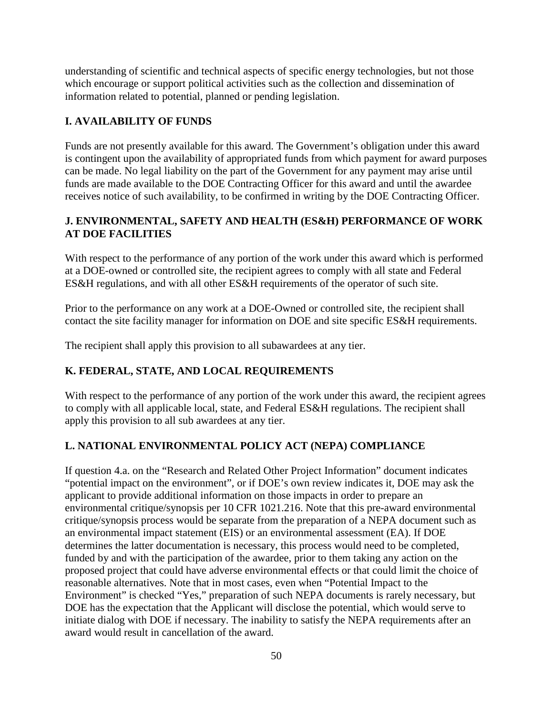understanding of scientific and technical aspects of specific energy technologies, but not those which encourage or support political activities such as the collection and dissemination of information related to potential, planned or pending legislation.

### <span id="page-54-0"></span>**I. AVAILABILITY OF FUNDS**

Funds are not presently available for this award. The Government's obligation under this award is contingent upon the availability of appropriated funds from which payment for award purposes can be made. No legal liability on the part of the Government for any payment may arise until funds are made available to the DOE Contracting Officer for this award and until the awardee receives notice of such availability, to be confirmed in writing by the DOE Contracting Officer.

### <span id="page-54-1"></span>**J. ENVIRONMENTAL, SAFETY AND HEALTH (ES&H) PERFORMANCE OF WORK AT DOE FACILITIES**

With respect to the performance of any portion of the work under this award which is performed at a DOE-owned or controlled site, the recipient agrees to comply with all state and Federal ES&H regulations, and with all other ES&H requirements of the operator of such site.

Prior to the performance on any work at a DOE-Owned or controlled site, the recipient shall contact the site facility manager for information on DOE and site specific ES&H requirements.

The recipient shall apply this provision to all subawardees at any tier.

### <span id="page-54-2"></span>**K. FEDERAL, STATE, AND LOCAL REQUIREMENTS**

With respect to the performance of any portion of the work under this award, the recipient agrees to comply with all applicable local, state, and Federal ES&H regulations. The recipient shall apply this provision to all sub awardees at any tier.

### <span id="page-54-3"></span>**L. NATIONAL ENVIRONMENTAL POLICY ACT (NEPA) COMPLIANCE**

If question 4.a. on the "Research and Related Other Project Information" document indicates "potential impact on the environment", or if DOE's own review indicates it, DOE may ask the applicant to provide additional information on those impacts in order to prepare an environmental critique/synopsis per 10 CFR 1021.216. Note that this pre-award environmental critique/synopsis process would be separate from the preparation of a NEPA document such as an environmental impact statement (EIS) or an environmental assessment (EA). If DOE determines the latter documentation is necessary, this process would need to be completed, funded by and with the participation of the awardee, prior to them taking any action on the proposed project that could have adverse environmental effects or that could limit the choice of reasonable alternatives. Note that in most cases, even when "Potential Impact to the Environment" is checked "Yes," preparation of such NEPA documents is rarely necessary, but DOE has the expectation that the Applicant will disclose the potential, which would serve to initiate dialog with DOE if necessary. The inability to satisfy the NEPA requirements after an award would result in cancellation of the award.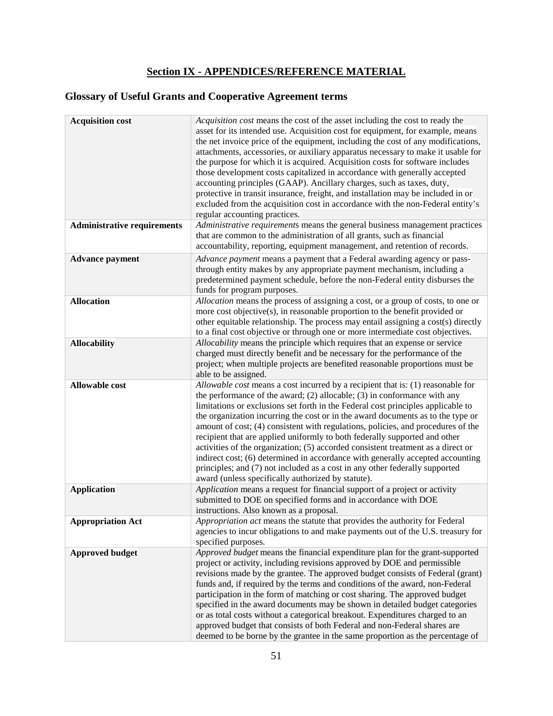## **Section IX - APPENDICES/REFERENCE MATERIAL**

# <span id="page-55-0"></span>**Glossary of Useful Grants and Cooperative Agreement terms**

| <b>Acquisition cost</b>            | Acquisition cost means the cost of the asset including the cost to ready the<br>asset for its intended use. Acquisition cost for equipment, for example, means<br>the net invoice price of the equipment, including the cost of any modifications,<br>attachments, accessories, or auxiliary apparatus necessary to make it usable for<br>the purpose for which it is acquired. Acquisition costs for software includes<br>those development costs capitalized in accordance with generally accepted<br>accounting principles (GAAP). Ancillary charges, such as taxes, duty,<br>protective in transit insurance, freight, and installation may be included in or<br>excluded from the acquisition cost in accordance with the non-Federal entity's<br>regular accounting practices.                                |
|------------------------------------|---------------------------------------------------------------------------------------------------------------------------------------------------------------------------------------------------------------------------------------------------------------------------------------------------------------------------------------------------------------------------------------------------------------------------------------------------------------------------------------------------------------------------------------------------------------------------------------------------------------------------------------------------------------------------------------------------------------------------------------------------------------------------------------------------------------------|
| <b>Administrative requirements</b> | Administrative requirements means the general business management practices<br>that are common to the administration of all grants, such as financial<br>accountability, reporting, equipment management, and retention of records.                                                                                                                                                                                                                                                                                                                                                                                                                                                                                                                                                                                 |
| <b>Advance payment</b>             | Advance payment means a payment that a Federal awarding agency or pass-<br>through entity makes by any appropriate payment mechanism, including a<br>predetermined payment schedule, before the non-Federal entity disburses the<br>funds for program purposes.                                                                                                                                                                                                                                                                                                                                                                                                                                                                                                                                                     |
| <b>Allocation</b>                  | Allocation means the process of assigning a cost, or a group of costs, to one or<br>more cost objective(s), in reasonable proportion to the benefit provided or<br>other equitable relationship. The process may entail assigning a cost(s) directly<br>to a final cost objective or through one or more intermediate cost objectives.                                                                                                                                                                                                                                                                                                                                                                                                                                                                              |
| <b>Allocability</b>                | Allocability means the principle which requires that an expense or service<br>charged must directly benefit and be necessary for the performance of the<br>project; when multiple projects are benefited reasonable proportions must be<br>able to be assigned.                                                                                                                                                                                                                                                                                                                                                                                                                                                                                                                                                     |
| <b>Allowable cost</b>              | Allowable cost means a cost incurred by a recipient that is: (1) reasonable for<br>the performance of the award; $(2)$ allocable; $(3)$ in conformance with any<br>limitations or exclusions set forth in the Federal cost principles applicable to<br>the organization incurring the cost or in the award documents as to the type or<br>amount of cost; (4) consistent with regulations, policies, and procedures of the<br>recipient that are applied uniformly to both federally supported and other<br>activities of the organization; (5) accorded consistent treatment as a direct or<br>indirect cost; (6) determined in accordance with generally accepted accounting<br>principles; and (7) not included as a cost in any other federally supported<br>award (unless specifically authorized by statute). |
| <b>Application</b>                 | Application means a request for financial support of a project or activity<br>submitted to DOE on specified forms and in accordance with DOE<br>instructions. Also known as a proposal.                                                                                                                                                                                                                                                                                                                                                                                                                                                                                                                                                                                                                             |
| <b>Appropriation Act</b>           | Appropriation act means the statute that provides the authority for Federal<br>agencies to incur obligations to and make payments out of the U.S. treasury for<br>specified purposes.                                                                                                                                                                                                                                                                                                                                                                                                                                                                                                                                                                                                                               |
| <b>Approved budget</b>             | Approved budget means the financial expenditure plan for the grant-supported<br>project or activity, including revisions approved by DOE and permissible<br>revisions made by the grantee. The approved budget consists of Federal (grant)<br>funds and, if required by the terms and conditions of the award, non-Federal<br>participation in the form of matching or cost sharing. The approved budget<br>specified in the award documents may be shown in detailed budget categories<br>or as total costs without a categorical breakout. Expenditures charged to an<br>approved budget that consists of both Federal and non-Federal shares are<br>deemed to be borne by the grantee in the same proportion as the percentage of                                                                                |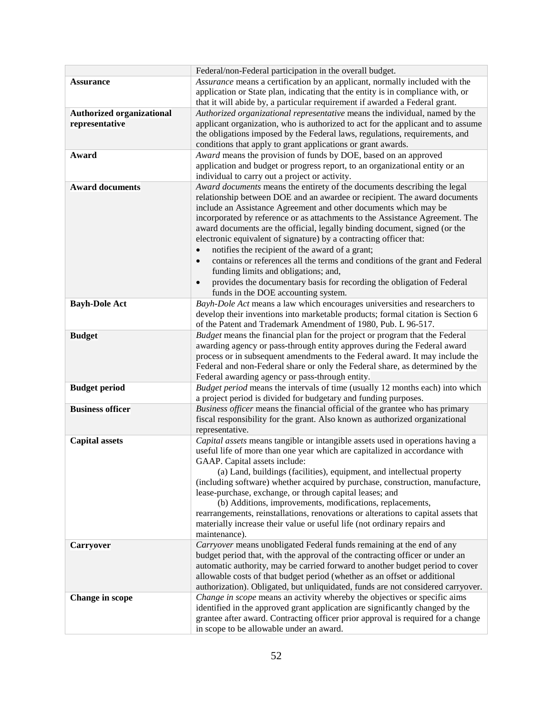| Assurance means a certification by an applicant, normally included with the<br><b>Assurance</b><br>application or State plan, indicating that the entity is in compliance with, or |
|------------------------------------------------------------------------------------------------------------------------------------------------------------------------------------|
|                                                                                                                                                                                    |
|                                                                                                                                                                                    |
| that it will abide by, a particular requirement if awarded a Federal grant.                                                                                                        |
| <b>Authorized organizational</b><br>Authorized organizational representative means the individual, named by the                                                                    |
| applicant organization, who is authorized to act for the applicant and to assume<br>representative                                                                                 |
| the obligations imposed by the Federal laws, regulations, requirements, and                                                                                                        |
| conditions that apply to grant applications or grant awards.                                                                                                                       |
| Award means the provision of funds by DOE, based on an approved<br>Award                                                                                                           |
| application and budget or progress report, to an organizational entity or an                                                                                                       |
| individual to carry out a project or activity.                                                                                                                                     |
| <b>Award documents</b><br>Award documents means the entirety of the documents describing the legal                                                                                 |
| relationship between DOE and an awardee or recipient. The award documents                                                                                                          |
| include an Assistance Agreement and other documents which may be                                                                                                                   |
| incorporated by reference or as attachments to the Assistance Agreement. The                                                                                                       |
| award documents are the official, legally binding document, signed (or the                                                                                                         |
| electronic equivalent of signature) by a contracting officer that:                                                                                                                 |
| notifies the recipient of the award of a grant;<br>$\bullet$                                                                                                                       |
| contains or references all the terms and conditions of the grant and Federal<br>$\bullet$                                                                                          |
| funding limits and obligations; and,                                                                                                                                               |
| provides the documentary basis for recording the obligation of Federal                                                                                                             |
| funds in the DOE accounting system.                                                                                                                                                |
| Bayh-Dole Act means a law which encourages universities and researchers to<br><b>Bayh-Dole Act</b>                                                                                 |
| develop their inventions into marketable products; formal citation is Section 6                                                                                                    |
| of the Patent and Trademark Amendment of 1980, Pub. L 96-517.                                                                                                                      |
| <b>Budget</b><br>Budget means the financial plan for the project or program that the Federal                                                                                       |
| awarding agency or pass-through entity approves during the Federal award                                                                                                           |
| process or in subsequent amendments to the Federal award. It may include the                                                                                                       |
| Federal and non-Federal share or only the Federal share, as determined by the                                                                                                      |
| Federal awarding agency or pass-through entity.                                                                                                                                    |
| Budget period means the intervals of time (usually 12 months each) into which<br><b>Budget period</b>                                                                              |
| a project period is divided for budgetary and funding purposes.<br><b>Business officer</b><br>Business officer means the financial official of the grantee who has primary         |
| fiscal responsibility for the grant. Also known as authorized organizational                                                                                                       |
| representative.                                                                                                                                                                    |
| Capital assets means tangible or intangible assets used in operations having a<br><b>Capital assets</b>                                                                            |
| useful life of more than one year which are capitalized in accordance with                                                                                                         |
| GAAP. Capital assets include:                                                                                                                                                      |
| (a) Land, buildings (facilities), equipment, and intellectual property                                                                                                             |
| (including software) whether acquired by purchase, construction, manufacture,                                                                                                      |
| lease-purchase, exchange, or through capital leases; and                                                                                                                           |
| (b) Additions, improvements, modifications, replacements,                                                                                                                          |
| rearrangements, reinstallations, renovations or alterations to capital assets that                                                                                                 |
| materially increase their value or useful life (not ordinary repairs and                                                                                                           |
| maintenance).                                                                                                                                                                      |
| Carryover means unobligated Federal funds remaining at the end of any<br><b>Carryover</b>                                                                                          |
| budget period that, with the approval of the contracting officer or under an                                                                                                       |
| automatic authority, may be carried forward to another budget period to cover                                                                                                      |
| allowable costs of that budget period (whether as an offset or additional                                                                                                          |
| authorization). Obligated, but unliquidated, funds are not considered carryover.                                                                                                   |
| Change in scope means an activity whereby the objectives or specific aims<br><b>Change in scope</b>                                                                                |
| identified in the approved grant application are significantly changed by the                                                                                                      |
| grantee after award. Contracting officer prior approval is required for a change                                                                                                   |
| in scope to be allowable under an award.                                                                                                                                           |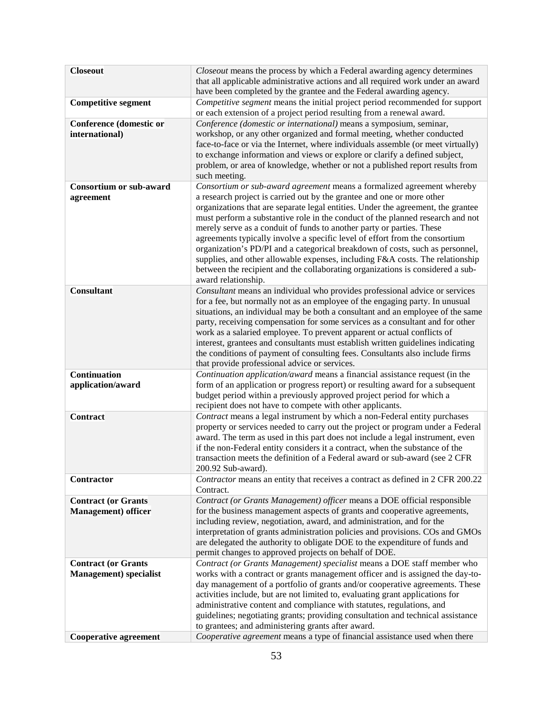| <b>Closeout</b>                | Closeout means the process by which a Federal awarding agency determines<br>that all applicable administrative actions and all required work under an award<br>have been completed by the grantee and the Federal awarding agency. |
|--------------------------------|------------------------------------------------------------------------------------------------------------------------------------------------------------------------------------------------------------------------------------|
| <b>Competitive segment</b>     | Competitive segment means the initial project period recommended for support                                                                                                                                                       |
|                                | or each extension of a project period resulting from a renewal award.                                                                                                                                                              |
| <b>Conference (domestic or</b> | Conference (domestic or international) means a symposium, seminar,                                                                                                                                                                 |
| international)                 | workshop, or any other organized and formal meeting, whether conducted                                                                                                                                                             |
|                                | face-to-face or via the Internet, where individuals assemble (or meet virtually)<br>to exchange information and views or explore or clarify a defined subject,                                                                     |
|                                | problem, or area of knowledge, whether or not a published report results from                                                                                                                                                      |
|                                | such meeting.                                                                                                                                                                                                                      |
| <b>Consortium or sub-award</b> | Consortium or sub-award agreement means a formalized agreement whereby                                                                                                                                                             |
| agreement                      | a research project is carried out by the grantee and one or more other                                                                                                                                                             |
|                                | organizations that are separate legal entities. Under the agreement, the grantee                                                                                                                                                   |
|                                | must perform a substantive role in the conduct of the planned research and not                                                                                                                                                     |
|                                | merely serve as a conduit of funds to another party or parties. These                                                                                                                                                              |
|                                | agreements typically involve a specific level of effort from the consortium<br>organization's PD/PI and a categorical breakdown of costs, such as personnel,                                                                       |
|                                | supplies, and other allowable expenses, including F&A costs. The relationship                                                                                                                                                      |
|                                | between the recipient and the collaborating organizations is considered a sub-                                                                                                                                                     |
|                                | award relationship.                                                                                                                                                                                                                |
| <b>Consultant</b>              | Consultant means an individual who provides professional advice or services                                                                                                                                                        |
|                                | for a fee, but normally not as an employee of the engaging party. In unusual                                                                                                                                                       |
|                                | situations, an individual may be both a consultant and an employee of the same                                                                                                                                                     |
|                                | party, receiving compensation for some services as a consultant and for other                                                                                                                                                      |
|                                | work as a salaried employee. To prevent apparent or actual conflicts of                                                                                                                                                            |
|                                | interest, grantees and consultants must establish written guidelines indicating<br>the conditions of payment of consulting fees. Consultants also include firms                                                                    |
|                                | that provide professional advice or services.                                                                                                                                                                                      |
| Continuation                   | Continuation application/award means a financial assistance request (in the                                                                                                                                                        |
| application/award              | form of an application or progress report) or resulting award for a subsequent                                                                                                                                                     |
|                                | budget period within a previously approved project period for which a                                                                                                                                                              |
|                                | recipient does not have to compete with other applicants.                                                                                                                                                                          |
| <b>Contract</b>                | Contract means a legal instrument by which a non-Federal entity purchases                                                                                                                                                          |
|                                | property or services needed to carry out the project or program under a Federal                                                                                                                                                    |
|                                | award. The term as used in this part does not include a legal instrument, even                                                                                                                                                     |
|                                | if the non-Federal entity considers it a contract, when the substance of the                                                                                                                                                       |
|                                | transaction meets the definition of a Federal award or sub-award (see 2 CFR<br>200.92 Sub-award).                                                                                                                                  |
| Contractor                     | Contractor means an entity that receives a contract as defined in 2 CFR 200.22                                                                                                                                                     |
|                                | Contract.                                                                                                                                                                                                                          |
| <b>Contract (or Grants</b>     | Contract (or Grants Management) officer means a DOE official responsible                                                                                                                                                           |
| <b>Management</b> ) officer    | for the business management aspects of grants and cooperative agreements,                                                                                                                                                          |
|                                | including review, negotiation, award, and administration, and for the                                                                                                                                                              |
|                                | interpretation of grants administration policies and provisions. COs and GMOs                                                                                                                                                      |
|                                | are delegated the authority to obligate DOE to the expenditure of funds and                                                                                                                                                        |
| <b>Contract (or Grants</b>     | permit changes to approved projects on behalf of DOE.<br>Contract (or Grants Management) specialist means a DOE staff member who                                                                                                   |
| <b>Management</b> ) specialist | works with a contract or grants management officer and is assigned the day-to-                                                                                                                                                     |
|                                | day management of a portfolio of grants and/or cooperative agreements. These                                                                                                                                                       |
|                                | activities include, but are not limited to, evaluating grant applications for                                                                                                                                                      |
|                                | administrative content and compliance with statutes, regulations, and                                                                                                                                                              |
|                                | guidelines; negotiating grants; providing consultation and technical assistance                                                                                                                                                    |
|                                | to grantees; and administering grants after award.                                                                                                                                                                                 |
| <b>Cooperative agreement</b>   | Cooperative agreement means a type of financial assistance used when there                                                                                                                                                         |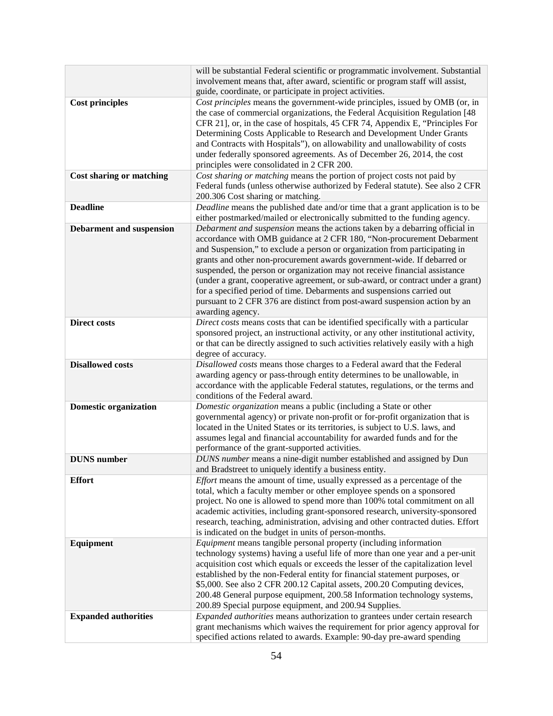|                                 | will be substantial Federal scientific or programmatic involvement. Substantial                                                                       |
|---------------------------------|-------------------------------------------------------------------------------------------------------------------------------------------------------|
|                                 | involvement means that, after award, scientific or program staff will assist,                                                                         |
|                                 | guide, coordinate, or participate in project activities.                                                                                              |
| <b>Cost principles</b>          | Cost principles means the government-wide principles, issued by OMB (or, in                                                                           |
|                                 | the case of commercial organizations, the Federal Acquisition Regulation [48]                                                                         |
|                                 | CFR 21], or, in the case of hospitals, 45 CFR 74, Appendix E, "Principles For                                                                         |
|                                 | Determining Costs Applicable to Research and Development Under Grants                                                                                 |
|                                 | and Contracts with Hospitals"), on allowability and unallowability of costs                                                                           |
|                                 | under federally sponsored agreements. As of December 26, 2014, the cost                                                                               |
|                                 | principles were consolidated in 2 CFR 200.                                                                                                            |
| <b>Cost sharing or matching</b> | Cost sharing or matching means the portion of project costs not paid by                                                                               |
|                                 | Federal funds (unless otherwise authorized by Federal statute). See also 2 CFR                                                                        |
|                                 | 200.306 Cost sharing or matching.                                                                                                                     |
| <b>Deadline</b>                 | Deadline means the published date and/or time that a grant application is to be                                                                       |
|                                 | either postmarked/mailed or electronically submitted to the funding agency.                                                                           |
| <b>Debarment and suspension</b> | Debarment and suspension means the actions taken by a debarring official in                                                                           |
|                                 | accordance with OMB guidance at 2 CFR 180, "Non-procurement Debarment                                                                                 |
|                                 | and Suspension," to exclude a person or organization from participating in<br>grants and other non-procurement awards government-wide. If debarred or |
|                                 | suspended, the person or organization may not receive financial assistance                                                                            |
|                                 | (under a grant, cooperative agreement, or sub-award, or contract under a grant)                                                                       |
|                                 | for a specified period of time. Debarments and suspensions carried out                                                                                |
|                                 | pursuant to 2 CFR 376 are distinct from post-award suspension action by an                                                                            |
|                                 | awarding agency.                                                                                                                                      |
| <b>Direct costs</b>             | Direct costs means costs that can be identified specifically with a particular                                                                        |
|                                 | sponsored project, an instructional activity, or any other institutional activity,                                                                    |
|                                 | or that can be directly assigned to such activities relatively easily with a high                                                                     |
|                                 | degree of accuracy.                                                                                                                                   |
| <b>Disallowed costs</b>         | Disallowed costs means those charges to a Federal award that the Federal                                                                              |
|                                 | awarding agency or pass-through entity determines to be unallowable, in                                                                               |
|                                 | accordance with the applicable Federal statutes, regulations, or the terms and                                                                        |
|                                 | conditions of the Federal award.                                                                                                                      |
| <b>Domestic organization</b>    | Domestic organization means a public (including a State or other                                                                                      |
|                                 | governmental agency) or private non-profit or for-profit organization that is                                                                         |
|                                 | located in the United States or its territories, is subject to U.S. laws, and                                                                         |
|                                 | assumes legal and financial accountability for awarded funds and for the                                                                              |
|                                 | performance of the grant-supported activities.                                                                                                        |
| <b>DUNS</b> number              | DUNS number means a nine-digit number established and assigned by Dun                                                                                 |
|                                 | and Bradstreet to uniquely identify a business entity.                                                                                                |
| <b>Effort</b>                   | <i>Effort</i> means the amount of time, usually expressed as a percentage of the                                                                      |
|                                 | total, which a faculty member or other employee spends on a sponsored                                                                                 |
|                                 | project. No one is allowed to spend more than 100% total commitment on all                                                                            |
|                                 | academic activities, including grant-sponsored research, university-sponsored                                                                         |
|                                 | research, teaching, administration, advising and other contracted duties. Effort<br>is indicated on the budget in units of person-months.             |
| Equipment                       | <i>Equipment</i> means tangible personal property (including information                                                                              |
|                                 | technology systems) having a useful life of more than one year and a per-unit                                                                         |
|                                 | acquisition cost which equals or exceeds the lesser of the capitalization level                                                                       |
|                                 | established by the non-Federal entity for financial statement purposes, or                                                                            |
|                                 | \$5,000. See also 2 CFR 200.12 Capital assets, 200.20 Computing devices,                                                                              |
|                                 | 200.48 General purpose equipment, 200.58 Information technology systems,                                                                              |
|                                 | 200.89 Special purpose equipment, and 200.94 Supplies.                                                                                                |
| <b>Expanded authorities</b>     | Expanded authorities means authorization to grantees under certain research                                                                           |
|                                 | grant mechanisms which waives the requirement for prior agency approval for                                                                           |
|                                 | specified actions related to awards. Example: 90-day pre-award spending                                                                               |
|                                 |                                                                                                                                                       |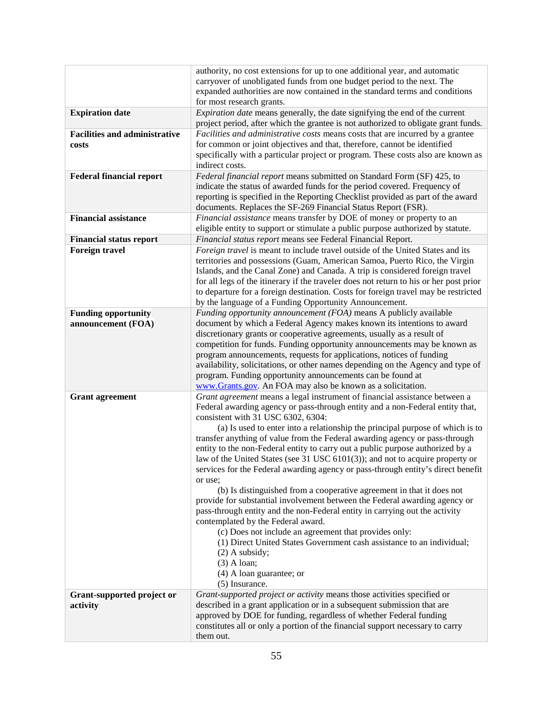| carryover of unobligated funds from one budget period to the next. The<br>expanded authorities are now contained in the standard terms and conditions<br>for most research grants.<br><b>Expiration date</b><br><i>Expiration date</i> means generally, the date signifying the end of the current<br>project period, after which the grantee is not authorized to obligate grant funds.<br><b>Facilities and administrative</b><br>Facilities and administrative costs means costs that are incurred by a grantee<br>for common or joint objectives and that, therefore, cannot be identified<br>costs<br>specifically with a particular project or program. These costs also are known as<br>indirect costs.<br><b>Federal financial report</b><br>Federal financial report means submitted on Standard Form (SF) 425, to<br>indicate the status of awarded funds for the period covered. Frequency of<br>reporting is specified in the Reporting Checklist provided as part of the award<br>documents. Replaces the SF-269 Financial Status Report (FSR).<br><b>Financial assistance</b><br>Financial assistance means transfer by DOE of money or property to an<br>eligible entity to support or stimulate a public purpose authorized by statute.<br>Financial status report means see Federal Financial Report.<br><b>Financial status report</b><br>Foreign travel is meant to include travel outside of the United States and its<br><b>Foreign travel</b><br>territories and possessions (Guam, American Samoa, Puerto Rico, the Virgin<br>Islands, and the Canal Zone) and Canada. A trip is considered foreign travel<br>for all legs of the itinerary if the traveler does not return to his or her post prior<br>to departure for a foreign destination. Costs for foreign travel may be restricted<br>by the language of a Funding Opportunity Announcement.<br>Funding opportunity announcement (FOA) means A publicly available<br><b>Funding opportunity</b><br>document by which a Federal Agency makes known its intentions to award<br>announcement (FOA)<br>discretionary grants or cooperative agreements, usually as a result of<br>competition for funds. Funding opportunity announcements may be known as<br>program announcements, requests for applications, notices of funding<br>availability, solicitations, or other names depending on the Agency and type of<br>program. Funding opportunity announcements can be found at<br>www.Grants.gov. An FOA may also be known as a solicitation.<br>Grant agreement means a legal instrument of financial assistance between a<br><b>Grant agreement</b><br>Federal awarding agency or pass-through entity and a non-Federal entity that,<br>consistent with 31 USC 6302, 6304:<br>(a) Is used to enter into a relationship the principal purpose of which is to<br>transfer anything of value from the Federal awarding agency or pass-through<br>entity to the non-Federal entity to carry out a public purpose authorized by a<br>law of the United States (see 31 USC 6101(3)); and not to acquire property or<br>services for the Federal awarding agency or pass-through entity's direct benefit<br>or use;<br>(b) Is distinguished from a cooperative agreement in that it does not<br>provide for substantial involvement between the Federal awarding agency or<br>pass-through entity and the non-Federal entity in carrying out the activity<br>contemplated by the Federal award.<br>(c) Does not include an agreement that provides only:<br>(1) Direct United States Government cash assistance to an individual;<br>$(2)$ A subsidy;<br>$(3)$ A loan;<br>$(4)$ A loan guarantee; or<br>(5) Insurance.<br>Grant-supported project or activity means those activities specified or<br>Grant-supported project or<br>described in a grant application or in a subsequent submission that are<br>activity<br>approved by DOE for funding, regardless of whether Federal funding<br>constitutes all or only a portion of the financial support necessary to carry<br>them out. | authority, no cost extensions for up to one additional year, and automatic |
|----------------------------------------------------------------------------------------------------------------------------------------------------------------------------------------------------------------------------------------------------------------------------------------------------------------------------------------------------------------------------------------------------------------------------------------------------------------------------------------------------------------------------------------------------------------------------------------------------------------------------------------------------------------------------------------------------------------------------------------------------------------------------------------------------------------------------------------------------------------------------------------------------------------------------------------------------------------------------------------------------------------------------------------------------------------------------------------------------------------------------------------------------------------------------------------------------------------------------------------------------------------------------------------------------------------------------------------------------------------------------------------------------------------------------------------------------------------------------------------------------------------------------------------------------------------------------------------------------------------------------------------------------------------------------------------------------------------------------------------------------------------------------------------------------------------------------------------------------------------------------------------------------------------------------------------------------------------------------------------------------------------------------------------------------------------------------------------------------------------------------------------------------------------------------------------------------------------------------------------------------------------------------------------------------------------------------------------------------------------------------------------------------------------------------------------------------------------------------------------------------------------------------------------------------------------------------------------------------------------------------------------------------------------------------------------------------------------------------------------------------------------------------------------------------------------------------------------------------------------------------------------------------------------------------------------------------------------------------------------------------------------------------------------------------------------------------------------------------------------------------------------------------------------------------------------------------------------------------------------------------------------------------------------------------------------------------------------------------------------------------------------------------------------------------------------------------------------------------------------------------------------------------------------------------------------------------------------------------------------------------------------------------------------------------------------------------------------------------------------------------------------------------------------------------------------------------------------------------------------------------------------------------------------------------------------------------------------------------------------------------------------------------------------------------------------------|----------------------------------------------------------------------------|
|                                                                                                                                                                                                                                                                                                                                                                                                                                                                                                                                                                                                                                                                                                                                                                                                                                                                                                                                                                                                                                                                                                                                                                                                                                                                                                                                                                                                                                                                                                                                                                                                                                                                                                                                                                                                                                                                                                                                                                                                                                                                                                                                                                                                                                                                                                                                                                                                                                                                                                                                                                                                                                                                                                                                                                                                                                                                                                                                                                                                                                                                                                                                                                                                                                                                                                                                                                                                                                                                                                                                                                                                                                                                                                                                                                                                                                                                                                                                                                                                                                                                      |                                                                            |
|                                                                                                                                                                                                                                                                                                                                                                                                                                                                                                                                                                                                                                                                                                                                                                                                                                                                                                                                                                                                                                                                                                                                                                                                                                                                                                                                                                                                                                                                                                                                                                                                                                                                                                                                                                                                                                                                                                                                                                                                                                                                                                                                                                                                                                                                                                                                                                                                                                                                                                                                                                                                                                                                                                                                                                                                                                                                                                                                                                                                                                                                                                                                                                                                                                                                                                                                                                                                                                                                                                                                                                                                                                                                                                                                                                                                                                                                                                                                                                                                                                                                      |                                                                            |
|                                                                                                                                                                                                                                                                                                                                                                                                                                                                                                                                                                                                                                                                                                                                                                                                                                                                                                                                                                                                                                                                                                                                                                                                                                                                                                                                                                                                                                                                                                                                                                                                                                                                                                                                                                                                                                                                                                                                                                                                                                                                                                                                                                                                                                                                                                                                                                                                                                                                                                                                                                                                                                                                                                                                                                                                                                                                                                                                                                                                                                                                                                                                                                                                                                                                                                                                                                                                                                                                                                                                                                                                                                                                                                                                                                                                                                                                                                                                                                                                                                                                      |                                                                            |
|                                                                                                                                                                                                                                                                                                                                                                                                                                                                                                                                                                                                                                                                                                                                                                                                                                                                                                                                                                                                                                                                                                                                                                                                                                                                                                                                                                                                                                                                                                                                                                                                                                                                                                                                                                                                                                                                                                                                                                                                                                                                                                                                                                                                                                                                                                                                                                                                                                                                                                                                                                                                                                                                                                                                                                                                                                                                                                                                                                                                                                                                                                                                                                                                                                                                                                                                                                                                                                                                                                                                                                                                                                                                                                                                                                                                                                                                                                                                                                                                                                                                      |                                                                            |
|                                                                                                                                                                                                                                                                                                                                                                                                                                                                                                                                                                                                                                                                                                                                                                                                                                                                                                                                                                                                                                                                                                                                                                                                                                                                                                                                                                                                                                                                                                                                                                                                                                                                                                                                                                                                                                                                                                                                                                                                                                                                                                                                                                                                                                                                                                                                                                                                                                                                                                                                                                                                                                                                                                                                                                                                                                                                                                                                                                                                                                                                                                                                                                                                                                                                                                                                                                                                                                                                                                                                                                                                                                                                                                                                                                                                                                                                                                                                                                                                                                                                      |                                                                            |
|                                                                                                                                                                                                                                                                                                                                                                                                                                                                                                                                                                                                                                                                                                                                                                                                                                                                                                                                                                                                                                                                                                                                                                                                                                                                                                                                                                                                                                                                                                                                                                                                                                                                                                                                                                                                                                                                                                                                                                                                                                                                                                                                                                                                                                                                                                                                                                                                                                                                                                                                                                                                                                                                                                                                                                                                                                                                                                                                                                                                                                                                                                                                                                                                                                                                                                                                                                                                                                                                                                                                                                                                                                                                                                                                                                                                                                                                                                                                                                                                                                                                      |                                                                            |
|                                                                                                                                                                                                                                                                                                                                                                                                                                                                                                                                                                                                                                                                                                                                                                                                                                                                                                                                                                                                                                                                                                                                                                                                                                                                                                                                                                                                                                                                                                                                                                                                                                                                                                                                                                                                                                                                                                                                                                                                                                                                                                                                                                                                                                                                                                                                                                                                                                                                                                                                                                                                                                                                                                                                                                                                                                                                                                                                                                                                                                                                                                                                                                                                                                                                                                                                                                                                                                                                                                                                                                                                                                                                                                                                                                                                                                                                                                                                                                                                                                                                      |                                                                            |
|                                                                                                                                                                                                                                                                                                                                                                                                                                                                                                                                                                                                                                                                                                                                                                                                                                                                                                                                                                                                                                                                                                                                                                                                                                                                                                                                                                                                                                                                                                                                                                                                                                                                                                                                                                                                                                                                                                                                                                                                                                                                                                                                                                                                                                                                                                                                                                                                                                                                                                                                                                                                                                                                                                                                                                                                                                                                                                                                                                                                                                                                                                                                                                                                                                                                                                                                                                                                                                                                                                                                                                                                                                                                                                                                                                                                                                                                                                                                                                                                                                                                      |                                                                            |
|                                                                                                                                                                                                                                                                                                                                                                                                                                                                                                                                                                                                                                                                                                                                                                                                                                                                                                                                                                                                                                                                                                                                                                                                                                                                                                                                                                                                                                                                                                                                                                                                                                                                                                                                                                                                                                                                                                                                                                                                                                                                                                                                                                                                                                                                                                                                                                                                                                                                                                                                                                                                                                                                                                                                                                                                                                                                                                                                                                                                                                                                                                                                                                                                                                                                                                                                                                                                                                                                                                                                                                                                                                                                                                                                                                                                                                                                                                                                                                                                                                                                      |                                                                            |
|                                                                                                                                                                                                                                                                                                                                                                                                                                                                                                                                                                                                                                                                                                                                                                                                                                                                                                                                                                                                                                                                                                                                                                                                                                                                                                                                                                                                                                                                                                                                                                                                                                                                                                                                                                                                                                                                                                                                                                                                                                                                                                                                                                                                                                                                                                                                                                                                                                                                                                                                                                                                                                                                                                                                                                                                                                                                                                                                                                                                                                                                                                                                                                                                                                                                                                                                                                                                                                                                                                                                                                                                                                                                                                                                                                                                                                                                                                                                                                                                                                                                      |                                                                            |
|                                                                                                                                                                                                                                                                                                                                                                                                                                                                                                                                                                                                                                                                                                                                                                                                                                                                                                                                                                                                                                                                                                                                                                                                                                                                                                                                                                                                                                                                                                                                                                                                                                                                                                                                                                                                                                                                                                                                                                                                                                                                                                                                                                                                                                                                                                                                                                                                                                                                                                                                                                                                                                                                                                                                                                                                                                                                                                                                                                                                                                                                                                                                                                                                                                                                                                                                                                                                                                                                                                                                                                                                                                                                                                                                                                                                                                                                                                                                                                                                                                                                      |                                                                            |
|                                                                                                                                                                                                                                                                                                                                                                                                                                                                                                                                                                                                                                                                                                                                                                                                                                                                                                                                                                                                                                                                                                                                                                                                                                                                                                                                                                                                                                                                                                                                                                                                                                                                                                                                                                                                                                                                                                                                                                                                                                                                                                                                                                                                                                                                                                                                                                                                                                                                                                                                                                                                                                                                                                                                                                                                                                                                                                                                                                                                                                                                                                                                                                                                                                                                                                                                                                                                                                                                                                                                                                                                                                                                                                                                                                                                                                                                                                                                                                                                                                                                      |                                                                            |
|                                                                                                                                                                                                                                                                                                                                                                                                                                                                                                                                                                                                                                                                                                                                                                                                                                                                                                                                                                                                                                                                                                                                                                                                                                                                                                                                                                                                                                                                                                                                                                                                                                                                                                                                                                                                                                                                                                                                                                                                                                                                                                                                                                                                                                                                                                                                                                                                                                                                                                                                                                                                                                                                                                                                                                                                                                                                                                                                                                                                                                                                                                                                                                                                                                                                                                                                                                                                                                                                                                                                                                                                                                                                                                                                                                                                                                                                                                                                                                                                                                                                      |                                                                            |
|                                                                                                                                                                                                                                                                                                                                                                                                                                                                                                                                                                                                                                                                                                                                                                                                                                                                                                                                                                                                                                                                                                                                                                                                                                                                                                                                                                                                                                                                                                                                                                                                                                                                                                                                                                                                                                                                                                                                                                                                                                                                                                                                                                                                                                                                                                                                                                                                                                                                                                                                                                                                                                                                                                                                                                                                                                                                                                                                                                                                                                                                                                                                                                                                                                                                                                                                                                                                                                                                                                                                                                                                                                                                                                                                                                                                                                                                                                                                                                                                                                                                      |                                                                            |
|                                                                                                                                                                                                                                                                                                                                                                                                                                                                                                                                                                                                                                                                                                                                                                                                                                                                                                                                                                                                                                                                                                                                                                                                                                                                                                                                                                                                                                                                                                                                                                                                                                                                                                                                                                                                                                                                                                                                                                                                                                                                                                                                                                                                                                                                                                                                                                                                                                                                                                                                                                                                                                                                                                                                                                                                                                                                                                                                                                                                                                                                                                                                                                                                                                                                                                                                                                                                                                                                                                                                                                                                                                                                                                                                                                                                                                                                                                                                                                                                                                                                      |                                                                            |
|                                                                                                                                                                                                                                                                                                                                                                                                                                                                                                                                                                                                                                                                                                                                                                                                                                                                                                                                                                                                                                                                                                                                                                                                                                                                                                                                                                                                                                                                                                                                                                                                                                                                                                                                                                                                                                                                                                                                                                                                                                                                                                                                                                                                                                                                                                                                                                                                                                                                                                                                                                                                                                                                                                                                                                                                                                                                                                                                                                                                                                                                                                                                                                                                                                                                                                                                                                                                                                                                                                                                                                                                                                                                                                                                                                                                                                                                                                                                                                                                                                                                      |                                                                            |
|                                                                                                                                                                                                                                                                                                                                                                                                                                                                                                                                                                                                                                                                                                                                                                                                                                                                                                                                                                                                                                                                                                                                                                                                                                                                                                                                                                                                                                                                                                                                                                                                                                                                                                                                                                                                                                                                                                                                                                                                                                                                                                                                                                                                                                                                                                                                                                                                                                                                                                                                                                                                                                                                                                                                                                                                                                                                                                                                                                                                                                                                                                                                                                                                                                                                                                                                                                                                                                                                                                                                                                                                                                                                                                                                                                                                                                                                                                                                                                                                                                                                      |                                                                            |
|                                                                                                                                                                                                                                                                                                                                                                                                                                                                                                                                                                                                                                                                                                                                                                                                                                                                                                                                                                                                                                                                                                                                                                                                                                                                                                                                                                                                                                                                                                                                                                                                                                                                                                                                                                                                                                                                                                                                                                                                                                                                                                                                                                                                                                                                                                                                                                                                                                                                                                                                                                                                                                                                                                                                                                                                                                                                                                                                                                                                                                                                                                                                                                                                                                                                                                                                                                                                                                                                                                                                                                                                                                                                                                                                                                                                                                                                                                                                                                                                                                                                      |                                                                            |
|                                                                                                                                                                                                                                                                                                                                                                                                                                                                                                                                                                                                                                                                                                                                                                                                                                                                                                                                                                                                                                                                                                                                                                                                                                                                                                                                                                                                                                                                                                                                                                                                                                                                                                                                                                                                                                                                                                                                                                                                                                                                                                                                                                                                                                                                                                                                                                                                                                                                                                                                                                                                                                                                                                                                                                                                                                                                                                                                                                                                                                                                                                                                                                                                                                                                                                                                                                                                                                                                                                                                                                                                                                                                                                                                                                                                                                                                                                                                                                                                                                                                      |                                                                            |
|                                                                                                                                                                                                                                                                                                                                                                                                                                                                                                                                                                                                                                                                                                                                                                                                                                                                                                                                                                                                                                                                                                                                                                                                                                                                                                                                                                                                                                                                                                                                                                                                                                                                                                                                                                                                                                                                                                                                                                                                                                                                                                                                                                                                                                                                                                                                                                                                                                                                                                                                                                                                                                                                                                                                                                                                                                                                                                                                                                                                                                                                                                                                                                                                                                                                                                                                                                                                                                                                                                                                                                                                                                                                                                                                                                                                                                                                                                                                                                                                                                                                      |                                                                            |
|                                                                                                                                                                                                                                                                                                                                                                                                                                                                                                                                                                                                                                                                                                                                                                                                                                                                                                                                                                                                                                                                                                                                                                                                                                                                                                                                                                                                                                                                                                                                                                                                                                                                                                                                                                                                                                                                                                                                                                                                                                                                                                                                                                                                                                                                                                                                                                                                                                                                                                                                                                                                                                                                                                                                                                                                                                                                                                                                                                                                                                                                                                                                                                                                                                                                                                                                                                                                                                                                                                                                                                                                                                                                                                                                                                                                                                                                                                                                                                                                                                                                      |                                                                            |
|                                                                                                                                                                                                                                                                                                                                                                                                                                                                                                                                                                                                                                                                                                                                                                                                                                                                                                                                                                                                                                                                                                                                                                                                                                                                                                                                                                                                                                                                                                                                                                                                                                                                                                                                                                                                                                                                                                                                                                                                                                                                                                                                                                                                                                                                                                                                                                                                                                                                                                                                                                                                                                                                                                                                                                                                                                                                                                                                                                                                                                                                                                                                                                                                                                                                                                                                                                                                                                                                                                                                                                                                                                                                                                                                                                                                                                                                                                                                                                                                                                                                      |                                                                            |
|                                                                                                                                                                                                                                                                                                                                                                                                                                                                                                                                                                                                                                                                                                                                                                                                                                                                                                                                                                                                                                                                                                                                                                                                                                                                                                                                                                                                                                                                                                                                                                                                                                                                                                                                                                                                                                                                                                                                                                                                                                                                                                                                                                                                                                                                                                                                                                                                                                                                                                                                                                                                                                                                                                                                                                                                                                                                                                                                                                                                                                                                                                                                                                                                                                                                                                                                                                                                                                                                                                                                                                                                                                                                                                                                                                                                                                                                                                                                                                                                                                                                      |                                                                            |
|                                                                                                                                                                                                                                                                                                                                                                                                                                                                                                                                                                                                                                                                                                                                                                                                                                                                                                                                                                                                                                                                                                                                                                                                                                                                                                                                                                                                                                                                                                                                                                                                                                                                                                                                                                                                                                                                                                                                                                                                                                                                                                                                                                                                                                                                                                                                                                                                                                                                                                                                                                                                                                                                                                                                                                                                                                                                                                                                                                                                                                                                                                                                                                                                                                                                                                                                                                                                                                                                                                                                                                                                                                                                                                                                                                                                                                                                                                                                                                                                                                                                      |                                                                            |
|                                                                                                                                                                                                                                                                                                                                                                                                                                                                                                                                                                                                                                                                                                                                                                                                                                                                                                                                                                                                                                                                                                                                                                                                                                                                                                                                                                                                                                                                                                                                                                                                                                                                                                                                                                                                                                                                                                                                                                                                                                                                                                                                                                                                                                                                                                                                                                                                                                                                                                                                                                                                                                                                                                                                                                                                                                                                                                                                                                                                                                                                                                                                                                                                                                                                                                                                                                                                                                                                                                                                                                                                                                                                                                                                                                                                                                                                                                                                                                                                                                                                      |                                                                            |
|                                                                                                                                                                                                                                                                                                                                                                                                                                                                                                                                                                                                                                                                                                                                                                                                                                                                                                                                                                                                                                                                                                                                                                                                                                                                                                                                                                                                                                                                                                                                                                                                                                                                                                                                                                                                                                                                                                                                                                                                                                                                                                                                                                                                                                                                                                                                                                                                                                                                                                                                                                                                                                                                                                                                                                                                                                                                                                                                                                                                                                                                                                                                                                                                                                                                                                                                                                                                                                                                                                                                                                                                                                                                                                                                                                                                                                                                                                                                                                                                                                                                      |                                                                            |
|                                                                                                                                                                                                                                                                                                                                                                                                                                                                                                                                                                                                                                                                                                                                                                                                                                                                                                                                                                                                                                                                                                                                                                                                                                                                                                                                                                                                                                                                                                                                                                                                                                                                                                                                                                                                                                                                                                                                                                                                                                                                                                                                                                                                                                                                                                                                                                                                                                                                                                                                                                                                                                                                                                                                                                                                                                                                                                                                                                                                                                                                                                                                                                                                                                                                                                                                                                                                                                                                                                                                                                                                                                                                                                                                                                                                                                                                                                                                                                                                                                                                      |                                                                            |
|                                                                                                                                                                                                                                                                                                                                                                                                                                                                                                                                                                                                                                                                                                                                                                                                                                                                                                                                                                                                                                                                                                                                                                                                                                                                                                                                                                                                                                                                                                                                                                                                                                                                                                                                                                                                                                                                                                                                                                                                                                                                                                                                                                                                                                                                                                                                                                                                                                                                                                                                                                                                                                                                                                                                                                                                                                                                                                                                                                                                                                                                                                                                                                                                                                                                                                                                                                                                                                                                                                                                                                                                                                                                                                                                                                                                                                                                                                                                                                                                                                                                      |                                                                            |
|                                                                                                                                                                                                                                                                                                                                                                                                                                                                                                                                                                                                                                                                                                                                                                                                                                                                                                                                                                                                                                                                                                                                                                                                                                                                                                                                                                                                                                                                                                                                                                                                                                                                                                                                                                                                                                                                                                                                                                                                                                                                                                                                                                                                                                                                                                                                                                                                                                                                                                                                                                                                                                                                                                                                                                                                                                                                                                                                                                                                                                                                                                                                                                                                                                                                                                                                                                                                                                                                                                                                                                                                                                                                                                                                                                                                                                                                                                                                                                                                                                                                      |                                                                            |
|                                                                                                                                                                                                                                                                                                                                                                                                                                                                                                                                                                                                                                                                                                                                                                                                                                                                                                                                                                                                                                                                                                                                                                                                                                                                                                                                                                                                                                                                                                                                                                                                                                                                                                                                                                                                                                                                                                                                                                                                                                                                                                                                                                                                                                                                                                                                                                                                                                                                                                                                                                                                                                                                                                                                                                                                                                                                                                                                                                                                                                                                                                                                                                                                                                                                                                                                                                                                                                                                                                                                                                                                                                                                                                                                                                                                                                                                                                                                                                                                                                                                      |                                                                            |
|                                                                                                                                                                                                                                                                                                                                                                                                                                                                                                                                                                                                                                                                                                                                                                                                                                                                                                                                                                                                                                                                                                                                                                                                                                                                                                                                                                                                                                                                                                                                                                                                                                                                                                                                                                                                                                                                                                                                                                                                                                                                                                                                                                                                                                                                                                                                                                                                                                                                                                                                                                                                                                                                                                                                                                                                                                                                                                                                                                                                                                                                                                                                                                                                                                                                                                                                                                                                                                                                                                                                                                                                                                                                                                                                                                                                                                                                                                                                                                                                                                                                      |                                                                            |
|                                                                                                                                                                                                                                                                                                                                                                                                                                                                                                                                                                                                                                                                                                                                                                                                                                                                                                                                                                                                                                                                                                                                                                                                                                                                                                                                                                                                                                                                                                                                                                                                                                                                                                                                                                                                                                                                                                                                                                                                                                                                                                                                                                                                                                                                                                                                                                                                                                                                                                                                                                                                                                                                                                                                                                                                                                                                                                                                                                                                                                                                                                                                                                                                                                                                                                                                                                                                                                                                                                                                                                                                                                                                                                                                                                                                                                                                                                                                                                                                                                                                      |                                                                            |
|                                                                                                                                                                                                                                                                                                                                                                                                                                                                                                                                                                                                                                                                                                                                                                                                                                                                                                                                                                                                                                                                                                                                                                                                                                                                                                                                                                                                                                                                                                                                                                                                                                                                                                                                                                                                                                                                                                                                                                                                                                                                                                                                                                                                                                                                                                                                                                                                                                                                                                                                                                                                                                                                                                                                                                                                                                                                                                                                                                                                                                                                                                                                                                                                                                                                                                                                                                                                                                                                                                                                                                                                                                                                                                                                                                                                                                                                                                                                                                                                                                                                      |                                                                            |
|                                                                                                                                                                                                                                                                                                                                                                                                                                                                                                                                                                                                                                                                                                                                                                                                                                                                                                                                                                                                                                                                                                                                                                                                                                                                                                                                                                                                                                                                                                                                                                                                                                                                                                                                                                                                                                                                                                                                                                                                                                                                                                                                                                                                                                                                                                                                                                                                                                                                                                                                                                                                                                                                                                                                                                                                                                                                                                                                                                                                                                                                                                                                                                                                                                                                                                                                                                                                                                                                                                                                                                                                                                                                                                                                                                                                                                                                                                                                                                                                                                                                      |                                                                            |
|                                                                                                                                                                                                                                                                                                                                                                                                                                                                                                                                                                                                                                                                                                                                                                                                                                                                                                                                                                                                                                                                                                                                                                                                                                                                                                                                                                                                                                                                                                                                                                                                                                                                                                                                                                                                                                                                                                                                                                                                                                                                                                                                                                                                                                                                                                                                                                                                                                                                                                                                                                                                                                                                                                                                                                                                                                                                                                                                                                                                                                                                                                                                                                                                                                                                                                                                                                                                                                                                                                                                                                                                                                                                                                                                                                                                                                                                                                                                                                                                                                                                      |                                                                            |
|                                                                                                                                                                                                                                                                                                                                                                                                                                                                                                                                                                                                                                                                                                                                                                                                                                                                                                                                                                                                                                                                                                                                                                                                                                                                                                                                                                                                                                                                                                                                                                                                                                                                                                                                                                                                                                                                                                                                                                                                                                                                                                                                                                                                                                                                                                                                                                                                                                                                                                                                                                                                                                                                                                                                                                                                                                                                                                                                                                                                                                                                                                                                                                                                                                                                                                                                                                                                                                                                                                                                                                                                                                                                                                                                                                                                                                                                                                                                                                                                                                                                      |                                                                            |
|                                                                                                                                                                                                                                                                                                                                                                                                                                                                                                                                                                                                                                                                                                                                                                                                                                                                                                                                                                                                                                                                                                                                                                                                                                                                                                                                                                                                                                                                                                                                                                                                                                                                                                                                                                                                                                                                                                                                                                                                                                                                                                                                                                                                                                                                                                                                                                                                                                                                                                                                                                                                                                                                                                                                                                                                                                                                                                                                                                                                                                                                                                                                                                                                                                                                                                                                                                                                                                                                                                                                                                                                                                                                                                                                                                                                                                                                                                                                                                                                                                                                      |                                                                            |
|                                                                                                                                                                                                                                                                                                                                                                                                                                                                                                                                                                                                                                                                                                                                                                                                                                                                                                                                                                                                                                                                                                                                                                                                                                                                                                                                                                                                                                                                                                                                                                                                                                                                                                                                                                                                                                                                                                                                                                                                                                                                                                                                                                                                                                                                                                                                                                                                                                                                                                                                                                                                                                                                                                                                                                                                                                                                                                                                                                                                                                                                                                                                                                                                                                                                                                                                                                                                                                                                                                                                                                                                                                                                                                                                                                                                                                                                                                                                                                                                                                                                      |                                                                            |
|                                                                                                                                                                                                                                                                                                                                                                                                                                                                                                                                                                                                                                                                                                                                                                                                                                                                                                                                                                                                                                                                                                                                                                                                                                                                                                                                                                                                                                                                                                                                                                                                                                                                                                                                                                                                                                                                                                                                                                                                                                                                                                                                                                                                                                                                                                                                                                                                                                                                                                                                                                                                                                                                                                                                                                                                                                                                                                                                                                                                                                                                                                                                                                                                                                                                                                                                                                                                                                                                                                                                                                                                                                                                                                                                                                                                                                                                                                                                                                                                                                                                      |                                                                            |
|                                                                                                                                                                                                                                                                                                                                                                                                                                                                                                                                                                                                                                                                                                                                                                                                                                                                                                                                                                                                                                                                                                                                                                                                                                                                                                                                                                                                                                                                                                                                                                                                                                                                                                                                                                                                                                                                                                                                                                                                                                                                                                                                                                                                                                                                                                                                                                                                                                                                                                                                                                                                                                                                                                                                                                                                                                                                                                                                                                                                                                                                                                                                                                                                                                                                                                                                                                                                                                                                                                                                                                                                                                                                                                                                                                                                                                                                                                                                                                                                                                                                      |                                                                            |
|                                                                                                                                                                                                                                                                                                                                                                                                                                                                                                                                                                                                                                                                                                                                                                                                                                                                                                                                                                                                                                                                                                                                                                                                                                                                                                                                                                                                                                                                                                                                                                                                                                                                                                                                                                                                                                                                                                                                                                                                                                                                                                                                                                                                                                                                                                                                                                                                                                                                                                                                                                                                                                                                                                                                                                                                                                                                                                                                                                                                                                                                                                                                                                                                                                                                                                                                                                                                                                                                                                                                                                                                                                                                                                                                                                                                                                                                                                                                                                                                                                                                      |                                                                            |
|                                                                                                                                                                                                                                                                                                                                                                                                                                                                                                                                                                                                                                                                                                                                                                                                                                                                                                                                                                                                                                                                                                                                                                                                                                                                                                                                                                                                                                                                                                                                                                                                                                                                                                                                                                                                                                                                                                                                                                                                                                                                                                                                                                                                                                                                                                                                                                                                                                                                                                                                                                                                                                                                                                                                                                                                                                                                                                                                                                                                                                                                                                                                                                                                                                                                                                                                                                                                                                                                                                                                                                                                                                                                                                                                                                                                                                                                                                                                                                                                                                                                      |                                                                            |
|                                                                                                                                                                                                                                                                                                                                                                                                                                                                                                                                                                                                                                                                                                                                                                                                                                                                                                                                                                                                                                                                                                                                                                                                                                                                                                                                                                                                                                                                                                                                                                                                                                                                                                                                                                                                                                                                                                                                                                                                                                                                                                                                                                                                                                                                                                                                                                                                                                                                                                                                                                                                                                                                                                                                                                                                                                                                                                                                                                                                                                                                                                                                                                                                                                                                                                                                                                                                                                                                                                                                                                                                                                                                                                                                                                                                                                                                                                                                                                                                                                                                      |                                                                            |
|                                                                                                                                                                                                                                                                                                                                                                                                                                                                                                                                                                                                                                                                                                                                                                                                                                                                                                                                                                                                                                                                                                                                                                                                                                                                                                                                                                                                                                                                                                                                                                                                                                                                                                                                                                                                                                                                                                                                                                                                                                                                                                                                                                                                                                                                                                                                                                                                                                                                                                                                                                                                                                                                                                                                                                                                                                                                                                                                                                                                                                                                                                                                                                                                                                                                                                                                                                                                                                                                                                                                                                                                                                                                                                                                                                                                                                                                                                                                                                                                                                                                      |                                                                            |
|                                                                                                                                                                                                                                                                                                                                                                                                                                                                                                                                                                                                                                                                                                                                                                                                                                                                                                                                                                                                                                                                                                                                                                                                                                                                                                                                                                                                                                                                                                                                                                                                                                                                                                                                                                                                                                                                                                                                                                                                                                                                                                                                                                                                                                                                                                                                                                                                                                                                                                                                                                                                                                                                                                                                                                                                                                                                                                                                                                                                                                                                                                                                                                                                                                                                                                                                                                                                                                                                                                                                                                                                                                                                                                                                                                                                                                                                                                                                                                                                                                                                      |                                                                            |
|                                                                                                                                                                                                                                                                                                                                                                                                                                                                                                                                                                                                                                                                                                                                                                                                                                                                                                                                                                                                                                                                                                                                                                                                                                                                                                                                                                                                                                                                                                                                                                                                                                                                                                                                                                                                                                                                                                                                                                                                                                                                                                                                                                                                                                                                                                                                                                                                                                                                                                                                                                                                                                                                                                                                                                                                                                                                                                                                                                                                                                                                                                                                                                                                                                                                                                                                                                                                                                                                                                                                                                                                                                                                                                                                                                                                                                                                                                                                                                                                                                                                      |                                                                            |
|                                                                                                                                                                                                                                                                                                                                                                                                                                                                                                                                                                                                                                                                                                                                                                                                                                                                                                                                                                                                                                                                                                                                                                                                                                                                                                                                                                                                                                                                                                                                                                                                                                                                                                                                                                                                                                                                                                                                                                                                                                                                                                                                                                                                                                                                                                                                                                                                                                                                                                                                                                                                                                                                                                                                                                                                                                                                                                                                                                                                                                                                                                                                                                                                                                                                                                                                                                                                                                                                                                                                                                                                                                                                                                                                                                                                                                                                                                                                                                                                                                                                      |                                                                            |
|                                                                                                                                                                                                                                                                                                                                                                                                                                                                                                                                                                                                                                                                                                                                                                                                                                                                                                                                                                                                                                                                                                                                                                                                                                                                                                                                                                                                                                                                                                                                                                                                                                                                                                                                                                                                                                                                                                                                                                                                                                                                                                                                                                                                                                                                                                                                                                                                                                                                                                                                                                                                                                                                                                                                                                                                                                                                                                                                                                                                                                                                                                                                                                                                                                                                                                                                                                                                                                                                                                                                                                                                                                                                                                                                                                                                                                                                                                                                                                                                                                                                      |                                                                            |
|                                                                                                                                                                                                                                                                                                                                                                                                                                                                                                                                                                                                                                                                                                                                                                                                                                                                                                                                                                                                                                                                                                                                                                                                                                                                                                                                                                                                                                                                                                                                                                                                                                                                                                                                                                                                                                                                                                                                                                                                                                                                                                                                                                                                                                                                                                                                                                                                                                                                                                                                                                                                                                                                                                                                                                                                                                                                                                                                                                                                                                                                                                                                                                                                                                                                                                                                                                                                                                                                                                                                                                                                                                                                                                                                                                                                                                                                                                                                                                                                                                                                      |                                                                            |
|                                                                                                                                                                                                                                                                                                                                                                                                                                                                                                                                                                                                                                                                                                                                                                                                                                                                                                                                                                                                                                                                                                                                                                                                                                                                                                                                                                                                                                                                                                                                                                                                                                                                                                                                                                                                                                                                                                                                                                                                                                                                                                                                                                                                                                                                                                                                                                                                                                                                                                                                                                                                                                                                                                                                                                                                                                                                                                                                                                                                                                                                                                                                                                                                                                                                                                                                                                                                                                                                                                                                                                                                                                                                                                                                                                                                                                                                                                                                                                                                                                                                      |                                                                            |
|                                                                                                                                                                                                                                                                                                                                                                                                                                                                                                                                                                                                                                                                                                                                                                                                                                                                                                                                                                                                                                                                                                                                                                                                                                                                                                                                                                                                                                                                                                                                                                                                                                                                                                                                                                                                                                                                                                                                                                                                                                                                                                                                                                                                                                                                                                                                                                                                                                                                                                                                                                                                                                                                                                                                                                                                                                                                                                                                                                                                                                                                                                                                                                                                                                                                                                                                                                                                                                                                                                                                                                                                                                                                                                                                                                                                                                                                                                                                                                                                                                                                      |                                                                            |
|                                                                                                                                                                                                                                                                                                                                                                                                                                                                                                                                                                                                                                                                                                                                                                                                                                                                                                                                                                                                                                                                                                                                                                                                                                                                                                                                                                                                                                                                                                                                                                                                                                                                                                                                                                                                                                                                                                                                                                                                                                                                                                                                                                                                                                                                                                                                                                                                                                                                                                                                                                                                                                                                                                                                                                                                                                                                                                                                                                                                                                                                                                                                                                                                                                                                                                                                                                                                                                                                                                                                                                                                                                                                                                                                                                                                                                                                                                                                                                                                                                                                      |                                                                            |
|                                                                                                                                                                                                                                                                                                                                                                                                                                                                                                                                                                                                                                                                                                                                                                                                                                                                                                                                                                                                                                                                                                                                                                                                                                                                                                                                                                                                                                                                                                                                                                                                                                                                                                                                                                                                                                                                                                                                                                                                                                                                                                                                                                                                                                                                                                                                                                                                                                                                                                                                                                                                                                                                                                                                                                                                                                                                                                                                                                                                                                                                                                                                                                                                                                                                                                                                                                                                                                                                                                                                                                                                                                                                                                                                                                                                                                                                                                                                                                                                                                                                      |                                                                            |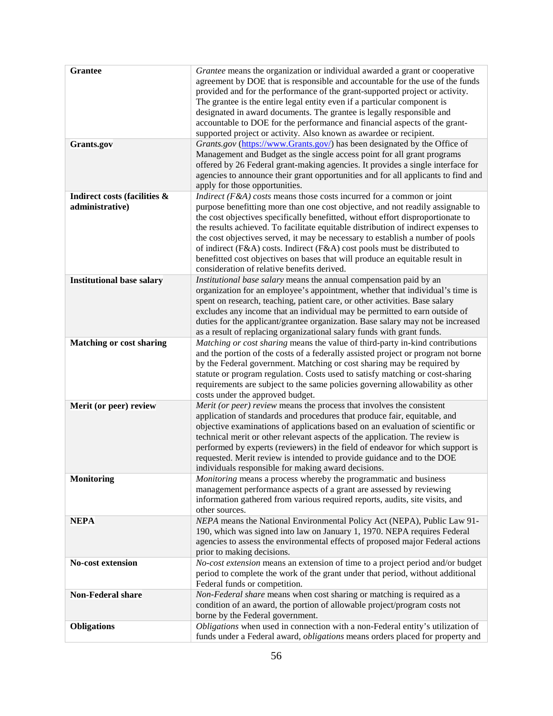| <b>Grantee</b>                                  | Grantee means the organization or individual awarded a grant or cooperative<br>agreement by DOE that is responsible and accountable for the use of the funds<br>provided and for the performance of the grant-supported project or activity.<br>The grantee is the entire legal entity even if a particular component is<br>designated in award documents. The grantee is legally responsible and<br>accountable to DOE for the performance and financial aspects of the grant-<br>supported project or activity. Also known as awardee or recipient.                                                                                       |
|-------------------------------------------------|---------------------------------------------------------------------------------------------------------------------------------------------------------------------------------------------------------------------------------------------------------------------------------------------------------------------------------------------------------------------------------------------------------------------------------------------------------------------------------------------------------------------------------------------------------------------------------------------------------------------------------------------|
| <b>Grants.gov</b>                               | Grants.gov (https://www.Grants.gov/) has been designated by the Office of<br>Management and Budget as the single access point for all grant programs<br>offered by 26 Federal grant-making agencies. It provides a single interface for<br>agencies to announce their grant opportunities and for all applicants to find and<br>apply for those opportunities.                                                                                                                                                                                                                                                                              |
| Indirect costs (facilities &<br>administrative) | <i>Indirect</i> ( $F\&A$ ) costs means those costs incurred for a common or joint<br>purpose benefitting more than one cost objective, and not readily assignable to<br>the cost objectives specifically benefitted, without effort disproportionate to<br>the results achieved. To facilitate equitable distribution of indirect expenses to<br>the cost objectives served, it may be necessary to establish a number of pools<br>of indirect (F&A) costs. Indirect (F&A) cost pools must be distributed to<br>benefitted cost objectives on bases that will produce an equitable result in<br>consideration of relative benefits derived. |
| <b>Institutional base salary</b>                | Institutional base salary means the annual compensation paid by an<br>organization for an employee's appointment, whether that individual's time is<br>spent on research, teaching, patient care, or other activities. Base salary<br>excludes any income that an individual may be permitted to earn outside of<br>duties for the applicant/grantee organization. Base salary may not be increased<br>as a result of replacing organizational salary funds with grant funds.                                                                                                                                                               |
| <b>Matching or cost sharing</b>                 | Matching or cost sharing means the value of third-party in-kind contributions<br>and the portion of the costs of a federally assisted project or program not borne<br>by the Federal government. Matching or cost sharing may be required by<br>statute or program regulation. Costs used to satisfy matching or cost-sharing<br>requirements are subject to the same policies governing allowability as other<br>costs under the approved budget.                                                                                                                                                                                          |
| Merit (or peer) review                          | Merit (or peer) review means the process that involves the consistent<br>application of standards and procedures that produce fair, equitable, and<br>objective examinations of applications based on an evaluation of scientific or<br>technical merit or other relevant aspects of the application. The review is<br>performed by experts (reviewers) in the field of endeavor for which support is<br>requested. Merit review is intended to provide guidance and to the DOE<br>individuals responsible for making award decisions.                                                                                                      |
| <b>Monitoring</b>                               | Monitoring means a process whereby the programmatic and business<br>management performance aspects of a grant are assessed by reviewing<br>information gathered from various required reports, audits, site visits, and<br>other sources.                                                                                                                                                                                                                                                                                                                                                                                                   |
| <b>NEPA</b>                                     | NEPA means the National Environmental Policy Act (NEPA), Public Law 91-<br>190, which was signed into law on January 1, 1970. NEPA requires Federal<br>agencies to assess the environmental effects of proposed major Federal actions<br>prior to making decisions.                                                                                                                                                                                                                                                                                                                                                                         |
| <b>No-cost extension</b>                        | No-cost extension means an extension of time to a project period and/or budget<br>period to complete the work of the grant under that period, without additional<br>Federal funds or competition.                                                                                                                                                                                                                                                                                                                                                                                                                                           |
| Non-Federal share                               | Non-Federal share means when cost sharing or matching is required as a<br>condition of an award, the portion of allowable project/program costs not<br>borne by the Federal government.                                                                                                                                                                                                                                                                                                                                                                                                                                                     |
| <b>Obligations</b>                              | Obligations when used in connection with a non-Federal entity's utilization of<br>funds under a Federal award, <i>obligations</i> means orders placed for property and                                                                                                                                                                                                                                                                                                                                                                                                                                                                      |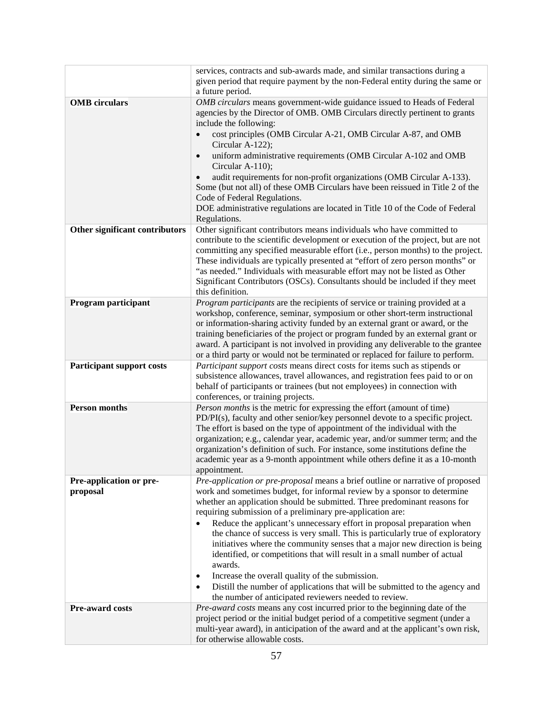|                                  | services, contracts and sub-awards made, and similar transactions during a                                                                                 |
|----------------------------------|------------------------------------------------------------------------------------------------------------------------------------------------------------|
|                                  | given period that require payment by the non-Federal entity during the same or                                                                             |
|                                  | a future period.                                                                                                                                           |
| <b>OMB</b> circulars             | OMB circulars means government-wide guidance issued to Heads of Federal                                                                                    |
|                                  | agencies by the Director of OMB. OMB Circulars directly pertinent to grants                                                                                |
|                                  | include the following:                                                                                                                                     |
|                                  | cost principles (OMB Circular A-21, OMB Circular A-87, and OMB                                                                                             |
|                                  | Circular A-122);                                                                                                                                           |
|                                  | uniform administrative requirements (OMB Circular A-102 and OMB<br>$\bullet$<br>Circular A-110);                                                           |
|                                  | audit requirements for non-profit organizations (OMB Circular A-133).                                                                                      |
|                                  | Some (but not all) of these OMB Circulars have been reissued in Title 2 of the                                                                             |
|                                  | Code of Federal Regulations.                                                                                                                               |
|                                  | DOE administrative regulations are located in Title 10 of the Code of Federal                                                                              |
|                                  | Regulations.                                                                                                                                               |
| Other significant contributors   | Other significant contributors means individuals who have committed to                                                                                     |
|                                  | contribute to the scientific development or execution of the project, but are not                                                                          |
|                                  | committing any specified measurable effort (i.e., person months) to the project.                                                                           |
|                                  | These individuals are typically presented at "effort of zero person months" or                                                                             |
|                                  | "as needed." Individuals with measurable effort may not be listed as Other<br>Significant Contributors (OSCs). Consultants should be included if they meet |
|                                  | this definition.                                                                                                                                           |
| Program participant              | Program participants are the recipients of service or training provided at a                                                                               |
|                                  | workshop, conference, seminar, symposium or other short-term instructional                                                                                 |
|                                  | or information-sharing activity funded by an external grant or award, or the                                                                               |
|                                  | training beneficiaries of the project or program funded by an external grant or                                                                            |
|                                  | award. A participant is not involved in providing any deliverable to the grantee                                                                           |
|                                  | or a third party or would not be terminated or replaced for failure to perform.                                                                            |
| <b>Participant support costs</b> | Participant support costs means direct costs for items such as stipends or                                                                                 |
|                                  | subsistence allowances, travel allowances, and registration fees paid to or on                                                                             |
|                                  | behalf of participants or trainees (but not employees) in connection with                                                                                  |
|                                  | conferences, or training projects.                                                                                                                         |
| <b>Person months</b>             | Person months is the metric for expressing the effort (amount of time)<br>PD/PI(s), faculty and other senior/key personnel devote to a specific project.   |
|                                  | The effort is based on the type of appointment of the individual with the                                                                                  |
|                                  | organization; e.g., calendar year, academic year, and/or summer term; and the                                                                              |
|                                  | organization's definition of such. For instance, some institutions define the                                                                              |
|                                  | academic year as a 9-month appointment while others define it as a 10-month                                                                                |
|                                  | appointment.                                                                                                                                               |
| Pre-application or pre-          | Pre-application or pre-proposal means a brief outline or narrative of proposed                                                                             |
| proposal                         | work and sometimes budget, for informal review by a sponsor to determine                                                                                   |
|                                  | whether an application should be submitted. Three predominant reasons for                                                                                  |
|                                  | requiring submission of a preliminary pre-application are:                                                                                                 |
|                                  | Reduce the applicant's unnecessary effort in proposal preparation when<br>$\bullet$                                                                        |
|                                  | the chance of success is very small. This is particularly true of exploratory                                                                              |
|                                  | initiatives where the community senses that a major new direction is being                                                                                 |
|                                  | identified, or competitions that will result in a small number of actual<br>awards.                                                                        |
|                                  | Increase the overall quality of the submission.<br>$\bullet$                                                                                               |
|                                  | Distill the number of applications that will be submitted to the agency and<br>٠                                                                           |
|                                  | the number of anticipated reviewers needed to review.                                                                                                      |
| <b>Pre-award costs</b>           | Pre-award costs means any cost incurred prior to the beginning date of the                                                                                 |
|                                  | project period or the initial budget period of a competitive segment (under a                                                                              |
|                                  | multi-year award), in anticipation of the award and at the applicant's own risk,                                                                           |
|                                  | for otherwise allowable costs.                                                                                                                             |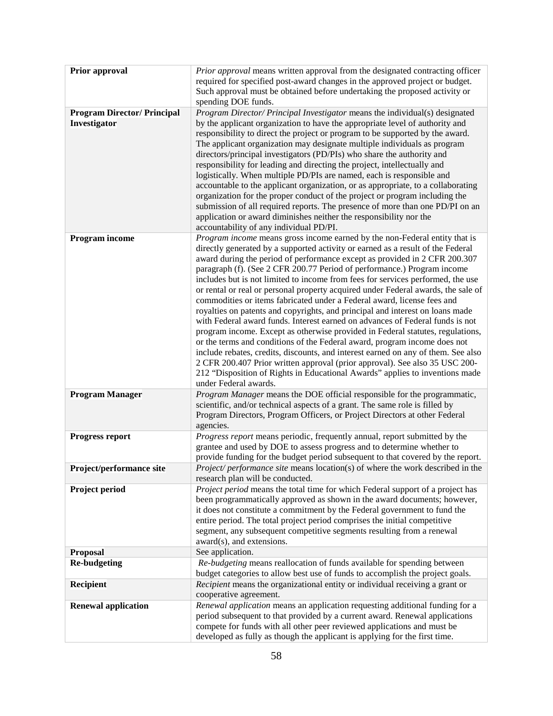| Prior approval                     | Prior approval means written approval from the designated contracting officer                                                                                  |
|------------------------------------|----------------------------------------------------------------------------------------------------------------------------------------------------------------|
|                                    | required for specified post-award changes in the approved project or budget.                                                                                   |
|                                    | Such approval must be obtained before undertaking the proposed activity or                                                                                     |
|                                    | spending DOE funds.                                                                                                                                            |
| <b>Program Director/ Principal</b> | Program Director/ Principal Investigator means the individual(s) designated                                                                                    |
| Investigator                       | by the applicant organization to have the appropriate level of authority and                                                                                   |
|                                    | responsibility to direct the project or program to be supported by the award.                                                                                  |
|                                    | The applicant organization may designate multiple individuals as program                                                                                       |
|                                    | directors/principal investigators (PD/PIs) who share the authority and<br>responsibility for leading and directing the project, intellectually and             |
|                                    | logistically. When multiple PD/PIs are named, each is responsible and                                                                                          |
|                                    | accountable to the applicant organization, or as appropriate, to a collaborating                                                                               |
|                                    | organization for the proper conduct of the project or program including the                                                                                    |
|                                    | submission of all required reports. The presence of more than one PD/PI on an                                                                                  |
|                                    | application or award diminishes neither the responsibility nor the                                                                                             |
|                                    | accountability of any individual PD/PI.                                                                                                                        |
| Program income                     | Program income means gross income earned by the non-Federal entity that is                                                                                     |
|                                    | directly generated by a supported activity or earned as a result of the Federal<br>award during the period of performance except as provided in 2 CFR 200.307  |
|                                    | paragraph (f). (See 2 CFR 200.77 Period of performance.) Program income                                                                                        |
|                                    | includes but is not limited to income from fees for services performed, the use                                                                                |
|                                    | or rental or real or personal property acquired under Federal awards, the sale of                                                                              |
|                                    | commodities or items fabricated under a Federal award, license fees and                                                                                        |
|                                    | royalties on patents and copyrights, and principal and interest on loans made<br>with Federal award funds. Interest earned on advances of Federal funds is not |
|                                    | program income. Except as otherwise provided in Federal statutes, regulations,                                                                                 |
|                                    | or the terms and conditions of the Federal award, program income does not                                                                                      |
|                                    | include rebates, credits, discounts, and interest earned on any of them. See also                                                                              |
|                                    | 2 CFR 200.407 Prior written approval (prior approval). See also 35 USC 200-                                                                                    |
|                                    | 212 "Disposition of Rights in Educational Awards" applies to inventions made                                                                                   |
|                                    | under Federal awards.                                                                                                                                          |
| <b>Program Manager</b>             | Program Manager means the DOE official responsible for the programmatic,<br>scientific, and/or technical aspects of a grant. The same role is filled by        |
|                                    | Program Directors, Program Officers, or Project Directors at other Federal                                                                                     |
|                                    | agencies.                                                                                                                                                      |
| <b>Progress report</b>             | Progress report means periodic, frequently annual, report submitted by the                                                                                     |
|                                    | grantee and used by DOE to assess progress and to determine whether to                                                                                         |
|                                    | provide funding for the budget period subsequent to that covered by the report.                                                                                |
| Project/performance site           | <i>Project/ performance site</i> means location(s) of where the work described in the<br>research plan will be conducted.                                      |
| Project period                     | Project period means the total time for which Federal support of a project has                                                                                 |
|                                    | been programmatically approved as shown in the award documents; however,<br>it does not constitute a commitment by the Federal government to fund the          |
|                                    | entire period. The total project period comprises the initial competitive                                                                                      |
|                                    | segment, any subsequent competitive segments resulting from a renewal                                                                                          |
|                                    | award(s), and extensions.                                                                                                                                      |
| Proposal                           | See application.                                                                                                                                               |
| <b>Re-budgeting</b>                | Re-budgeting means reallocation of funds available for spending between<br>budget categories to allow best use of funds to accomplish the project goals.       |
| Recipient                          | <i>Recipient</i> means the organizational entity or individual receiving a grant or                                                                            |
|                                    | cooperative agreement.                                                                                                                                         |
| <b>Renewal application</b>         | Renewal application means an application requesting additional funding for a<br>period subsequent to that provided by a current award. Renewal applications    |
|                                    | compete for funds with all other peer reviewed applications and must be                                                                                        |
|                                    | developed as fully as though the applicant is applying for the first time.                                                                                     |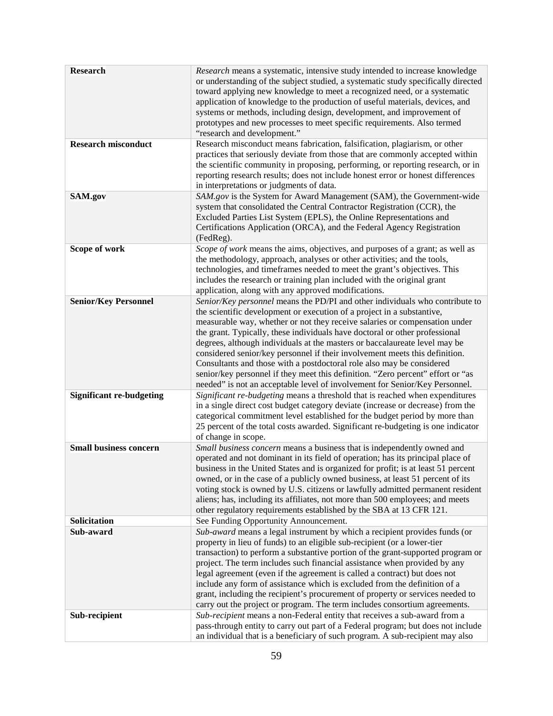| <b>Research</b><br><b>Research misconduct</b><br>SAM.gov | Research means a systematic, intensive study intended to increase knowledge<br>or understanding of the subject studied, a systematic study specifically directed<br>toward applying new knowledge to meet a recognized need, or a systematic<br>application of knowledge to the production of useful materials, devices, and<br>systems or methods, including design, development, and improvement of<br>prototypes and new processes to meet specific requirements. Also termed<br>"research and development."<br>Research misconduct means fabrication, falsification, plagiarism, or other<br>practices that seriously deviate from those that are commonly accepted within<br>the scientific community in proposing, performing, or reporting research, or in<br>reporting research results; does not include honest error or honest differences<br>in interpretations or judgments of data.<br>SAM.gov is the System for Award Management (SAM), the Government-wide |
|----------------------------------------------------------|---------------------------------------------------------------------------------------------------------------------------------------------------------------------------------------------------------------------------------------------------------------------------------------------------------------------------------------------------------------------------------------------------------------------------------------------------------------------------------------------------------------------------------------------------------------------------------------------------------------------------------------------------------------------------------------------------------------------------------------------------------------------------------------------------------------------------------------------------------------------------------------------------------------------------------------------------------------------------|
|                                                          | system that consolidated the Central Contractor Registration (CCR), the<br>Excluded Parties List System (EPLS), the Online Representations and<br>Certifications Application (ORCA), and the Federal Agency Registration<br>(FedReg).                                                                                                                                                                                                                                                                                                                                                                                                                                                                                                                                                                                                                                                                                                                                     |
| Scope of work                                            | Scope of work means the aims, objectives, and purposes of a grant; as well as<br>the methodology, approach, analyses or other activities; and the tools,<br>technologies, and timeframes needed to meet the grant's objectives. This<br>includes the research or training plan included with the original grant<br>application, along with any approved modifications.                                                                                                                                                                                                                                                                                                                                                                                                                                                                                                                                                                                                    |
| <b>Senior/Key Personnel</b>                              | Senior/Key personnel means the PD/PI and other individuals who contribute to<br>the scientific development or execution of a project in a substantive,<br>measurable way, whether or not they receive salaries or compensation under<br>the grant. Typically, these individuals have doctoral or other professional<br>degrees, although individuals at the masters or baccalaureate level may be<br>considered senior/key personnel if their involvement meets this definition.<br>Consultants and those with a postdoctoral role also may be considered<br>senior/key personnel if they meet this definition. "Zero percent" effort or "as<br>needed" is not an acceptable level of involvement for Senior/Key Personnel.                                                                                                                                                                                                                                               |
| <b>Significant re-budgeting</b>                          | Significant re-budgeting means a threshold that is reached when expenditures<br>in a single direct cost budget category deviate (increase or decrease) from the<br>categorical commitment level established for the budget period by more than<br>25 percent of the total costs awarded. Significant re-budgeting is one indicator<br>of change in scope.                                                                                                                                                                                                                                                                                                                                                                                                                                                                                                                                                                                                                 |
| <b>Small business concern</b>                            | Small business concern means a business that is independently owned and<br>operated and not dominant in its field of operation; has its principal place of<br>business in the United States and is organized for profit; is at least 51 percent<br>owned, or in the case of a publicly owned business, at least 51 percent of its<br>voting stock is owned by U.S. citizens or lawfully admitted permanent resident<br>aliens; has, including its affiliates, not more than 500 employees; and meets<br>other regulatory requirements established by the SBA at 13 CFR 121.                                                                                                                                                                                                                                                                                                                                                                                               |
| Solicitation                                             | See Funding Opportunity Announcement.                                                                                                                                                                                                                                                                                                                                                                                                                                                                                                                                                                                                                                                                                                                                                                                                                                                                                                                                     |
| Sub-award                                                | Sub-award means a legal instrument by which a recipient provides funds (or<br>property in lieu of funds) to an eligible sub-recipient (or a lower-tier<br>transaction) to perform a substantive portion of the grant-supported program or<br>project. The term includes such financial assistance when provided by any<br>legal agreement (even if the agreement is called a contract) but does not<br>include any form of assistance which is excluded from the definition of a<br>grant, including the recipient's procurement of property or services needed to<br>carry out the project or program. The term includes consortium agreements.                                                                                                                                                                                                                                                                                                                          |
| Sub-recipient                                            | Sub-recipient means a non-Federal entity that receives a sub-award from a<br>pass-through entity to carry out part of a Federal program; but does not include<br>an individual that is a beneficiary of such program. A sub-recipient may also                                                                                                                                                                                                                                                                                                                                                                                                                                                                                                                                                                                                                                                                                                                            |